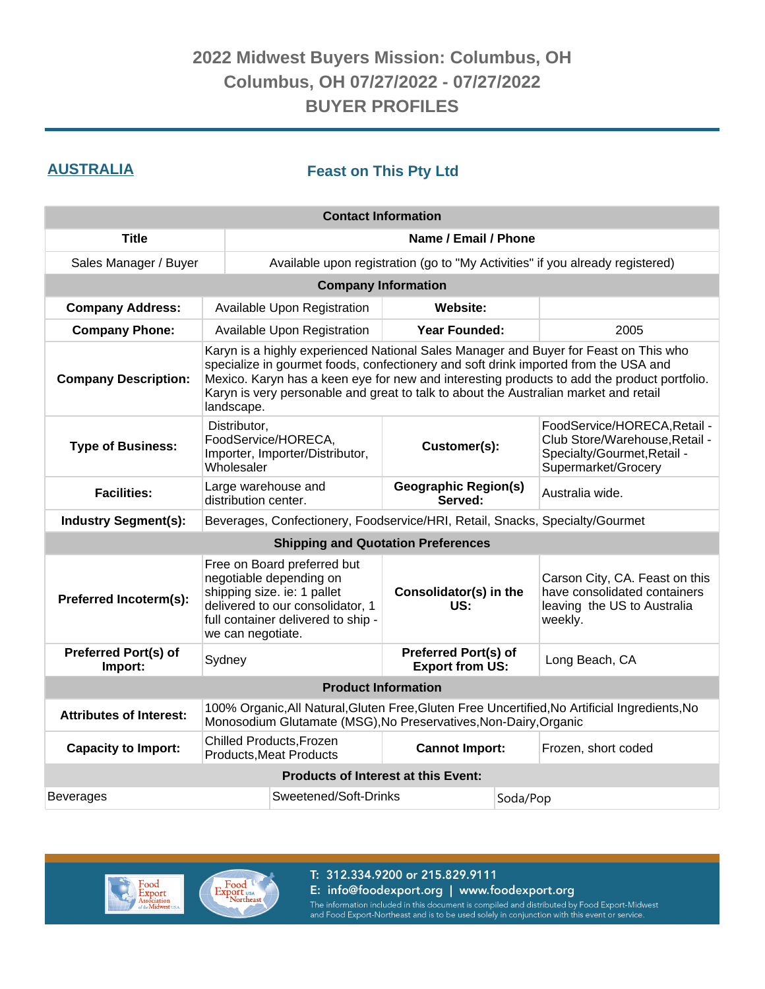### **AUSTRALIA Feast on This Pty Ltd**

| <b>Contact Information</b>                |                                                                               |                                                                                                                                                                                                                                                                                                                                                                    |                                                       |                     |                                                                                                                      |
|-------------------------------------------|-------------------------------------------------------------------------------|--------------------------------------------------------------------------------------------------------------------------------------------------------------------------------------------------------------------------------------------------------------------------------------------------------------------------------------------------------------------|-------------------------------------------------------|---------------------|----------------------------------------------------------------------------------------------------------------------|
| <b>Title</b>                              |                                                                               | Name / Email / Phone                                                                                                                                                                                                                                                                                                                                               |                                                       |                     |                                                                                                                      |
| Sales Manager / Buyer                     | Available upon registration (go to "My Activities" if you already registered) |                                                                                                                                                                                                                                                                                                                                                                    |                                                       |                     |                                                                                                                      |
|                                           | <b>Company Information</b>                                                    |                                                                                                                                                                                                                                                                                                                                                                    |                                                       |                     |                                                                                                                      |
| <b>Company Address:</b>                   |                                                                               | Available Upon Registration                                                                                                                                                                                                                                                                                                                                        | Website:                                              |                     |                                                                                                                      |
| <b>Company Phone:</b>                     |                                                                               | Available Upon Registration                                                                                                                                                                                                                                                                                                                                        | <b>Year Founded:</b>                                  |                     | 2005                                                                                                                 |
| <b>Company Description:</b>               | landscape.                                                                    | Karyn is a highly experienced National Sales Manager and Buyer for Feast on This who<br>specialize in gourmet foods, confectionery and soft drink imported from the USA and<br>Mexico. Karyn has a keen eye for new and interesting products to add the product portfolio.<br>Karyn is very personable and great to talk to about the Australian market and retail |                                                       |                     |                                                                                                                      |
| <b>Type of Business:</b>                  | Distributor,<br>Wholesaler                                                    | FoodService/HORECA,<br>Importer, Importer/Distributor,                                                                                                                                                                                                                                                                                                             | Customer(s):                                          |                     | FoodService/HORECA, Retail -<br>Club Store/Warehouse, Retail -<br>Specialty/Gourmet, Retail -<br>Supermarket/Grocery |
| <b>Facilities:</b>                        | Large warehouse and<br>distribution center.                                   |                                                                                                                                                                                                                                                                                                                                                                    | <b>Geographic Region(s)</b><br>Served:                |                     | Australia wide.                                                                                                      |
| <b>Industry Segment(s):</b>               |                                                                               | Beverages, Confectionery, Foodservice/HRI, Retail, Snacks, Specialty/Gourmet                                                                                                                                                                                                                                                                                       |                                                       |                     |                                                                                                                      |
| <b>Shipping and Quotation Preferences</b> |                                                                               |                                                                                                                                                                                                                                                                                                                                                                    |                                                       |                     |                                                                                                                      |
| Preferred Incoterm(s):                    | we can negotiate.                                                             | Free on Board preferred but<br>negotiable depending on<br>shipping size. ie: 1 pallet<br>delivered to our consolidator, 1<br>full container delivered to ship -                                                                                                                                                                                                    | Consolidator(s) in the<br>US:                         |                     | Carson City, CA. Feast on this<br>have consolidated containers<br>leaving the US to Australia<br>weekly.             |
| <b>Preferred Port(s) of</b><br>Import:    | Sydney                                                                        |                                                                                                                                                                                                                                                                                                                                                                    | <b>Preferred Port(s) of</b><br><b>Export from US:</b> |                     | Long Beach, CA                                                                                                       |
|                                           |                                                                               | <b>Product Information</b>                                                                                                                                                                                                                                                                                                                                         |                                                       |                     |                                                                                                                      |
| <b>Attributes of Interest:</b>            |                                                                               | Monosodium Glutamate (MSG), No Preservatives, Non-Dairy, Organic                                                                                                                                                                                                                                                                                                   |                                                       |                     | 100% Organic, All Natural, Gluten Free, Gluten Free Uncertified, No Artificial Ingredients, No                       |
| <b>Capacity to Import:</b>                |                                                                               | <b>Chilled Products, Frozen</b><br><b>Cannot Import:</b><br><b>Products, Meat Products</b>                                                                                                                                                                                                                                                                         |                                                       | Frozen, short coded |                                                                                                                      |
|                                           |                                                                               | <b>Products of Interest at this Event:</b>                                                                                                                                                                                                                                                                                                                         |                                                       |                     |                                                                                                                      |
| <b>Beverages</b>                          |                                                                               | Sweetened/Soft-Drinks                                                                                                                                                                                                                                                                                                                                              |                                                       | Soda/Pop            |                                                                                                                      |





T: 312.334.9200 or 215.829.9111

E: info@foodexport.org | www.foodexport.org

The information included in this document is compiled and distributed by Food Export-Midwest<br>and Food Export-Northeast and is to be used solely in conjunction with this event or service.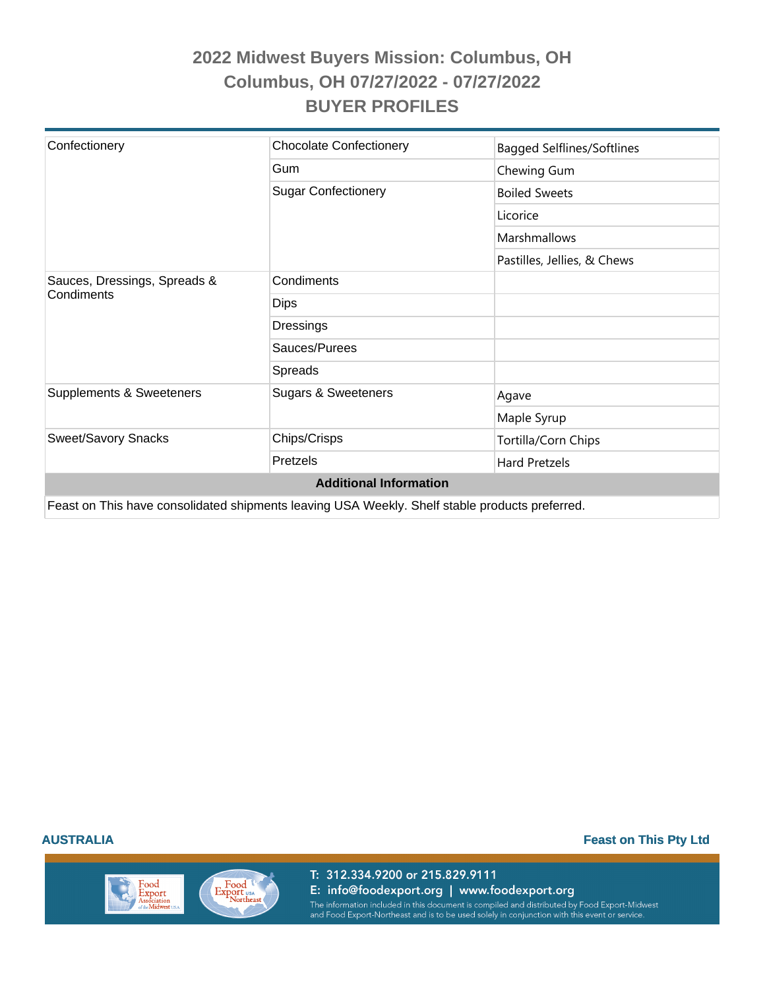| Confectionery                                                                                  | <b>Chocolate Confectionery</b> | <b>Bagged Selflines/Softlines</b> |  |  |
|------------------------------------------------------------------------------------------------|--------------------------------|-----------------------------------|--|--|
|                                                                                                | Gum                            |                                   |  |  |
|                                                                                                |                                | Chewing Gum                       |  |  |
|                                                                                                | <b>Sugar Confectionery</b>     | <b>Boiled Sweets</b>              |  |  |
|                                                                                                |                                | Licorice                          |  |  |
|                                                                                                |                                | Marshmallows                      |  |  |
|                                                                                                |                                | Pastilles, Jellies, & Chews       |  |  |
| Sauces, Dressings, Spreads &<br>Condiments                                                     | Condiments                     |                                   |  |  |
|                                                                                                | <b>Dips</b>                    |                                   |  |  |
|                                                                                                | Dressings                      |                                   |  |  |
|                                                                                                | Sauces/Purees                  |                                   |  |  |
|                                                                                                | Spreads                        |                                   |  |  |
| Supplements & Sweeteners                                                                       | <b>Sugars &amp; Sweeteners</b> | Agave                             |  |  |
|                                                                                                |                                | Maple Syrup                       |  |  |
| Sweet/Savory Snacks                                                                            | Chips/Crisps                   | Tortilla/Corn Chips               |  |  |
|                                                                                                | Pretzels                       | <b>Hard Pretzels</b>              |  |  |
| <b>Additional Information</b>                                                                  |                                |                                   |  |  |
| Feast on This have consolidated shipments leaving USA Weekly. Shelf stable products preferred. |                                |                                   |  |  |

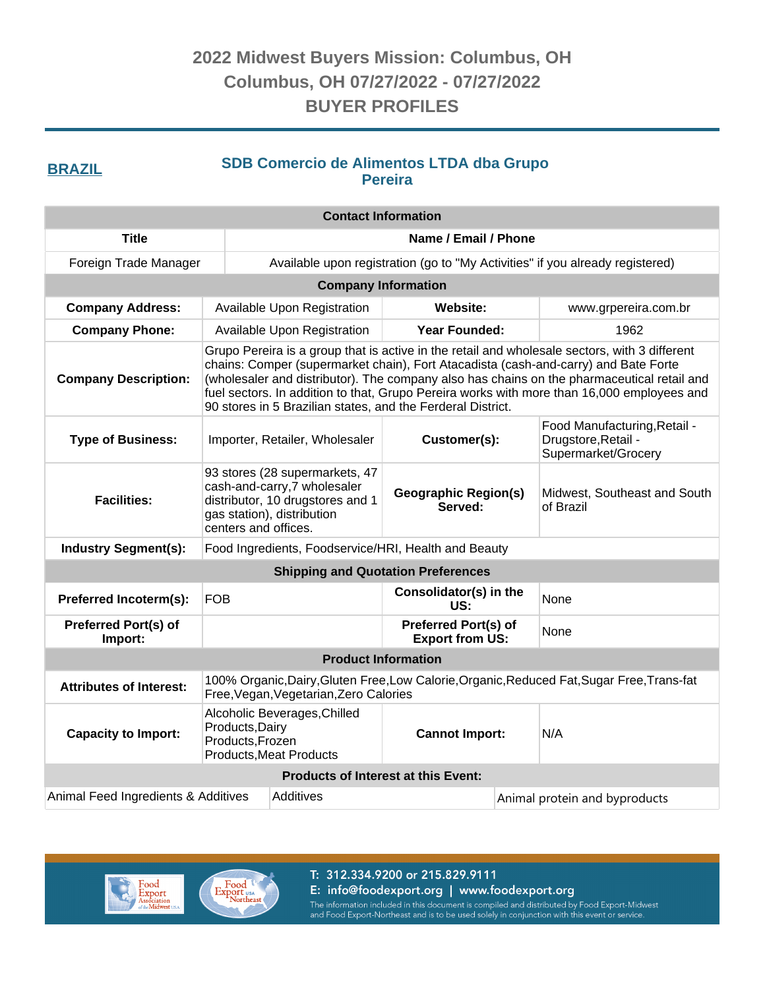# **SDB Comercio de Alimentos LTDA dba Grupo Pereira BRAZIL**

| <b>Contact Information</b>             |                                                                                                                                                                                                                                                                                                                                                                                                                                                 |                                                                                                                                  |                                                |  |                                                                                            |
|----------------------------------------|-------------------------------------------------------------------------------------------------------------------------------------------------------------------------------------------------------------------------------------------------------------------------------------------------------------------------------------------------------------------------------------------------------------------------------------------------|----------------------------------------------------------------------------------------------------------------------------------|------------------------------------------------|--|--------------------------------------------------------------------------------------------|
| <b>Title</b>                           |                                                                                                                                                                                                                                                                                                                                                                                                                                                 | Name / Email / Phone                                                                                                             |                                                |  |                                                                                            |
| Foreign Trade Manager                  | Available upon registration (go to "My Activities" if you already registered)                                                                                                                                                                                                                                                                                                                                                                   |                                                                                                                                  |                                                |  |                                                                                            |
|                                        |                                                                                                                                                                                                                                                                                                                                                                                                                                                 |                                                                                                                                  | <b>Company Information</b>                     |  |                                                                                            |
| <b>Company Address:</b>                |                                                                                                                                                                                                                                                                                                                                                                                                                                                 | Available Upon Registration<br>Website:                                                                                          |                                                |  | www.grpereira.com.br                                                                       |
| <b>Company Phone:</b>                  |                                                                                                                                                                                                                                                                                                                                                                                                                                                 | Available Upon Registration                                                                                                      | <b>Year Founded:</b>                           |  | 1962                                                                                       |
| <b>Company Description:</b>            | Grupo Pereira is a group that is active in the retail and wholesale sectors, with 3 different<br>chains: Comper (supermarket chain), Fort Atacadista (cash-and-carry) and Bate Forte<br>(wholesaler and distributor). The company also has chains on the pharmaceutical retail and<br>fuel sectors. In addition to that, Grupo Pereira works with more than 16,000 employees and<br>90 stores in 5 Brazilian states, and the Ferderal District. |                                                                                                                                  |                                                |  |                                                                                            |
| <b>Type of Business:</b>               |                                                                                                                                                                                                                                                                                                                                                                                                                                                 | Importer, Retailer, Wholesaler                                                                                                   | Customer(s):                                   |  | Food Manufacturing, Retail -<br>Drugstore, Retail -<br>Supermarket/Grocery                 |
| <b>Facilities:</b>                     | centers and offices.                                                                                                                                                                                                                                                                                                                                                                                                                            | 93 stores (28 supermarkets, 47<br>cash-and-carry, 7 wholesaler<br>distributor, 10 drugstores and 1<br>gas station), distribution | <b>Geographic Region(s)</b><br>Served:         |  | Midwest, Southeast and South<br>of Brazil                                                  |
| <b>Industry Segment(s):</b>            |                                                                                                                                                                                                                                                                                                                                                                                                                                                 | Food Ingredients, Foodservice/HRI, Health and Beauty                                                                             |                                                |  |                                                                                            |
|                                        |                                                                                                                                                                                                                                                                                                                                                                                                                                                 | <b>Shipping and Quotation Preferences</b>                                                                                        |                                                |  |                                                                                            |
| Preferred Incoterm(s):                 | <b>FOB</b>                                                                                                                                                                                                                                                                                                                                                                                                                                      |                                                                                                                                  | Consolidator(s) in the<br>US:                  |  | None                                                                                       |
| <b>Preferred Port(s) of</b><br>Import: |                                                                                                                                                                                                                                                                                                                                                                                                                                                 |                                                                                                                                  | Preferred Port(s) of<br><b>Export from US:</b> |  | None                                                                                       |
|                                        |                                                                                                                                                                                                                                                                                                                                                                                                                                                 |                                                                                                                                  | <b>Product Information</b>                     |  |                                                                                            |
| <b>Attributes of Interest:</b>         |                                                                                                                                                                                                                                                                                                                                                                                                                                                 | Free, Vegan, Vegetarian, Zero Calories                                                                                           |                                                |  | 100% Organic, Dairy, Gluten Free, Low Calorie, Organic, Reduced Fat, Sugar Free, Trans-fat |
| <b>Capacity to Import:</b>             | Products, Dairy<br>Products, Frozen                                                                                                                                                                                                                                                                                                                                                                                                             | Alcoholic Beverages, Chilled<br><b>Cannot Import:</b><br>N/A<br><b>Products, Meat Products</b>                                   |                                                |  |                                                                                            |
|                                        |                                                                                                                                                                                                                                                                                                                                                                                                                                                 |                                                                                                                                  | <b>Products of Interest at this Event:</b>     |  |                                                                                            |
| Animal Feed Ingredients & Additives    |                                                                                                                                                                                                                                                                                                                                                                                                                                                 | Additives                                                                                                                        |                                                |  | Animal protein and byproducts                                                              |





T: 312.334.9200 or 215.829.9111 E: info@foodexport.org | www.foodexport.org

The information included in this document is compiled and distributed by Food Export-Midwest<br>and Food Export-Northeast and is to be used solely in conjunction with this event or service.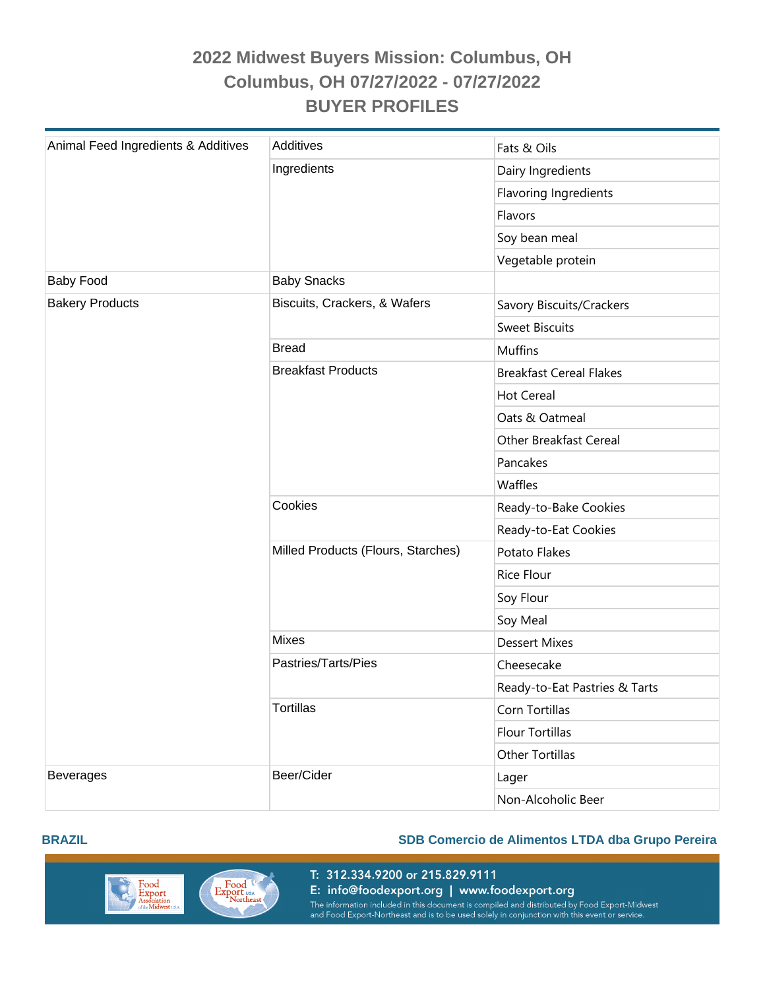| Animal Feed Ingredients & Additives | Additives                          | Fats & Oils                    |
|-------------------------------------|------------------------------------|--------------------------------|
|                                     | Ingredients                        | Dairy Ingredients              |
|                                     |                                    | Flavoring Ingredients          |
|                                     |                                    | Flavors                        |
|                                     |                                    | Soy bean meal                  |
|                                     |                                    | Vegetable protein              |
| <b>Baby Food</b>                    | <b>Baby Snacks</b>                 |                                |
| <b>Bakery Products</b>              | Biscuits, Crackers, & Wafers       | Savory Biscuits/Crackers       |
|                                     |                                    | <b>Sweet Biscuits</b>          |
|                                     | <b>Bread</b>                       | <b>Muffins</b>                 |
|                                     | <b>Breakfast Products</b>          | <b>Breakfast Cereal Flakes</b> |
|                                     |                                    | <b>Hot Cereal</b>              |
|                                     |                                    | Oats & Oatmeal                 |
|                                     |                                    | <b>Other Breakfast Cereal</b>  |
|                                     |                                    | Pancakes                       |
|                                     |                                    | Waffles                        |
|                                     | Cookies                            | Ready-to-Bake Cookies          |
|                                     |                                    | Ready-to-Eat Cookies           |
|                                     | Milled Products (Flours, Starches) | Potato Flakes                  |
|                                     |                                    | <b>Rice Flour</b>              |
|                                     |                                    | Soy Flour                      |
|                                     |                                    | Soy Meal                       |
|                                     | <b>Mixes</b>                       | <b>Dessert Mixes</b>           |
|                                     | Pastries/Tarts/Pies                | Cheesecake                     |
|                                     |                                    | Ready-to-Eat Pastries & Tarts  |
|                                     | Tortillas                          | Corn Tortillas                 |
|                                     |                                    | <b>Flour Tortillas</b>         |
|                                     |                                    | Other Tortillas                |
| <b>Beverages</b>                    | Beer/Cider                         | Lager                          |
|                                     |                                    | Non-Alcoholic Beer             |

### **BRAZIL SDB Comercio de Alimentos LTDA dba Grupo Pereira**

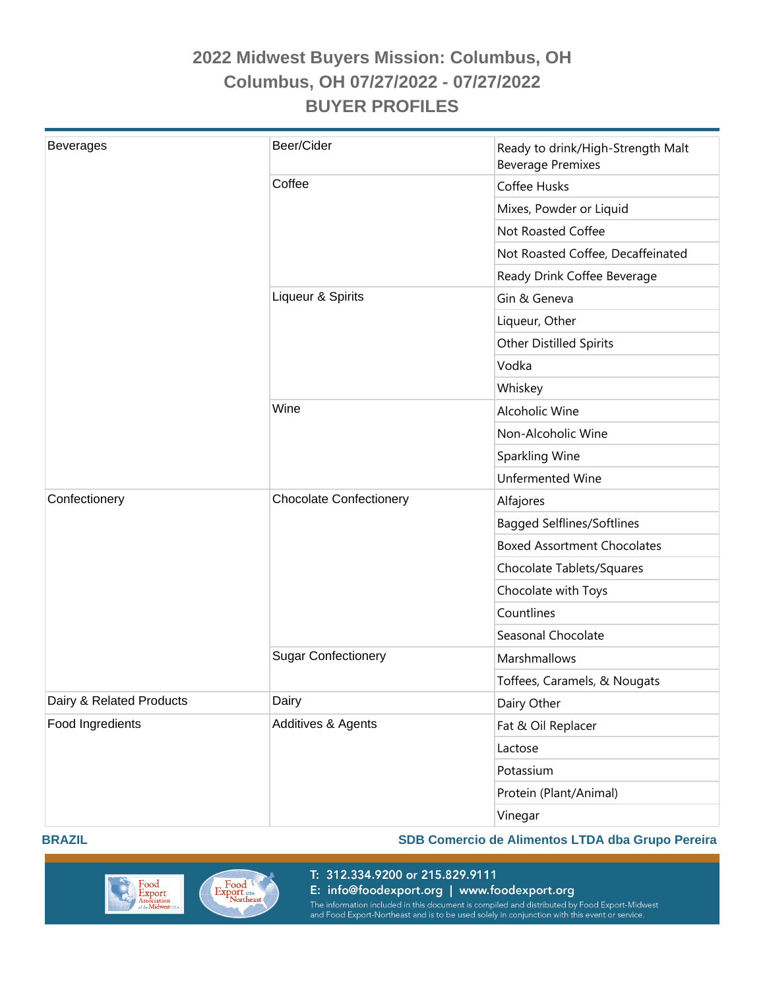| <b>Beverages</b>         | Beer/Cider                     | Ready to drink/High-Strength Malt<br><b>Beverage Premixes</b> |
|--------------------------|--------------------------------|---------------------------------------------------------------|
|                          | Coffee                         | Coffee Husks                                                  |
|                          |                                | Mixes, Powder or Liquid                                       |
|                          |                                | Not Roasted Coffee                                            |
|                          |                                | Not Roasted Coffee, Decaffeinated                             |
|                          |                                | Ready Drink Coffee Beverage                                   |
|                          | Liqueur & Spirits              | Gin & Geneva                                                  |
|                          |                                | Liqueur, Other                                                |
|                          |                                | <b>Other Distilled Spirits</b>                                |
|                          |                                | Vodka                                                         |
|                          |                                | Whiskey                                                       |
|                          | Wine                           | Alcoholic Wine                                                |
|                          |                                | Non-Alcoholic Wine                                            |
|                          |                                | Sparkling Wine                                                |
|                          |                                | Unfermented Wine                                              |
| Confectionery            | <b>Chocolate Confectionery</b> | Alfajores                                                     |
|                          |                                | <b>Bagged Selflines/Softlines</b>                             |
|                          |                                | <b>Boxed Assortment Chocolates</b>                            |
|                          |                                | Chocolate Tablets/Squares                                     |
|                          |                                | Chocolate with Toys                                           |
|                          |                                | Countlines                                                    |
|                          |                                | Seasonal Chocolate                                            |
|                          | <b>Sugar Confectionery</b>     | Marshmallows                                                  |
|                          |                                | Toffees, Caramels, & Nougats                                  |
| Dairy & Related Products | Dairy                          | Dairy Other                                                   |
| Food Ingredients         | Additives & Agents             | Fat & Oil Replacer                                            |
|                          |                                | Lactose                                                       |
|                          |                                | Potassium                                                     |
|                          |                                | Protein (Plant/Animal)                                        |
|                          |                                | Vinegar                                                       |

### **BRAZIL SDB Comercio de Alimentos LTDA dba Grupo Pereira**





E: info@foodexport.org | www.foodexport.org The information included in this document is compiled and distributed by Food Export-Midwest<br>and Food Export-Northeast and is to be used solely in conjunction with this event or service.

T: 312.334.9200 or 215.829.9111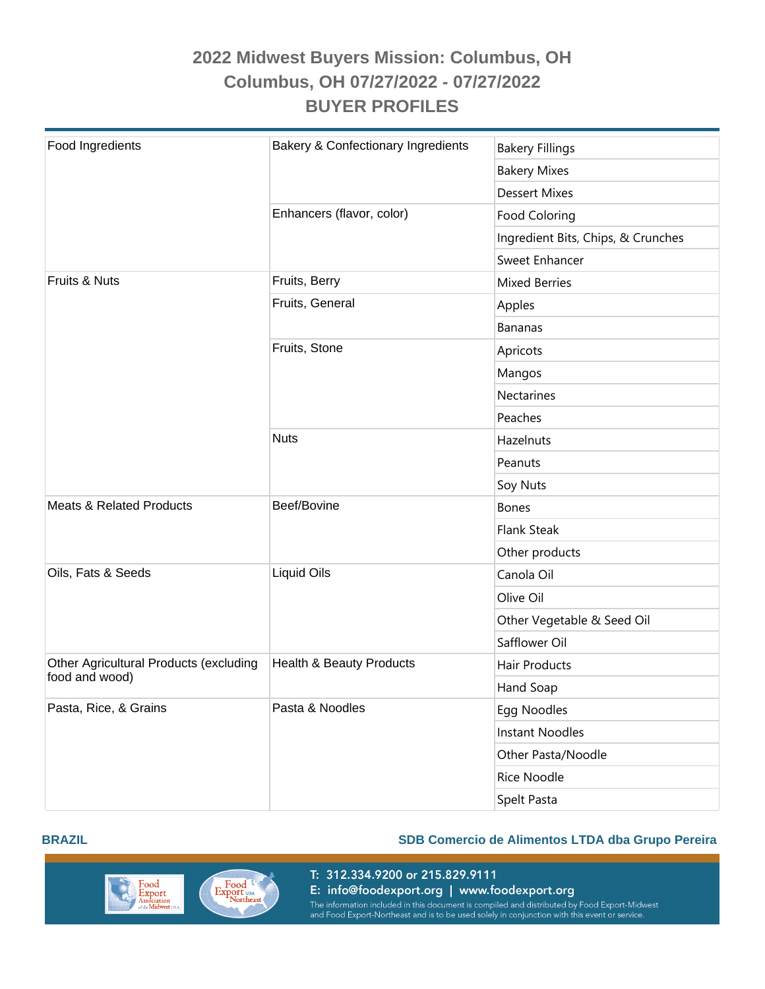| Food Ingredients                       | Bakery & Confectionary Ingredients | <b>Bakery Fillings</b>             |
|----------------------------------------|------------------------------------|------------------------------------|
|                                        |                                    | <b>Bakery Mixes</b>                |
|                                        |                                    | <b>Dessert Mixes</b>               |
|                                        | Enhancers (flavor, color)          | Food Coloring                      |
|                                        |                                    | Ingredient Bits, Chips, & Crunches |
|                                        |                                    | Sweet Enhancer                     |
| <b>Fruits &amp; Nuts</b>               | Fruits, Berry                      | <b>Mixed Berries</b>               |
|                                        | Fruits, General                    | Apples                             |
|                                        |                                    | <b>Bananas</b>                     |
|                                        | Fruits, Stone                      | Apricots                           |
|                                        |                                    | Mangos                             |
|                                        |                                    | Nectarines                         |
|                                        |                                    | Peaches                            |
|                                        | <b>Nuts</b>                        | Hazelnuts                          |
|                                        |                                    | Peanuts                            |
|                                        |                                    | Soy Nuts                           |
| <b>Meats &amp; Related Products</b>    | Beef/Bovine                        | <b>Bones</b>                       |
|                                        |                                    | <b>Flank Steak</b>                 |
|                                        |                                    | Other products                     |
| Oils, Fats & Seeds                     | Liquid Oils                        | Canola Oil                         |
|                                        |                                    | Olive Oil                          |
|                                        |                                    | Other Vegetable & Seed Oil         |
|                                        |                                    | Safflower Oil                      |
| Other Agricultural Products (excluding | Health & Beauty Products           | <b>Hair Products</b>               |
| food and wood)                         |                                    | Hand Soap                          |
| Pasta, Rice, & Grains                  | Pasta & Noodles                    | Egg Noodles                        |
|                                        |                                    | <b>Instant Noodles</b>             |
|                                        |                                    | Other Pasta/Noodle                 |
|                                        |                                    | Rice Noodle                        |
|                                        |                                    | Spelt Pasta                        |

### **BRAZIL SDB Comercio de Alimentos LTDA dba Grupo Pereira**



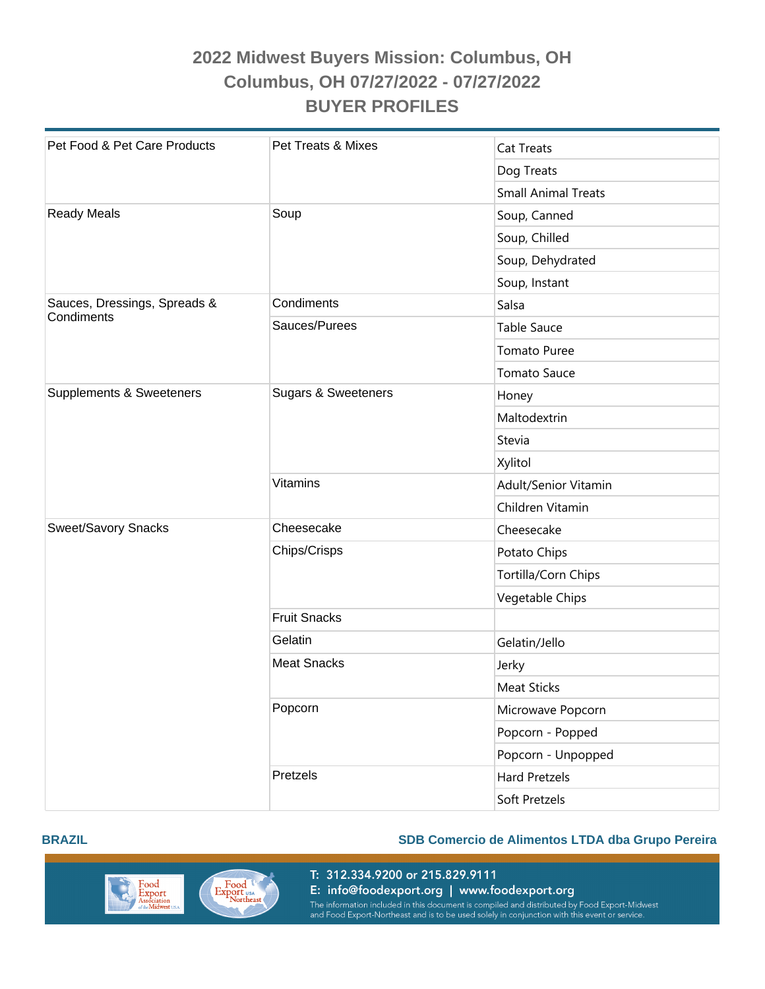| Pet Food & Pet Care Products | Pet Treats & Mixes             | <b>Cat Treats</b>          |
|------------------------------|--------------------------------|----------------------------|
|                              |                                | Dog Treats                 |
|                              |                                | <b>Small Animal Treats</b> |
| <b>Ready Meals</b>           | Soup                           | Soup, Canned               |
|                              |                                | Soup, Chilled              |
|                              |                                | Soup, Dehydrated           |
|                              |                                | Soup, Instant              |
| Sauces, Dressings, Spreads & | Condiments                     | Salsa                      |
| Condiments                   | Sauces/Purees                  | <b>Table Sauce</b>         |
|                              |                                | <b>Tomato Puree</b>        |
|                              |                                | <b>Tomato Sauce</b>        |
| Supplements & Sweeteners     | <b>Sugars &amp; Sweeteners</b> | Honey                      |
|                              |                                | Maltodextrin               |
|                              |                                | Stevia                     |
|                              |                                | Xylitol                    |
|                              | Vitamins                       | Adult/Senior Vitamin       |
|                              |                                | Children Vitamin           |
| <b>Sweet/Savory Snacks</b>   | Cheesecake                     | Cheesecake                 |
|                              | Chips/Crisps                   | Potato Chips               |
|                              |                                | Tortilla/Corn Chips        |
|                              |                                | Vegetable Chips            |
|                              | <b>Fruit Snacks</b>            |                            |
|                              | Gelatin                        | Gelatin/Jello              |
|                              | <b>Meat Snacks</b>             | Jerky                      |
|                              |                                | <b>Meat Sticks</b>         |
|                              | Popcorn                        | Microwave Popcorn          |
|                              |                                | Popcorn - Popped           |
|                              |                                | Popcorn - Unpopped         |
|                              | Pretzels                       | <b>Hard Pretzels</b>       |
|                              |                                | Soft Pretzels              |

### **BRAZIL SDB Comercio de Alimentos LTDA dba Grupo Pereira**

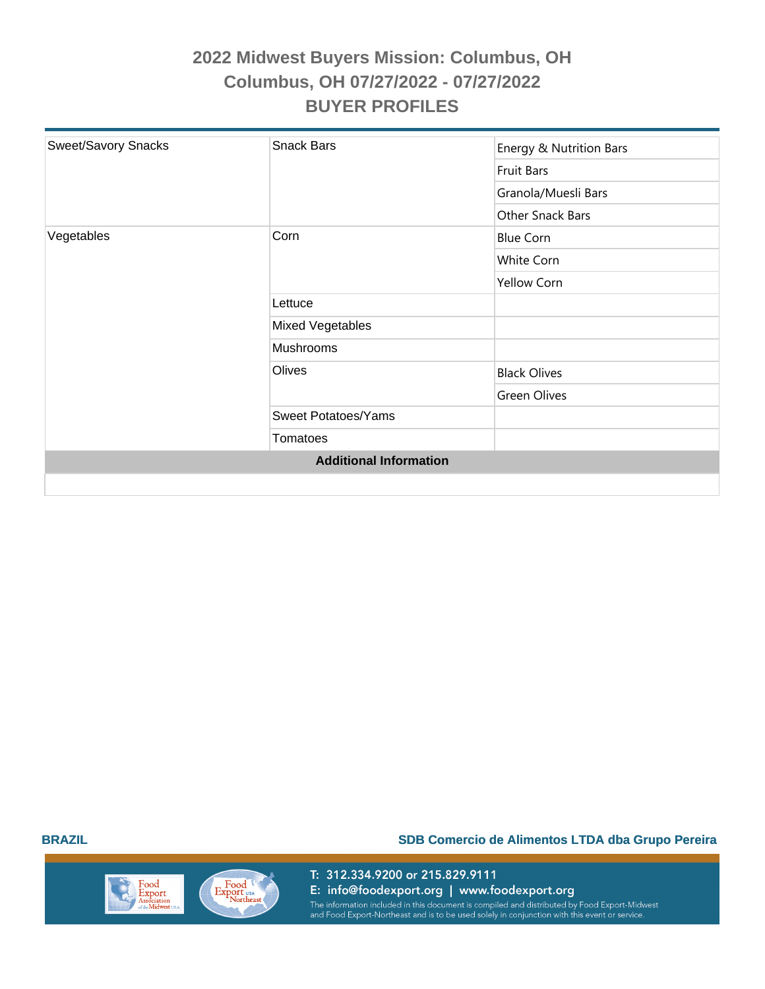| Sweet/Savory Snacks | <b>Snack Bars</b>             | Energy & Nutrition Bars |
|---------------------|-------------------------------|-------------------------|
|                     |                               | <b>Fruit Bars</b>       |
|                     |                               | Granola/Muesli Bars     |
|                     |                               | Other Snack Bars        |
| Vegetables          | Corn                          | <b>Blue Corn</b>        |
|                     |                               | White Corn              |
|                     |                               | Yellow Corn             |
|                     | Lettuce                       |                         |
|                     | Mixed Vegetables              |                         |
|                     | <b>Mushrooms</b>              |                         |
|                     | Olives                        | <b>Black Olives</b>     |
|                     |                               | <b>Green Olives</b>     |
|                     | <b>Sweet Potatoes/Yams</b>    |                         |
|                     | Tomatoes                      |                         |
|                     | <b>Additional Information</b> |                         |
|                     |                               |                         |

### **BRAZIL SDB Comercio de Alimentos LTDA dba Grupo Pereira**

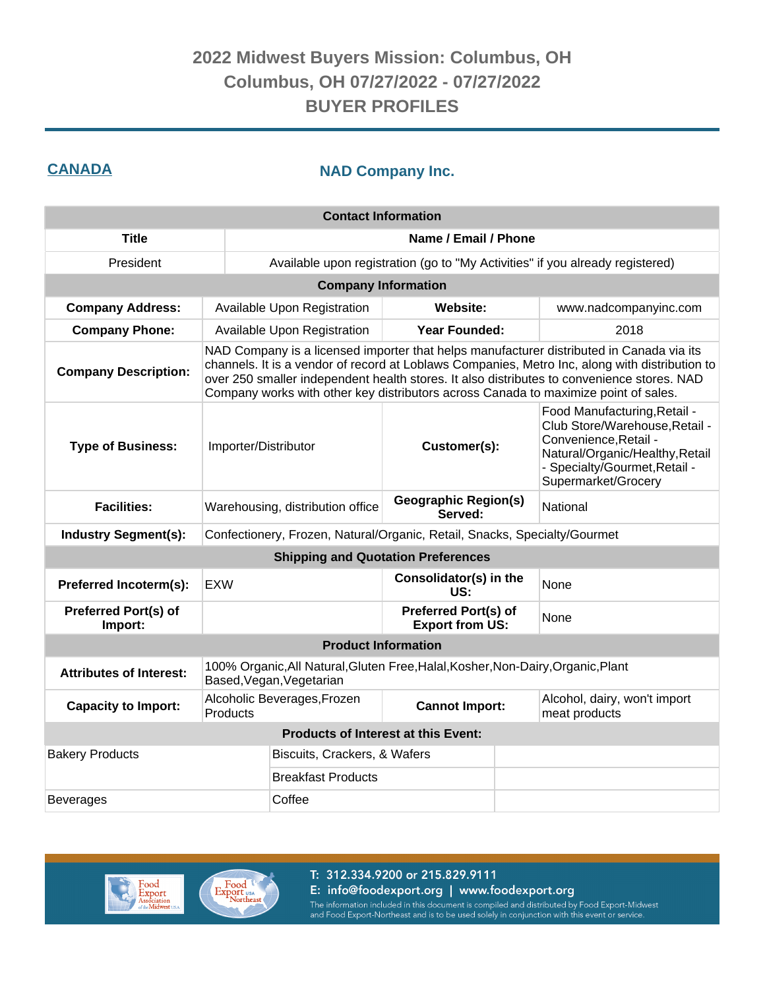### **CANADA NAD Company Inc.**

| <b>Contact Information</b>             |                                                                           |                                                                                                                                                                                                                                                                                                                                                                                 |                                                                                  |  |                                                                                                                                                                                    |
|----------------------------------------|---------------------------------------------------------------------------|---------------------------------------------------------------------------------------------------------------------------------------------------------------------------------------------------------------------------------------------------------------------------------------------------------------------------------------------------------------------------------|----------------------------------------------------------------------------------|--|------------------------------------------------------------------------------------------------------------------------------------------------------------------------------------|
| <b>Title</b>                           |                                                                           | Name / Email / Phone                                                                                                                                                                                                                                                                                                                                                            |                                                                                  |  |                                                                                                                                                                                    |
| President                              |                                                                           | Available upon registration (go to "My Activities" if you already registered)                                                                                                                                                                                                                                                                                                   |                                                                                  |  |                                                                                                                                                                                    |
|                                        |                                                                           |                                                                                                                                                                                                                                                                                                                                                                                 | <b>Company Information</b>                                                       |  |                                                                                                                                                                                    |
| <b>Company Address:</b>                |                                                                           | Available Upon Registration                                                                                                                                                                                                                                                                                                                                                     | Website:                                                                         |  | www.nadcompanyinc.com                                                                                                                                                              |
| <b>Company Phone:</b>                  |                                                                           | Available Upon Registration                                                                                                                                                                                                                                                                                                                                                     | <b>Year Founded:</b>                                                             |  | 2018                                                                                                                                                                               |
| <b>Company Description:</b>            |                                                                           | NAD Company is a licensed importer that helps manufacturer distributed in Canada via its<br>channels. It is a vendor of record at Loblaws Companies, Metro Inc, along with distribution to<br>over 250 smaller independent health stores. It also distributes to convenience stores. NAD<br>Company works with other key distributors across Canada to maximize point of sales. |                                                                                  |  |                                                                                                                                                                                    |
| <b>Type of Business:</b>               | Importer/Distributor                                                      |                                                                                                                                                                                                                                                                                                                                                                                 | Customer(s):                                                                     |  | Food Manufacturing, Retail -<br>Club Store/Warehouse, Retail -<br>Convenience, Retail -<br>Natural/Organic/Healthy, Retail<br>- Specialty/Gourmet, Retail -<br>Supermarket/Grocery |
| <b>Facilities:</b>                     |                                                                           | Warehousing, distribution office                                                                                                                                                                                                                                                                                                                                                | <b>Geographic Region(s)</b><br>Served:                                           |  | National                                                                                                                                                                           |
| <b>Industry Segment(s):</b>            | Confectionery, Frozen, Natural/Organic, Retail, Snacks, Specialty/Gourmet |                                                                                                                                                                                                                                                                                                                                                                                 |                                                                                  |  |                                                                                                                                                                                    |
|                                        |                                                                           |                                                                                                                                                                                                                                                                                                                                                                                 | <b>Shipping and Quotation Preferences</b>                                        |  |                                                                                                                                                                                    |
| Preferred Incoterm(s):                 | <b>EXW</b>                                                                | Consolidator(s) in the<br>None<br>US:                                                                                                                                                                                                                                                                                                                                           |                                                                                  |  |                                                                                                                                                                                    |
| <b>Preferred Port(s) of</b><br>Import: |                                                                           |                                                                                                                                                                                                                                                                                                                                                                                 | <b>Preferred Port(s) of</b><br><b>Export from US:</b>                            |  | None                                                                                                                                                                               |
|                                        |                                                                           |                                                                                                                                                                                                                                                                                                                                                                                 | <b>Product Information</b>                                                       |  |                                                                                                                                                                                    |
| <b>Attributes of Interest:</b>         |                                                                           | Based, Vegan, Vegetarian                                                                                                                                                                                                                                                                                                                                                        | 100% Organic, All Natural, Gluten Free, Halal, Kosher, Non-Dairy, Organic, Plant |  |                                                                                                                                                                                    |
| <b>Capacity to Import:</b>             | Products                                                                  | Alcoholic Beverages, Frozen<br><b>Cannot Import:</b>                                                                                                                                                                                                                                                                                                                            |                                                                                  |  | Alcohol, dairy, won't import<br>meat products                                                                                                                                      |
|                                        |                                                                           |                                                                                                                                                                                                                                                                                                                                                                                 | <b>Products of Interest at this Event:</b>                                       |  |                                                                                                                                                                                    |
| <b>Bakery Products</b>                 |                                                                           | Biscuits, Crackers, & Wafers                                                                                                                                                                                                                                                                                                                                                    |                                                                                  |  |                                                                                                                                                                                    |
|                                        |                                                                           | <b>Breakfast Products</b>                                                                                                                                                                                                                                                                                                                                                       |                                                                                  |  |                                                                                                                                                                                    |
| Beverages                              |                                                                           | Coffee                                                                                                                                                                                                                                                                                                                                                                          |                                                                                  |  |                                                                                                                                                                                    |



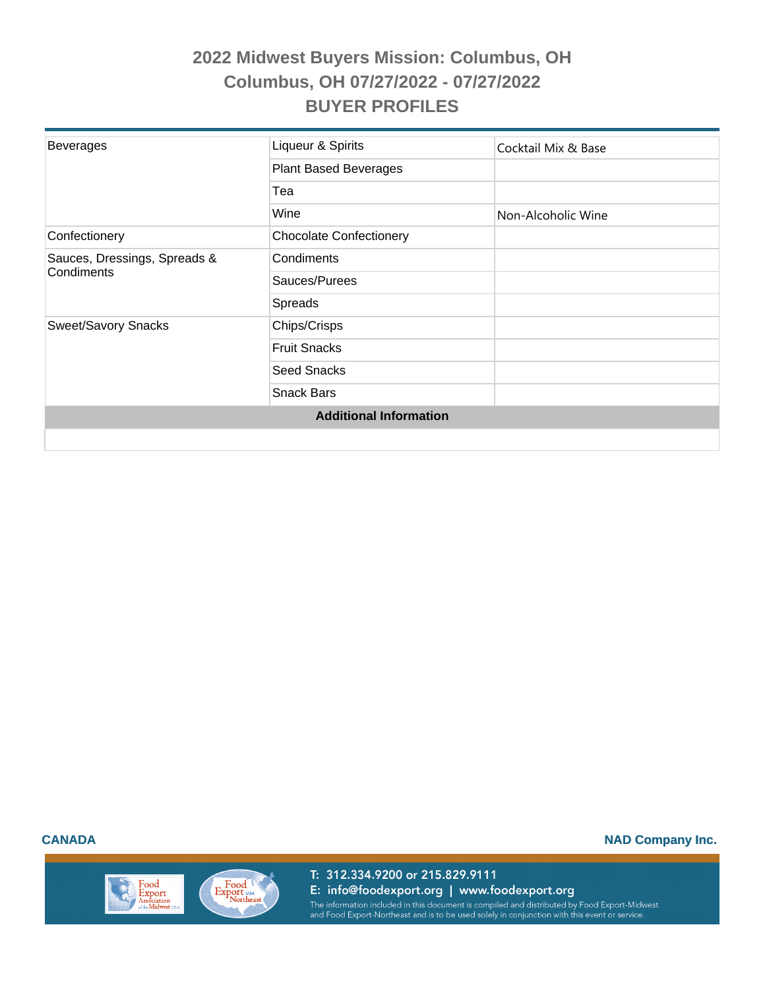| <b>Beverages</b>             | Liqueur & Spirits              |                     |
|------------------------------|--------------------------------|---------------------|
|                              |                                | Cocktail Mix & Base |
|                              | <b>Plant Based Beverages</b>   |                     |
|                              | Tea                            |                     |
|                              | Wine                           | Non-Alcoholic Wine  |
| Confectionery                | <b>Chocolate Confectionery</b> |                     |
| Sauces, Dressings, Spreads & | Condiments                     |                     |
| Condiments                   | Sauces/Purees                  |                     |
|                              | Spreads                        |                     |
| <b>Sweet/Savory Snacks</b>   | Chips/Crisps                   |                     |
|                              | <b>Fruit Snacks</b>            |                     |
|                              | <b>Seed Snacks</b>             |                     |
|                              | <b>Snack Bars</b>              |                     |
|                              | <b>Additional Information</b>  |                     |
|                              |                                |                     |

**CANADA NAD Company Inc.** 

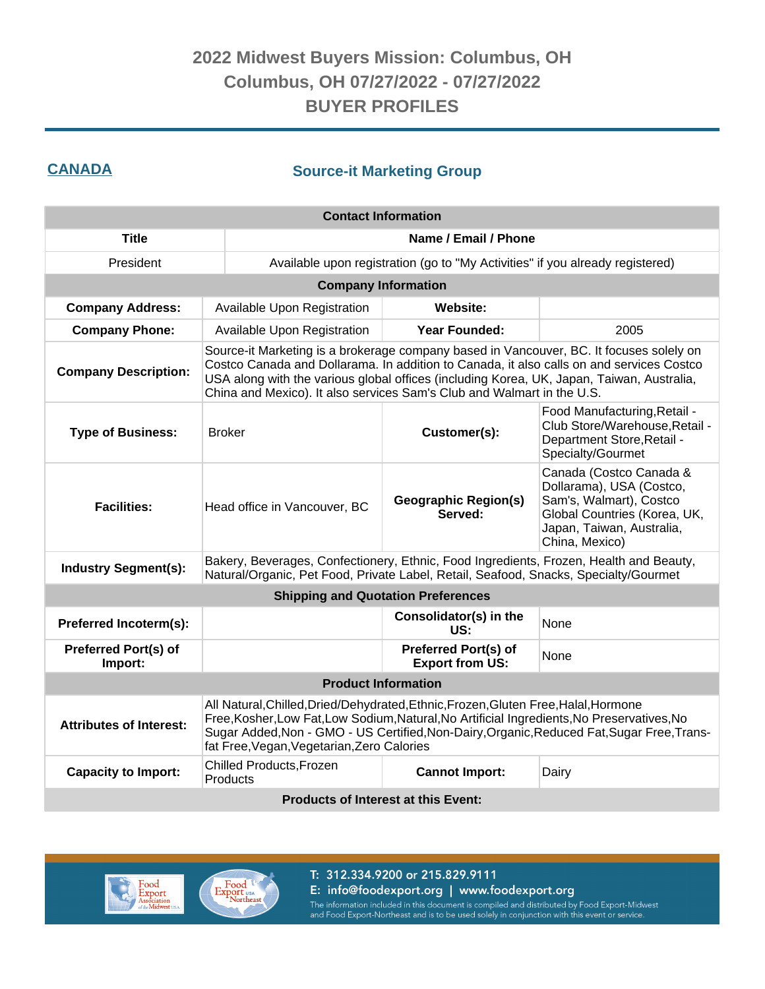### **CANADA Source-it Marketing Group**

| <b>Contact Information</b>             |                                                                                                                                                                                                                                                                                                                                |                                                                                                                                                                                                                                                                                                                                                            |                                                                                                                                                               |  |  |
|----------------------------------------|--------------------------------------------------------------------------------------------------------------------------------------------------------------------------------------------------------------------------------------------------------------------------------------------------------------------------------|------------------------------------------------------------------------------------------------------------------------------------------------------------------------------------------------------------------------------------------------------------------------------------------------------------------------------------------------------------|---------------------------------------------------------------------------------------------------------------------------------------------------------------|--|--|
| <b>Title</b>                           |                                                                                                                                                                                                                                                                                                                                | Name / Email / Phone                                                                                                                                                                                                                                                                                                                                       |                                                                                                                                                               |  |  |
| President                              |                                                                                                                                                                                                                                                                                                                                | Available upon registration (go to "My Activities" if you already registered)                                                                                                                                                                                                                                                                              |                                                                                                                                                               |  |  |
|                                        |                                                                                                                                                                                                                                                                                                                                | <b>Company Information</b>                                                                                                                                                                                                                                                                                                                                 |                                                                                                                                                               |  |  |
| <b>Company Address:</b>                | Available Upon Registration                                                                                                                                                                                                                                                                                                    | Website:                                                                                                                                                                                                                                                                                                                                                   |                                                                                                                                                               |  |  |
| <b>Company Phone:</b>                  | Available Upon Registration                                                                                                                                                                                                                                                                                                    | <b>Year Founded:</b>                                                                                                                                                                                                                                                                                                                                       | 2005                                                                                                                                                          |  |  |
| <b>Company Description:</b>            |                                                                                                                                                                                                                                                                                                                                | Source-it Marketing is a brokerage company based in Vancouver, BC. It focuses solely on<br>Costco Canada and Dollarama. In addition to Canada, it also calls on and services Costco<br>USA along with the various global offices (including Korea, UK, Japan, Taiwan, Australia,<br>China and Mexico). It also services Sam's Club and Walmart in the U.S. |                                                                                                                                                               |  |  |
| <b>Type of Business:</b>               | <b>Broker</b>                                                                                                                                                                                                                                                                                                                  | Customer(s):                                                                                                                                                                                                                                                                                                                                               | Food Manufacturing, Retail -<br>Club Store/Warehouse, Retail -<br>Department Store, Retail -<br>Specialty/Gourmet                                             |  |  |
| <b>Facilities:</b>                     | Head office in Vancouver, BC                                                                                                                                                                                                                                                                                                   | <b>Geographic Region(s)</b><br>Served:                                                                                                                                                                                                                                                                                                                     | Canada (Costco Canada &<br>Dollarama), USA (Costco,<br>Sam's, Walmart), Costco<br>Global Countries (Korea, UK,<br>Japan, Taiwan, Australia,<br>China, Mexico) |  |  |
| <b>Industry Segment(s):</b>            | Bakery, Beverages, Confectionery, Ethnic, Food Ingredients, Frozen, Health and Beauty,<br>Natural/Organic, Pet Food, Private Label, Retail, Seafood, Snacks, Specialty/Gourmet                                                                                                                                                 |                                                                                                                                                                                                                                                                                                                                                            |                                                                                                                                                               |  |  |
|                                        |                                                                                                                                                                                                                                                                                                                                | <b>Shipping and Quotation Preferences</b>                                                                                                                                                                                                                                                                                                                  |                                                                                                                                                               |  |  |
| Preferred Incoterm(s):                 |                                                                                                                                                                                                                                                                                                                                | Consolidator(s) in the<br>US:                                                                                                                                                                                                                                                                                                                              | None                                                                                                                                                          |  |  |
| <b>Preferred Port(s) of</b><br>Import: |                                                                                                                                                                                                                                                                                                                                | <b>Preferred Port(s) of</b><br><b>Export from US:</b>                                                                                                                                                                                                                                                                                                      | None                                                                                                                                                          |  |  |
| <b>Product Information</b>             |                                                                                                                                                                                                                                                                                                                                |                                                                                                                                                                                                                                                                                                                                                            |                                                                                                                                                               |  |  |
| <b>Attributes of Interest:</b>         | All Natural, Chilled, Dried/Dehydrated, Ethnic, Frozen, Gluten Free, Halal, Hormone<br>Free, Kosher, Low Fat, Low Sodium, Natural, No Artificial Ingredients, No Preservatives, No<br>Sugar Added, Non - GMO - US Certified, Non-Dairy, Organic, Reduced Fat, Sugar Free, Trans-<br>fat Free, Vegan, Vegetarian, Zero Calories |                                                                                                                                                                                                                                                                                                                                                            |                                                                                                                                                               |  |  |
| <b>Capacity to Import:</b>             | <b>Chilled Products, Frozen</b><br>Products                                                                                                                                                                                                                                                                                    | <b>Cannot Import:</b>                                                                                                                                                                                                                                                                                                                                      | Dairy                                                                                                                                                         |  |  |
|                                        | Donald at a finite of                                                                                                                                                                                                                                                                                                          | Alaba, Paul                                                                                                                                                                                                                                                                                                                                                |                                                                                                                                                               |  |  |

**Products of Interest at this Event:**



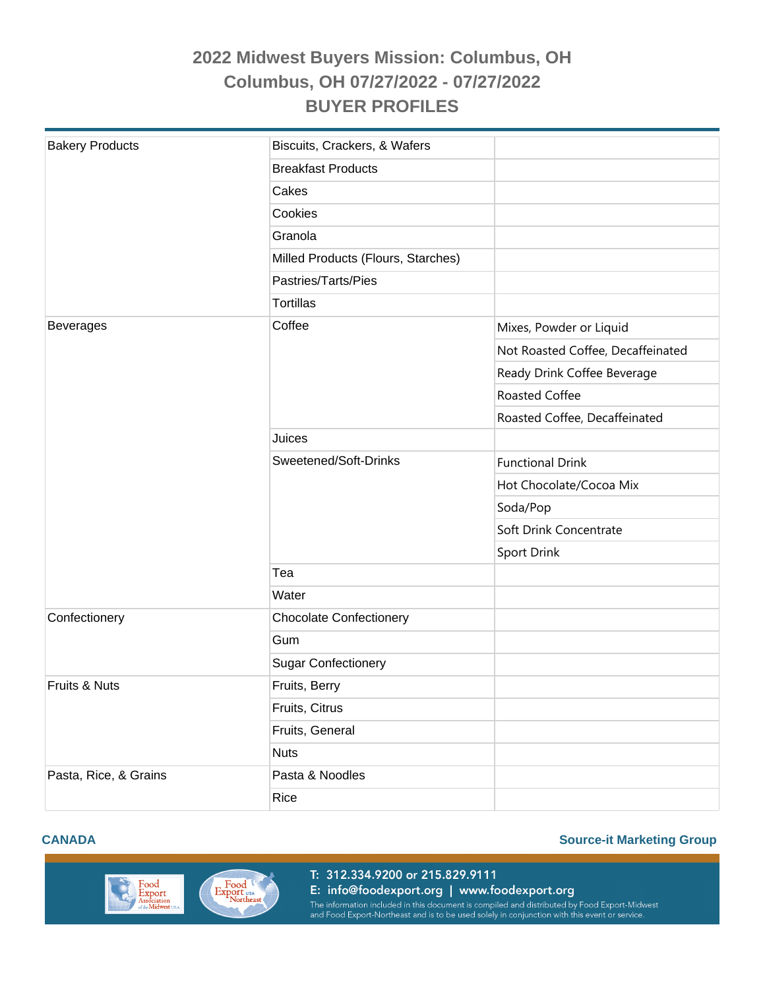| <b>Bakery Products</b> | Biscuits, Crackers, & Wafers       |                                   |
|------------------------|------------------------------------|-----------------------------------|
|                        | <b>Breakfast Products</b>          |                                   |
|                        | Cakes                              |                                   |
|                        | Cookies                            |                                   |
|                        | Granola                            |                                   |
|                        | Milled Products (Flours, Starches) |                                   |
|                        | Pastries/Tarts/Pies                |                                   |
|                        | <b>Tortillas</b>                   |                                   |
| <b>Beverages</b>       | Coffee                             | Mixes, Powder or Liquid           |
|                        |                                    | Not Roasted Coffee, Decaffeinated |
|                        |                                    | Ready Drink Coffee Beverage       |
|                        |                                    | Roasted Coffee                    |
|                        |                                    | Roasted Coffee, Decaffeinated     |
|                        | Juices                             |                                   |
|                        | Sweetened/Soft-Drinks              | <b>Functional Drink</b>           |
|                        |                                    | Hot Chocolate/Cocoa Mix           |
|                        |                                    | Soda/Pop                          |
|                        |                                    | Soft Drink Concentrate            |
|                        |                                    | Sport Drink                       |
|                        | Tea                                |                                   |
|                        | Water                              |                                   |
| Confectionery          | <b>Chocolate Confectionery</b>     |                                   |
|                        | Gum                                |                                   |
|                        | <b>Sugar Confectionery</b>         |                                   |
| Fruits & Nuts          | Fruits, Berry                      |                                   |
|                        | Fruits, Citrus                     |                                   |
|                        | Fruits, General                    |                                   |
|                        | <b>Nuts</b>                        |                                   |
| Pasta, Rice, & Grains  | Pasta & Noodles                    |                                   |
|                        | Rice                               |                                   |

### **CANADA Source-it Marketing Group**

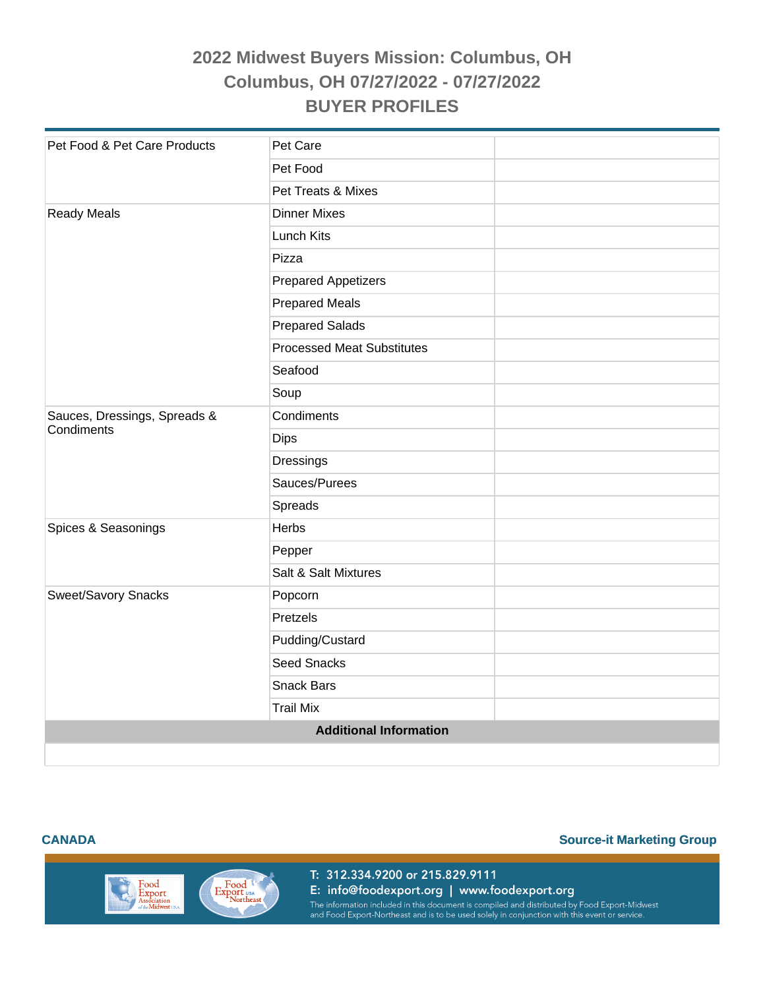| Pet Food & Pet Care Products  | Pet Care                          |  |  |  |  |
|-------------------------------|-----------------------------------|--|--|--|--|
|                               | Pet Food                          |  |  |  |  |
|                               | Pet Treats & Mixes                |  |  |  |  |
| <b>Ready Meals</b>            | <b>Dinner Mixes</b>               |  |  |  |  |
|                               | Lunch Kits                        |  |  |  |  |
|                               | Pizza                             |  |  |  |  |
|                               | <b>Prepared Appetizers</b>        |  |  |  |  |
|                               | <b>Prepared Meals</b>             |  |  |  |  |
|                               | <b>Prepared Salads</b>            |  |  |  |  |
|                               | <b>Processed Meat Substitutes</b> |  |  |  |  |
|                               | Seafood                           |  |  |  |  |
|                               | Soup                              |  |  |  |  |
| Sauces, Dressings, Spreads &  | Condiments                        |  |  |  |  |
| Condiments                    | <b>Dips</b>                       |  |  |  |  |
|                               | Dressings                         |  |  |  |  |
|                               | Sauces/Purees                     |  |  |  |  |
|                               | Spreads                           |  |  |  |  |
| Spices & Seasonings           | Herbs                             |  |  |  |  |
|                               | Pepper                            |  |  |  |  |
|                               | Salt & Salt Mixtures              |  |  |  |  |
| Sweet/Savory Snacks           | Popcorn                           |  |  |  |  |
|                               | Pretzels                          |  |  |  |  |
|                               | Pudding/Custard                   |  |  |  |  |
|                               | <b>Seed Snacks</b>                |  |  |  |  |
|                               | <b>Snack Bars</b>                 |  |  |  |  |
|                               | <b>Trail Mix</b>                  |  |  |  |  |
| <b>Additional Information</b> |                                   |  |  |  |  |
|                               |                                   |  |  |  |  |

### **CANADA Source-it Marketing Group**



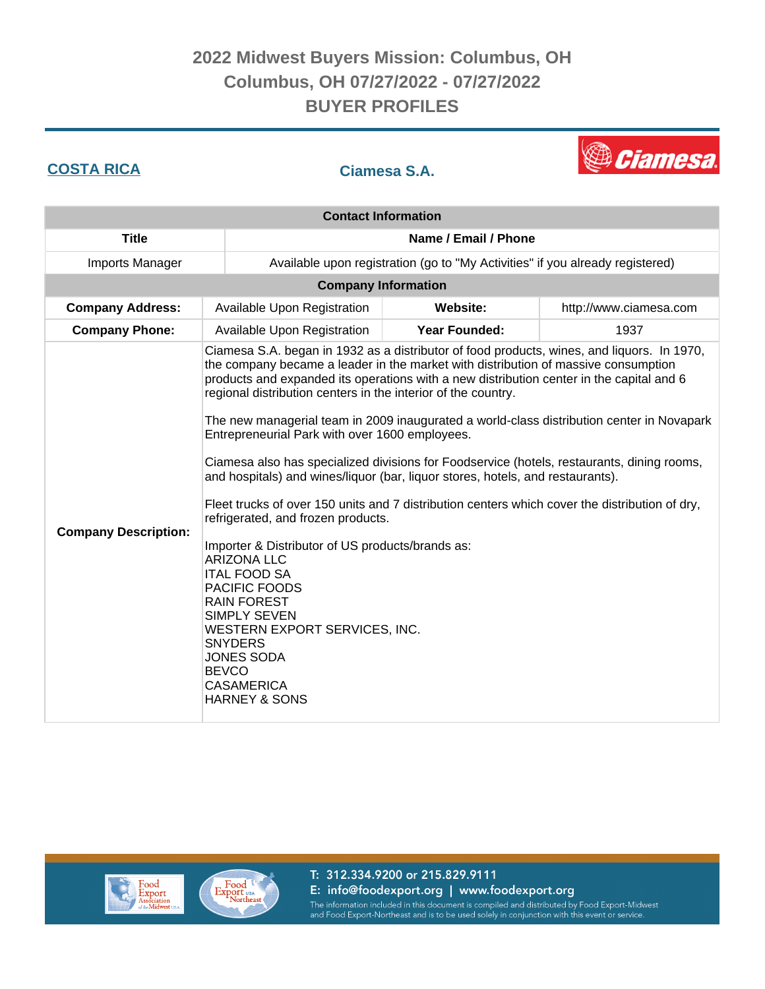**COSTA RICA Ciamesa S.A.**



| <b>Contact Information</b>  |  |                                                                                                                                                                                                                                                                                                                                                                                                                                                               |                                                                                                                                                                                                                                                                  |                                                                                                                                                                                                                                                                                                                                                                                         |  |  |  |
|-----------------------------|--|---------------------------------------------------------------------------------------------------------------------------------------------------------------------------------------------------------------------------------------------------------------------------------------------------------------------------------------------------------------------------------------------------------------------------------------------------------------|------------------------------------------------------------------------------------------------------------------------------------------------------------------------------------------------------------------------------------------------------------------|-----------------------------------------------------------------------------------------------------------------------------------------------------------------------------------------------------------------------------------------------------------------------------------------------------------------------------------------------------------------------------------------|--|--|--|
| <b>Title</b>                |  | Name / Email / Phone                                                                                                                                                                                                                                                                                                                                                                                                                                          |                                                                                                                                                                                                                                                                  |                                                                                                                                                                                                                                                                                                                                                                                         |  |  |  |
| Imports Manager             |  |                                                                                                                                                                                                                                                                                                                                                                                                                                                               | Available upon registration (go to "My Activities" if you already registered)                                                                                                                                                                                    |                                                                                                                                                                                                                                                                                                                                                                                         |  |  |  |
| <b>Company Information</b>  |  |                                                                                                                                                                                                                                                                                                                                                                                                                                                               |                                                                                                                                                                                                                                                                  |                                                                                                                                                                                                                                                                                                                                                                                         |  |  |  |
| <b>Company Address:</b>     |  | Available Upon Registration                                                                                                                                                                                                                                                                                                                                                                                                                                   | Website:                                                                                                                                                                                                                                                         | http://www.ciamesa.com                                                                                                                                                                                                                                                                                                                                                                  |  |  |  |
| <b>Company Phone:</b>       |  | <b>Available Upon Registration</b>                                                                                                                                                                                                                                                                                                                                                                                                                            | <b>Year Founded:</b>                                                                                                                                                                                                                                             | 1937                                                                                                                                                                                                                                                                                                                                                                                    |  |  |  |
| <b>Company Description:</b> |  | regional distribution centers in the interior of the country.<br>Entrepreneurial Park with over 1600 employees.<br>refrigerated, and frozen products.<br>Importer & Distributor of US products/brands as:<br><b>ARIZONA LLC</b><br><b>ITAL FOOD SA</b><br>PACIFIC FOODS<br><b>RAIN FOREST</b><br><b>SIMPLY SEVEN</b><br>WESTERN EXPORT SERVICES, INC.<br><b>SNYDERS</b><br><b>JONES SODA</b><br><b>BEVCO</b><br><b>CASAMERICA</b><br><b>HARNEY &amp; SONS</b> | the company became a leader in the market with distribution of massive consumption<br>products and expanded its operations with a new distribution center in the capital and 6<br>and hospitals) and wines/liquor (bar, liquor stores, hotels, and restaurants). | Ciamesa S.A. began in 1932 as a distributor of food products, wines, and liquors. In 1970,<br>The new managerial team in 2009 inaugurated a world-class distribution center in Novapark<br>Ciamesa also has specialized divisions for Foodservice (hotels, restaurants, dining rooms,<br>Fleet trucks of over 150 units and 7 distribution centers which cover the distribution of dry, |  |  |  |

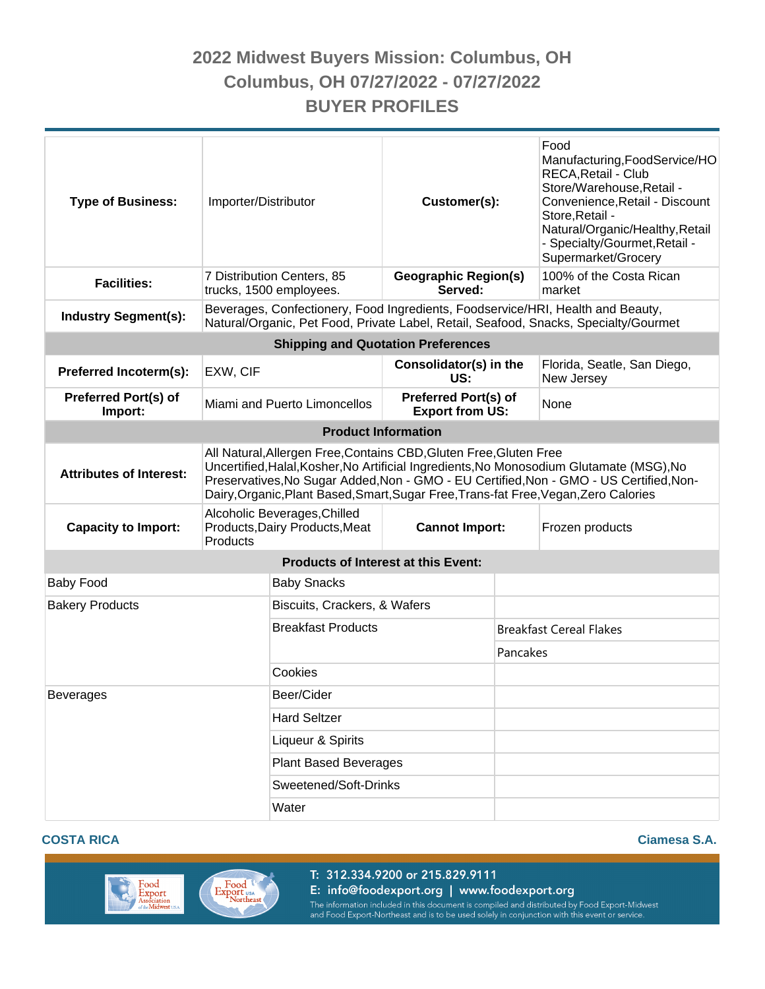| <b>Type of Business:</b>                   | Importer/Distributor                                                                                                                                                                                                                                                                                                                              |                                                       | Customer(s):                                          |                                | Food<br>Manufacturing, FoodService/HO<br>RECA, Retail - Club<br>Store/Warehouse, Retail -<br>Convenience, Retail - Discount<br>Store, Retail -<br>Natural/Organic/Healthy, Retail<br>- Specialty/Gourmet, Retail -<br>Supermarket/Grocery |  |
|--------------------------------------------|---------------------------------------------------------------------------------------------------------------------------------------------------------------------------------------------------------------------------------------------------------------------------------------------------------------------------------------------------|-------------------------------------------------------|-------------------------------------------------------|--------------------------------|-------------------------------------------------------------------------------------------------------------------------------------------------------------------------------------------------------------------------------------------|--|
| <b>Facilities:</b>                         |                                                                                                                                                                                                                                                                                                                                                   | 7 Distribution Centers, 85<br>trucks, 1500 employees. | <b>Geographic Region(s)</b><br>Served:                |                                | 100% of the Costa Rican<br>market                                                                                                                                                                                                         |  |
| <b>Industry Segment(s):</b>                |                                                                                                                                                                                                                                                                                                                                                   |                                                       |                                                       |                                | Beverages, Confectionery, Food Ingredients, Foodservice/HRI, Health and Beauty,<br>Natural/Organic, Pet Food, Private Label, Retail, Seafood, Snacks, Specialty/Gourmet                                                                   |  |
|                                            |                                                                                                                                                                                                                                                                                                                                                   |                                                       | <b>Shipping and Quotation Preferences</b>             |                                |                                                                                                                                                                                                                                           |  |
| <b>Preferred Incoterm(s):</b>              | EXW, CIF                                                                                                                                                                                                                                                                                                                                          |                                                       | Consolidator(s) in the<br>US:                         |                                | Florida, Seatle, San Diego,<br>New Jersey                                                                                                                                                                                                 |  |
| <b>Preferred Port(s) of</b><br>Import:     |                                                                                                                                                                                                                                                                                                                                                   | Miami and Puerto Limoncellos                          | <b>Preferred Port(s) of</b><br><b>Export from US:</b> |                                | None                                                                                                                                                                                                                                      |  |
| <b>Product Information</b>                 |                                                                                                                                                                                                                                                                                                                                                   |                                                       |                                                       |                                |                                                                                                                                                                                                                                           |  |
| <b>Attributes of Interest:</b>             | All Natural, Allergen Free, Contains CBD, Gluten Free, Gluten Free<br>Uncertified, Halal, Kosher, No Artificial Ingredients, No Monosodium Glutamate (MSG), No<br>Preservatives, No Sugar Added, Non - GMO - EU Certified, Non - GMO - US Certified, Non-<br>Dairy, Organic, Plant Based, Smart, Sugar Free, Trans-fat Free, Vegan, Zero Calories |                                                       |                                                       |                                |                                                                                                                                                                                                                                           |  |
| <b>Capacity to Import:</b>                 | Alcoholic Beverages, Chilled<br>Products, Dairy Products, Meat<br>Products                                                                                                                                                                                                                                                                        |                                                       | <b>Cannot Import:</b>                                 |                                | Frozen products                                                                                                                                                                                                                           |  |
| <b>Products of Interest at this Event:</b> |                                                                                                                                                                                                                                                                                                                                                   |                                                       |                                                       |                                |                                                                                                                                                                                                                                           |  |
| <b>Baby Food</b>                           |                                                                                                                                                                                                                                                                                                                                                   | <b>Baby Snacks</b>                                    |                                                       |                                |                                                                                                                                                                                                                                           |  |
| <b>Bakery Products</b>                     |                                                                                                                                                                                                                                                                                                                                                   | Biscuits, Crackers, & Wafers                          |                                                       |                                |                                                                                                                                                                                                                                           |  |
|                                            |                                                                                                                                                                                                                                                                                                                                                   | <b>Breakfast Products</b>                             |                                                       | <b>Breakfast Cereal Flakes</b> |                                                                                                                                                                                                                                           |  |
|                                            |                                                                                                                                                                                                                                                                                                                                                   |                                                       |                                                       | Pancakes                       |                                                                                                                                                                                                                                           |  |
|                                            |                                                                                                                                                                                                                                                                                                                                                   | Cookies                                               |                                                       |                                |                                                                                                                                                                                                                                           |  |
| <b>Beverages</b>                           |                                                                                                                                                                                                                                                                                                                                                   | Beer/Cider                                            |                                                       |                                |                                                                                                                                                                                                                                           |  |
|                                            |                                                                                                                                                                                                                                                                                                                                                   | <b>Hard Seltzer</b>                                   |                                                       |                                |                                                                                                                                                                                                                                           |  |
|                                            |                                                                                                                                                                                                                                                                                                                                                   | Liqueur & Spirits                                     |                                                       |                                |                                                                                                                                                                                                                                           |  |
|                                            |                                                                                                                                                                                                                                                                                                                                                   | <b>Plant Based Beverages</b>                          |                                                       |                                |                                                                                                                                                                                                                                           |  |
|                                            |                                                                                                                                                                                                                                                                                                                                                   | Sweetened/Soft-Drinks                                 |                                                       |                                |                                                                                                                                                                                                                                           |  |
|                                            |                                                                                                                                                                                                                                                                                                                                                   | Water                                                 |                                                       |                                |                                                                                                                                                                                                                                           |  |



T: 312.334.9200 or 215.829.9111 E: info@foodexport.org | www.foodexport.org The information included in this document is compiled and distributed by Food Export-Midwest<br>and Food Export-Northeast and is to be used solely in conjunction with this event or service.

**COSTA RICA Ciamesa S.A.**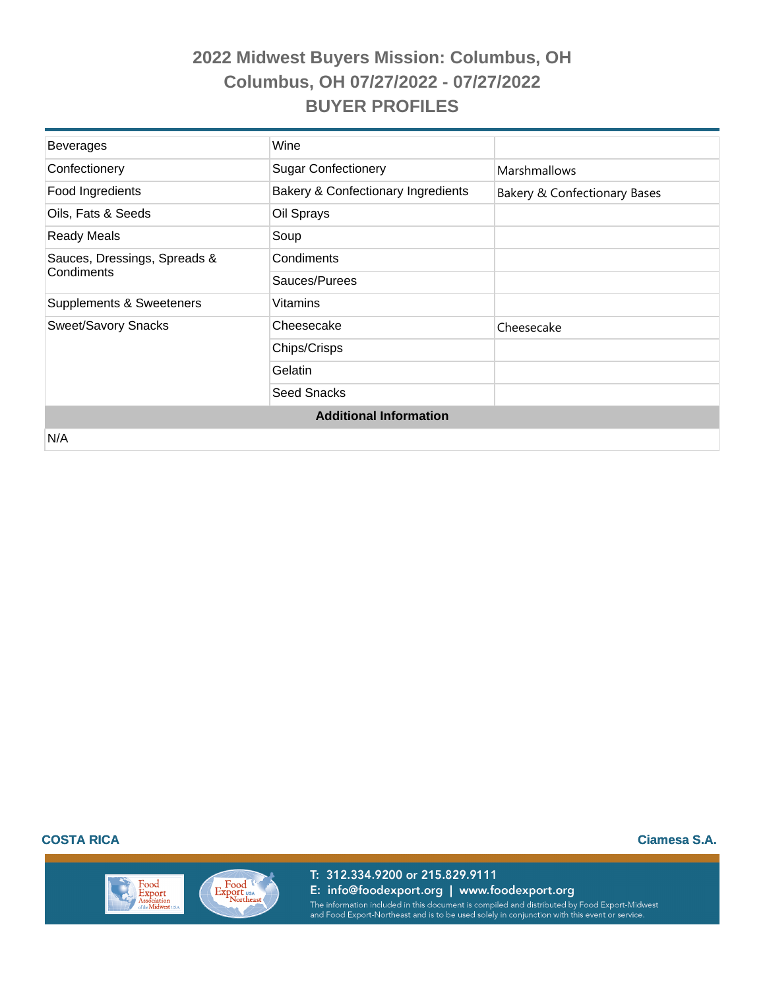| <b>Beverages</b>             | Wine                                          |                              |
|------------------------------|-----------------------------------------------|------------------------------|
| Confectionery                | <b>Sugar Confectionery</b>                    | <b>Marshmallows</b>          |
| Food Ingredients             | <b>Bakery &amp; Confectionary Ingredients</b> | Bakery & Confectionary Bases |
| Oils, Fats & Seeds           | Oil Sprays                                    |                              |
| <b>Ready Meals</b>           | Soup                                          |                              |
| Sauces, Dressings, Spreads & | Condiments                                    |                              |
| Condiments                   | Sauces/Purees                                 |                              |
| Supplements & Sweeteners     | Vitamins                                      |                              |
| <b>Sweet/Savory Snacks</b>   | Cheesecake                                    | Cheesecake                   |
|                              | Chips/Crisps                                  |                              |
|                              | Gelatin                                       |                              |
|                              | Seed Snacks                                   |                              |
|                              | <b>Additional Information</b>                 |                              |
| N/A                          |                                               |                              |





T: 312.334.9200 or 215.829.9111 E: info@foodexport.org | www.foodexport.org The information included in this document is compiled and distributed by Food Export-Midwest<br>and Food Export-Northeast and is to be used solely in conjunction with this event or service.

**COSTA RICA Ciamesa S.A.**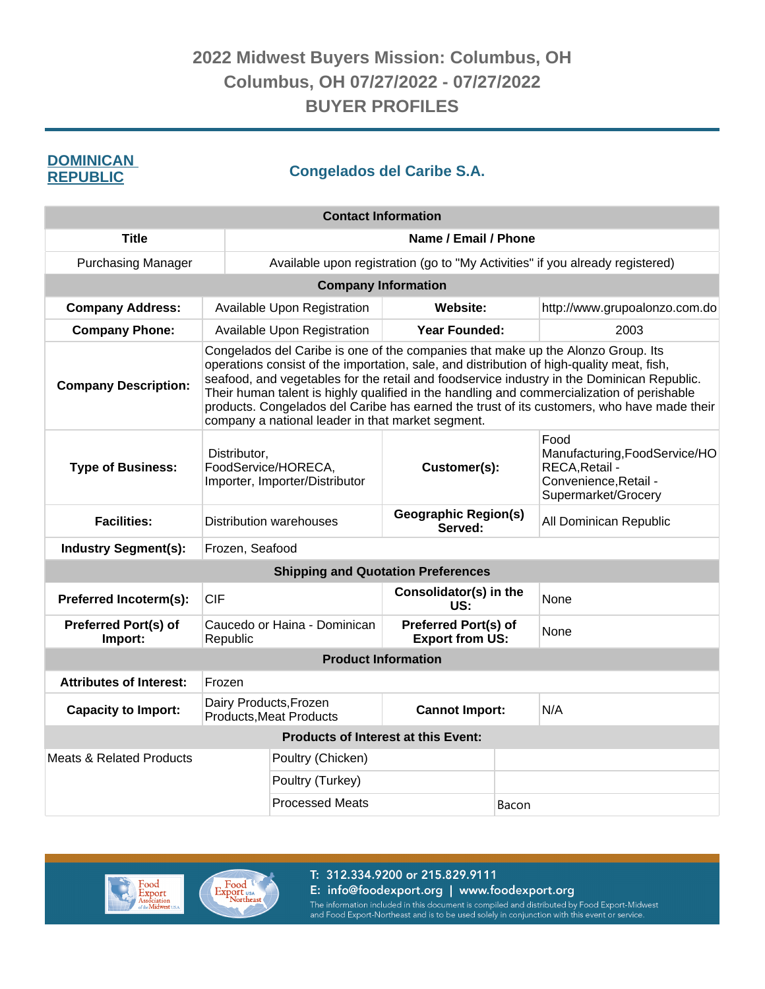# **REPUBLIC**

# **Congelados del Caribe S.A.**<br> **Congelados del Caribe S.A.**

| <b>Contact Information</b>          |                                                                                                                                                                                                                                                                                                                                                                                                                                                                                                                              |                                                                               |                                                |       |                                                                                                         |  |
|-------------------------------------|------------------------------------------------------------------------------------------------------------------------------------------------------------------------------------------------------------------------------------------------------------------------------------------------------------------------------------------------------------------------------------------------------------------------------------------------------------------------------------------------------------------------------|-------------------------------------------------------------------------------|------------------------------------------------|-------|---------------------------------------------------------------------------------------------------------|--|
| <b>Title</b>                        | Name / Email / Phone                                                                                                                                                                                                                                                                                                                                                                                                                                                                                                         |                                                                               |                                                |       |                                                                                                         |  |
| <b>Purchasing Manager</b>           |                                                                                                                                                                                                                                                                                                                                                                                                                                                                                                                              | Available upon registration (go to "My Activities" if you already registered) |                                                |       |                                                                                                         |  |
|                                     | <b>Company Information</b>                                                                                                                                                                                                                                                                                                                                                                                                                                                                                                   |                                                                               |                                                |       |                                                                                                         |  |
| <b>Company Address:</b>             |                                                                                                                                                                                                                                                                                                                                                                                                                                                                                                                              | Available Upon Registration                                                   | Website:                                       |       | http://www.grupoalonzo.com.do                                                                           |  |
| <b>Company Phone:</b>               |                                                                                                                                                                                                                                                                                                                                                                                                                                                                                                                              | Available Upon Registration                                                   | <b>Year Founded:</b>                           |       | 2003                                                                                                    |  |
| <b>Company Description:</b>         | Congelados del Caribe is one of the companies that make up the Alonzo Group. Its<br>operations consist of the importation, sale, and distribution of high-quality meat, fish,<br>seafood, and vegetables for the retail and foodservice industry in the Dominican Republic.<br>Their human talent is highly qualified in the handling and commercialization of perishable<br>products. Congelados del Caribe has earned the trust of its customers, who have made their<br>company a national leader in that market segment. |                                                                               |                                                |       |                                                                                                         |  |
| <b>Type of Business:</b>            | Distributor.<br>FoodService/HORECA,<br>Importer, Importer/Distributor                                                                                                                                                                                                                                                                                                                                                                                                                                                        |                                                                               | Customer(s):                                   |       | Food<br>Manufacturing, FoodService/HO<br>RECA, Retail -<br>Convenience, Retail -<br>Supermarket/Grocery |  |
| <b>Facilities:</b>                  | <b>Distribution warehouses</b>                                                                                                                                                                                                                                                                                                                                                                                                                                                                                               |                                                                               | <b>Geographic Region(s)</b><br>Served:         |       | All Dominican Republic                                                                                  |  |
| <b>Industry Segment(s):</b>         | Frozen, Seafood                                                                                                                                                                                                                                                                                                                                                                                                                                                                                                              |                                                                               |                                                |       |                                                                                                         |  |
|                                     |                                                                                                                                                                                                                                                                                                                                                                                                                                                                                                                              | <b>Shipping and Quotation Preferences</b>                                     |                                                |       |                                                                                                         |  |
| Preferred Incoterm(s):              | <b>CIF</b>                                                                                                                                                                                                                                                                                                                                                                                                                                                                                                                   |                                                                               | Consolidator(s) in the<br>US:                  |       | None                                                                                                    |  |
| Preferred Port(s) of<br>Import:     | Republic                                                                                                                                                                                                                                                                                                                                                                                                                                                                                                                     | Caucedo or Haina - Dominican                                                  | Preferred Port(s) of<br><b>Export from US:</b> |       | None                                                                                                    |  |
|                                     |                                                                                                                                                                                                                                                                                                                                                                                                                                                                                                                              |                                                                               | <b>Product Information</b>                     |       |                                                                                                         |  |
| <b>Attributes of Interest:</b>      | Frozen                                                                                                                                                                                                                                                                                                                                                                                                                                                                                                                       |                                                                               |                                                |       |                                                                                                         |  |
| <b>Capacity to Import:</b>          | Dairy Products, Frozen<br><b>Products, Meat Products</b>                                                                                                                                                                                                                                                                                                                                                                                                                                                                     |                                                                               | <b>Cannot Import:</b>                          |       | N/A                                                                                                     |  |
|                                     |                                                                                                                                                                                                                                                                                                                                                                                                                                                                                                                              | <b>Products of Interest at this Event:</b>                                    |                                                |       |                                                                                                         |  |
| <b>Meats &amp; Related Products</b> |                                                                                                                                                                                                                                                                                                                                                                                                                                                                                                                              | Poultry (Chicken)                                                             |                                                |       |                                                                                                         |  |
|                                     |                                                                                                                                                                                                                                                                                                                                                                                                                                                                                                                              | Poultry (Turkey)                                                              |                                                |       |                                                                                                         |  |
|                                     | <b>Processed Meats</b>                                                                                                                                                                                                                                                                                                                                                                                                                                                                                                       |                                                                               |                                                | Bacon |                                                                                                         |  |



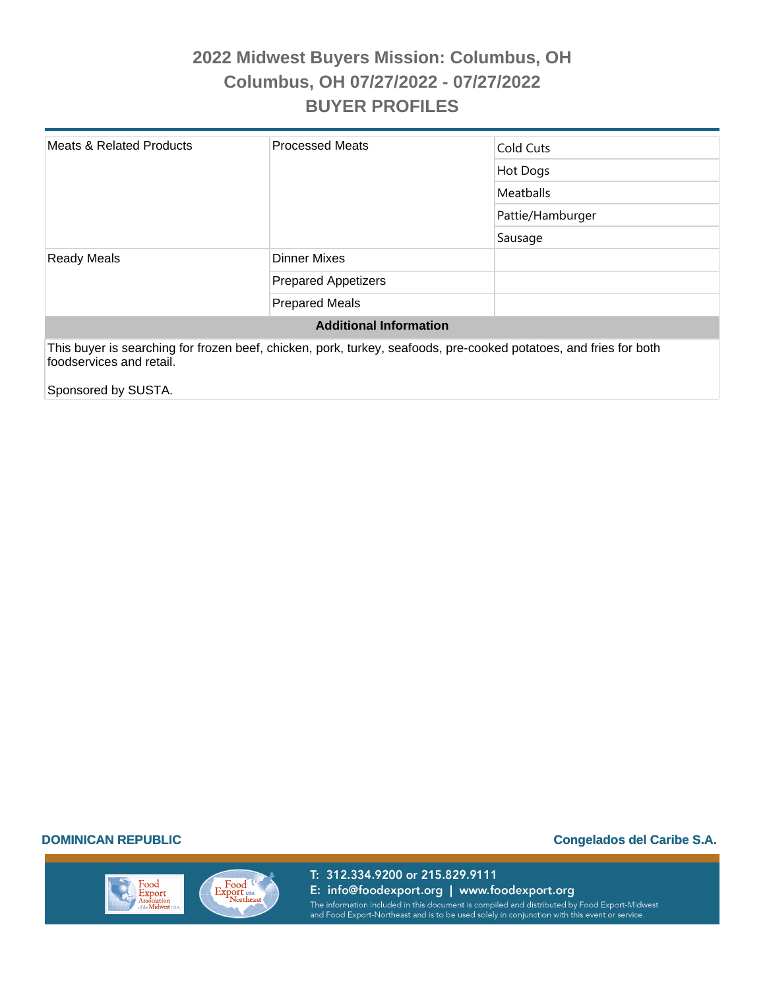| <b>Meats &amp; Related Products</b> | <b>Processed Meats</b>                                                                                            | Cold Cuts        |  |  |  |
|-------------------------------------|-------------------------------------------------------------------------------------------------------------------|------------------|--|--|--|
|                                     |                                                                                                                   | Hot Dogs         |  |  |  |
|                                     |                                                                                                                   | Meatballs        |  |  |  |
|                                     |                                                                                                                   | Pattie/Hamburger |  |  |  |
|                                     |                                                                                                                   | Sausage          |  |  |  |
| <b>Ready Meals</b>                  | <b>Dinner Mixes</b>                                                                                               |                  |  |  |  |
|                                     | <b>Prepared Appetizers</b>                                                                                        |                  |  |  |  |
|                                     | <b>Prepared Meals</b>                                                                                             |                  |  |  |  |
| <b>Additional Information</b>       |                                                                                                                   |                  |  |  |  |
| foodservices and retail.            | This buyer is searching for frozen beef, chicken, pork, turkey, seafoods, pre-cooked potatoes, and fries for both |                  |  |  |  |

Sponsored by SUSTA.



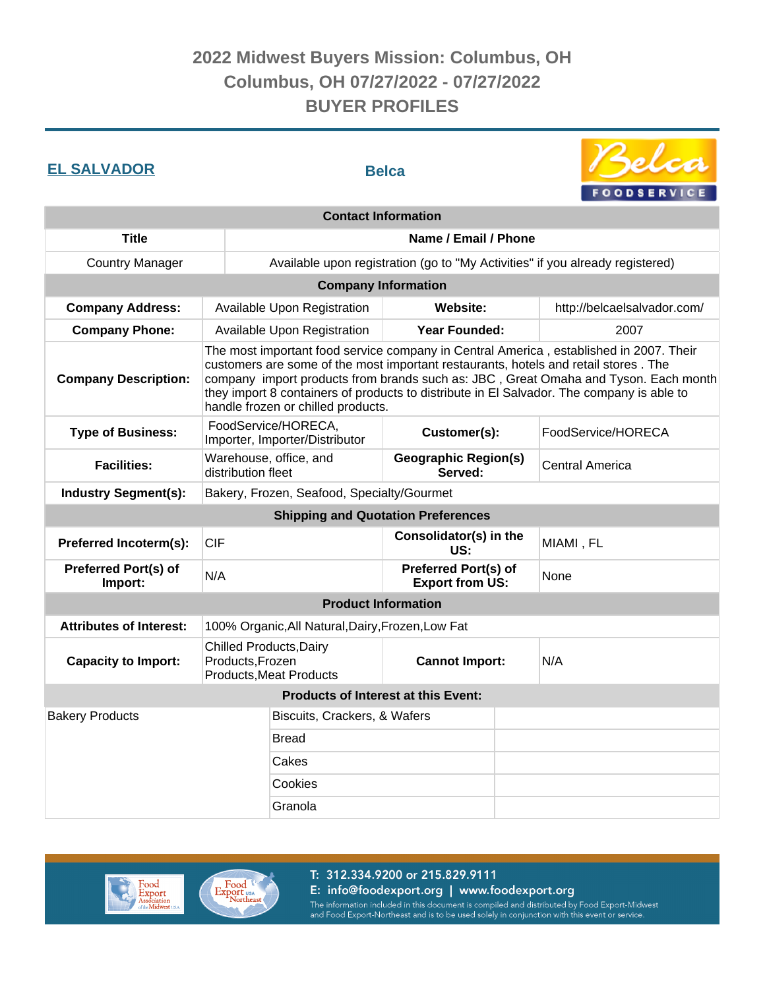| <b>EL SALVADOR</b>                        | <b>Belca</b>                                                                                                                                                                                                                                                                                                                                                                                            |                                                   |                                                       |  | Zelco<br><b>FOODSERVIC</b>                                                    |
|-------------------------------------------|---------------------------------------------------------------------------------------------------------------------------------------------------------------------------------------------------------------------------------------------------------------------------------------------------------------------------------------------------------------------------------------------------------|---------------------------------------------------|-------------------------------------------------------|--|-------------------------------------------------------------------------------|
|                                           |                                                                                                                                                                                                                                                                                                                                                                                                         |                                                   | <b>Contact Information</b>                            |  |                                                                               |
| <b>Title</b>                              |                                                                                                                                                                                                                                                                                                                                                                                                         |                                                   | Name / Email / Phone                                  |  |                                                                               |
| <b>Country Manager</b>                    |                                                                                                                                                                                                                                                                                                                                                                                                         |                                                   |                                                       |  | Available upon registration (go to "My Activities" if you already registered) |
|                                           |                                                                                                                                                                                                                                                                                                                                                                                                         | <b>Company Information</b>                        |                                                       |  |                                                                               |
| <b>Company Address:</b>                   |                                                                                                                                                                                                                                                                                                                                                                                                         | Available Upon Registration                       | Website:                                              |  | http://belcaelsalvador.com/                                                   |
| <b>Company Phone:</b>                     |                                                                                                                                                                                                                                                                                                                                                                                                         | Available Upon Registration                       | <b>Year Founded:</b>                                  |  | 2007                                                                          |
| <b>Company Description:</b>               | The most important food service company in Central America, established in 2007. Their<br>customers are some of the most important restaurants, hotels and retail stores. The<br>company import products from brands such as: JBC, Great Omaha and Tyson. Each month<br>they import 8 containers of products to distribute in El Salvador. The company is able to<br>handle frozen or chilled products. |                                                   |                                                       |  |                                                                               |
| <b>Type of Business:</b>                  | FoodService/HORECA,<br>Importer, Importer/Distributor                                                                                                                                                                                                                                                                                                                                                   |                                                   | Customer(s):                                          |  | FoodService/HORECA                                                            |
| <b>Facilities:</b>                        | Warehouse, office, and<br>distribution fleet                                                                                                                                                                                                                                                                                                                                                            |                                                   | <b>Geographic Region(s)</b><br>Served:                |  | <b>Central America</b>                                                        |
| <b>Industry Segment(s):</b>               | Bakery, Frozen, Seafood, Specialty/Gourmet                                                                                                                                                                                                                                                                                                                                                              |                                                   |                                                       |  |                                                                               |
| <b>Shipping and Quotation Preferences</b> |                                                                                                                                                                                                                                                                                                                                                                                                         |                                                   |                                                       |  |                                                                               |
| <b>Preferred Incoterm(s):</b>             | <b>CIF</b>                                                                                                                                                                                                                                                                                                                                                                                              |                                                   | Consolidator(s) in the<br>US:                         |  | MIAMI, FL                                                                     |
| <b>Preferred Port(s) of</b><br>Import:    | N/A                                                                                                                                                                                                                                                                                                                                                                                                     |                                                   | <b>Preferred Port(s) of</b><br><b>Export from US:</b> |  | None                                                                          |
|                                           |                                                                                                                                                                                                                                                                                                                                                                                                         | <b>Product Information</b>                        |                                                       |  |                                                                               |
| <b>Attributes of Interest:</b>            |                                                                                                                                                                                                                                                                                                                                                                                                         | 100% Organic, All Natural, Dairy, Frozen, Low Fat |                                                       |  |                                                                               |
| <b>Capacity to Import:</b>                | <b>Chilled Products, Dairy</b><br>Products, Frozen<br>Products, Meat Products                                                                                                                                                                                                                                                                                                                           |                                                   | <b>Cannot Import:</b>                                 |  | N/A                                                                           |
|                                           |                                                                                                                                                                                                                                                                                                                                                                                                         |                                                   | <b>Products of Interest at this Event:</b>            |  |                                                                               |
| <b>Bakery Products</b>                    |                                                                                                                                                                                                                                                                                                                                                                                                         | Biscuits, Crackers, & Wafers                      |                                                       |  |                                                                               |
|                                           | <b>Bread</b>                                                                                                                                                                                                                                                                                                                                                                                            |                                                   |                                                       |  |                                                                               |
|                                           |                                                                                                                                                                                                                                                                                                                                                                                                         | Cakes                                             |                                                       |  |                                                                               |
|                                           |                                                                                                                                                                                                                                                                                                                                                                                                         | Cookies                                           |                                                       |  |                                                                               |
|                                           | Granola                                                                                                                                                                                                                                                                                                                                                                                                 |                                                   |                                                       |  |                                                                               |



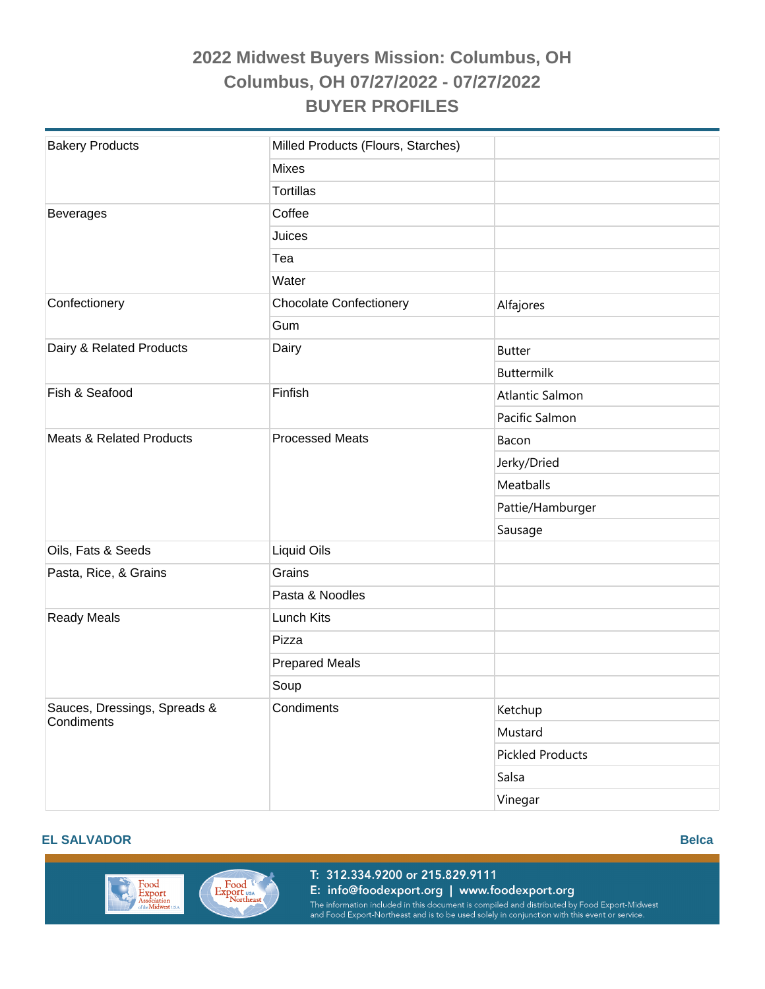| <b>Bakery Products</b>              | Milled Products (Flours, Starches) |                         |
|-------------------------------------|------------------------------------|-------------------------|
|                                     | <b>Mixes</b>                       |                         |
|                                     | <b>Tortillas</b>                   |                         |
| <b>Beverages</b>                    | Coffee                             |                         |
|                                     | Juices                             |                         |
|                                     | Tea                                |                         |
|                                     | Water                              |                         |
| Confectionery                       | <b>Chocolate Confectionery</b>     | Alfajores               |
|                                     | Gum                                |                         |
| Dairy & Related Products            | Dairy                              | <b>Butter</b>           |
|                                     |                                    | <b>Buttermilk</b>       |
| Fish & Seafood                      | Finfish                            | Atlantic Salmon         |
|                                     |                                    | Pacific Salmon          |
| <b>Meats &amp; Related Products</b> | <b>Processed Meats</b>             | Bacon                   |
|                                     |                                    | Jerky/Dried             |
|                                     |                                    | Meatballs               |
|                                     |                                    | Pattie/Hamburger        |
|                                     |                                    | Sausage                 |
| Oils, Fats & Seeds                  | Liquid Oils                        |                         |
| Pasta, Rice, & Grains               | Grains                             |                         |
|                                     | Pasta & Noodles                    |                         |
| <b>Ready Meals</b>                  | Lunch Kits                         |                         |
|                                     | Pizza                              |                         |
|                                     | <b>Prepared Meals</b>              |                         |
|                                     | Soup                               |                         |
| Sauces, Dressings, Spreads &        | Condiments                         | Ketchup                 |
| Condiments                          |                                    | Mustard                 |
|                                     |                                    | <b>Pickled Products</b> |
|                                     |                                    | Salsa                   |
|                                     |                                    | Vinegar                 |

### **EL SALVADOR Belca**



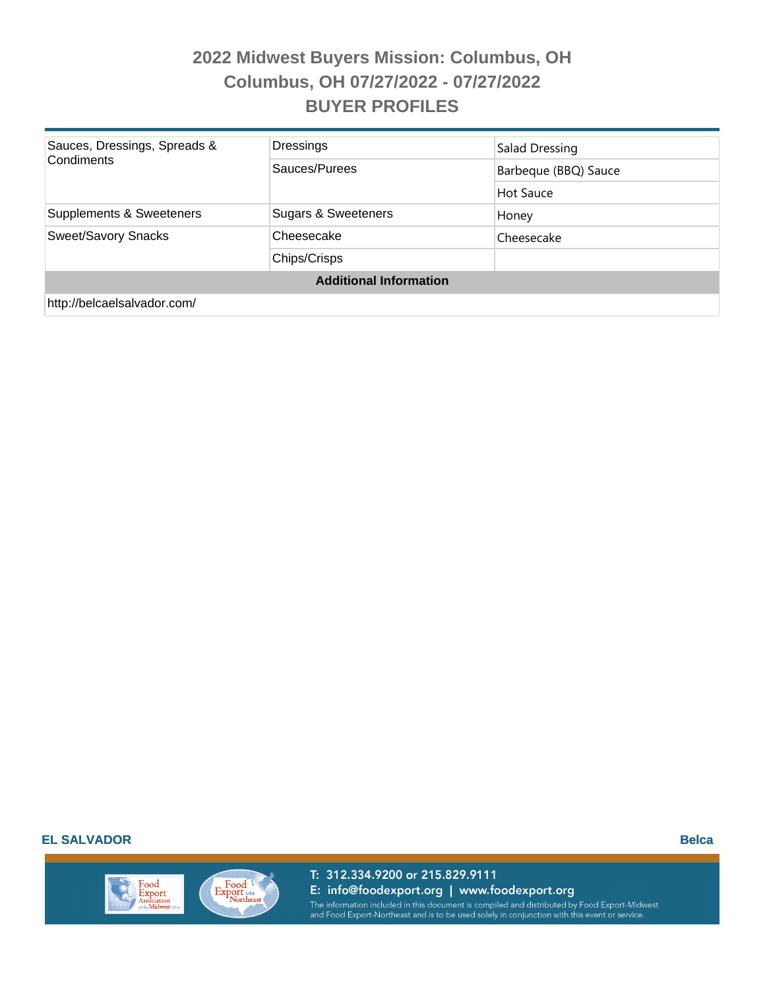| Sauces, Dressings, Spreads &<br>Condiments | <b>Dressings</b>    | Salad Dressing       |  |  |  |
|--------------------------------------------|---------------------|----------------------|--|--|--|
|                                            | Sauces/Purees       | Barbeque (BBQ) Sauce |  |  |  |
|                                            |                     | Hot Sauce            |  |  |  |
| Supplements & Sweeteners                   | Sugars & Sweeteners | Honey                |  |  |  |
| <b>Sweet/Savory Snacks</b>                 | Cheesecake          | Cheesecake           |  |  |  |
|                                            | Chips/Crisps        |                      |  |  |  |
| <b>Additional Information</b>              |                     |                      |  |  |  |
| http://belcaelsalvador.com/                |                     |                      |  |  |  |

### **EL SALVADOR Belca**



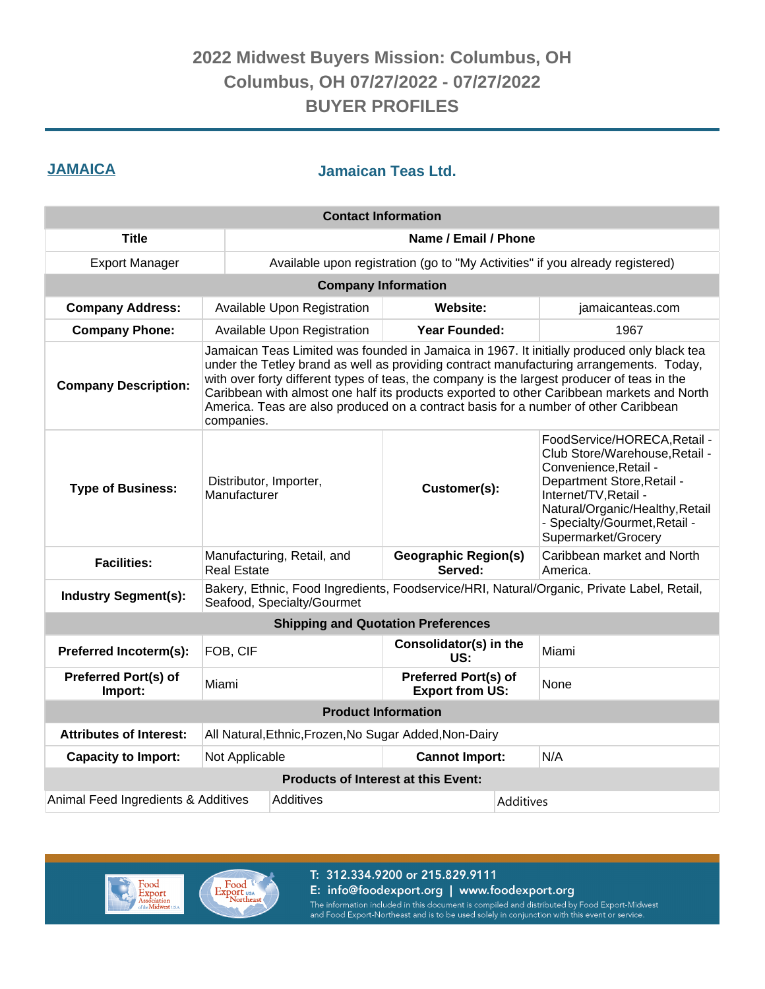### **JAMAICA Jamaican Teas Ltd.**

| <b>Contact Information</b>          |                                                                                                                                                                                                                                                                                                                                                                                                                                                                                        |                                                                               |                                                |           |                                                                                                                                                                                                                                           |
|-------------------------------------|----------------------------------------------------------------------------------------------------------------------------------------------------------------------------------------------------------------------------------------------------------------------------------------------------------------------------------------------------------------------------------------------------------------------------------------------------------------------------------------|-------------------------------------------------------------------------------|------------------------------------------------|-----------|-------------------------------------------------------------------------------------------------------------------------------------------------------------------------------------------------------------------------------------------|
| <b>Title</b>                        |                                                                                                                                                                                                                                                                                                                                                                                                                                                                                        | Name / Email / Phone                                                          |                                                |           |                                                                                                                                                                                                                                           |
| <b>Export Manager</b>               |                                                                                                                                                                                                                                                                                                                                                                                                                                                                                        | Available upon registration (go to "My Activities" if you already registered) |                                                |           |                                                                                                                                                                                                                                           |
|                                     |                                                                                                                                                                                                                                                                                                                                                                                                                                                                                        |                                                                               | <b>Company Information</b>                     |           |                                                                                                                                                                                                                                           |
| <b>Company Address:</b>             |                                                                                                                                                                                                                                                                                                                                                                                                                                                                                        | Available Upon Registration                                                   | Website:                                       |           | jamaicanteas.com                                                                                                                                                                                                                          |
| <b>Company Phone:</b>               |                                                                                                                                                                                                                                                                                                                                                                                                                                                                                        | Available Upon Registration                                                   | <b>Year Founded:</b>                           |           | 1967                                                                                                                                                                                                                                      |
| <b>Company Description:</b>         | Jamaican Teas Limited was founded in Jamaica in 1967. It initially produced only black tea<br>under the Tetley brand as well as providing contract manufacturing arrangements. Today,<br>with over forty different types of teas, the company is the largest producer of teas in the<br>Caribbean with almost one half its products exported to other Caribbean markets and North<br>America. Teas are also produced on a contract basis for a number of other Caribbean<br>companies. |                                                                               |                                                |           |                                                                                                                                                                                                                                           |
| <b>Type of Business:</b>            | Distributor, Importer,<br>Manufacturer                                                                                                                                                                                                                                                                                                                                                                                                                                                 |                                                                               | Customer(s):                                   |           | FoodService/HORECA, Retail -<br>Club Store/Warehouse, Retail -<br>Convenience, Retail -<br>Department Store, Retail -<br>Internet/TV, Retail -<br>Natural/Organic/Healthy, Retail<br>- Specialty/Gourmet, Retail -<br>Supermarket/Grocery |
| <b>Facilities:</b>                  | <b>Real Estate</b>                                                                                                                                                                                                                                                                                                                                                                                                                                                                     | Manufacturing, Retail, and                                                    | <b>Geographic Region(s)</b><br>Served:         |           | Caribbean market and North<br>America.                                                                                                                                                                                                    |
| <b>Industry Segment(s):</b>         |                                                                                                                                                                                                                                                                                                                                                                                                                                                                                        | Seafood, Specialty/Gourmet                                                    |                                                |           | Bakery, Ethnic, Food Ingredients, Foodservice/HRI, Natural/Organic, Private Label, Retail,                                                                                                                                                |
|                                     |                                                                                                                                                                                                                                                                                                                                                                                                                                                                                        |                                                                               | <b>Shipping and Quotation Preferences</b>      |           |                                                                                                                                                                                                                                           |
| Preferred Incoterm(s):              | FOB, CIF                                                                                                                                                                                                                                                                                                                                                                                                                                                                               |                                                                               | Consolidator(s) in the<br>US:                  |           | Miami                                                                                                                                                                                                                                     |
| Preferred Port(s) of<br>Import:     | Miami                                                                                                                                                                                                                                                                                                                                                                                                                                                                                  |                                                                               | Preferred Port(s) of<br><b>Export from US:</b> |           | None                                                                                                                                                                                                                                      |
| <b>Product Information</b>          |                                                                                                                                                                                                                                                                                                                                                                                                                                                                                        |                                                                               |                                                |           |                                                                                                                                                                                                                                           |
| <b>Attributes of Interest:</b>      |                                                                                                                                                                                                                                                                                                                                                                                                                                                                                        | All Natural, Ethnic, Frozen, No Sugar Added, Non-Dairy                        |                                                |           |                                                                                                                                                                                                                                           |
| <b>Capacity to Import:</b>          | Not Applicable                                                                                                                                                                                                                                                                                                                                                                                                                                                                         |                                                                               | <b>Cannot Import:</b>                          |           | N/A                                                                                                                                                                                                                                       |
|                                     |                                                                                                                                                                                                                                                                                                                                                                                                                                                                                        |                                                                               | <b>Products of Interest at this Event:</b>     |           |                                                                                                                                                                                                                                           |
| Animal Feed Ingredients & Additives |                                                                                                                                                                                                                                                                                                                                                                                                                                                                                        | Additives                                                                     |                                                | Additives |                                                                                                                                                                                                                                           |



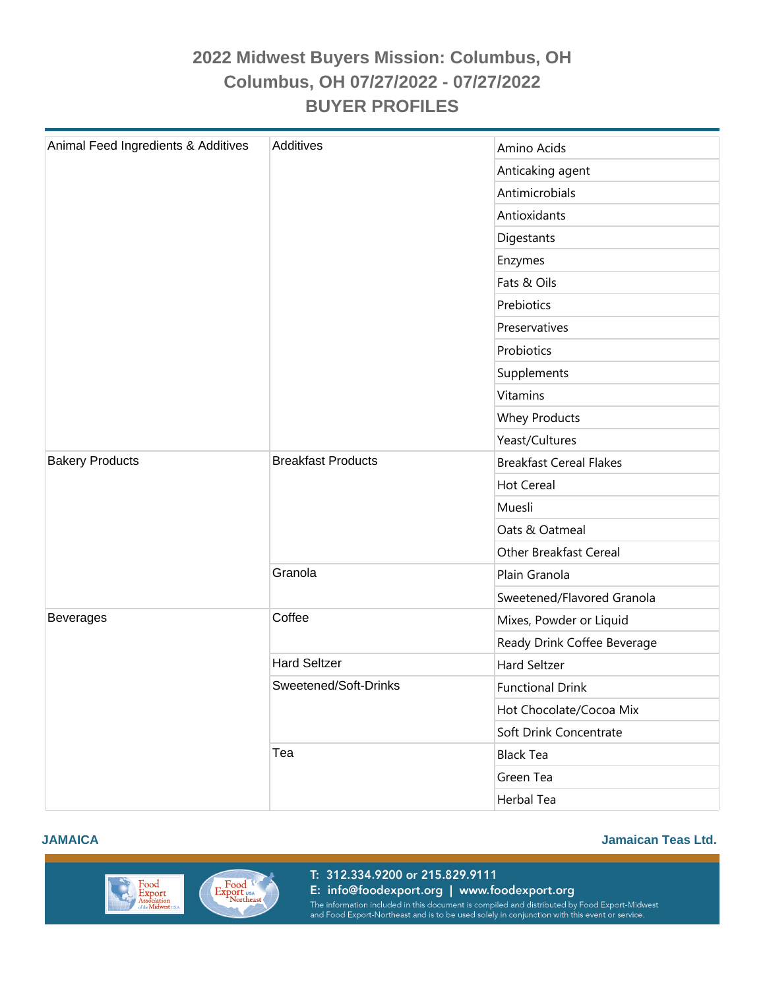| Animal Feed Ingredients & Additives | Additives                 | Amino Acids                    |  |
|-------------------------------------|---------------------------|--------------------------------|--|
|                                     |                           | Anticaking agent               |  |
|                                     |                           | Antimicrobials                 |  |
|                                     |                           | Antioxidants                   |  |
|                                     |                           | Digestants                     |  |
|                                     |                           | Enzymes                        |  |
|                                     |                           | Fats & Oils                    |  |
|                                     |                           | Prebiotics                     |  |
|                                     |                           | Preservatives                  |  |
|                                     |                           | Probiotics                     |  |
|                                     |                           | Supplements                    |  |
|                                     |                           | <b>Vitamins</b>                |  |
|                                     |                           | <b>Whey Products</b>           |  |
|                                     |                           | Yeast/Cultures                 |  |
| <b>Bakery Products</b>              | <b>Breakfast Products</b> | <b>Breakfast Cereal Flakes</b> |  |
|                                     |                           | <b>Hot Cereal</b>              |  |
|                                     |                           | Muesli                         |  |
|                                     |                           | Oats & Oatmeal                 |  |
|                                     |                           | Other Breakfast Cereal         |  |
|                                     | Granola                   | Plain Granola                  |  |
|                                     |                           | Sweetened/Flavored Granola     |  |
| <b>Beverages</b>                    | Coffee                    | Mixes, Powder or Liquid        |  |
|                                     |                           | Ready Drink Coffee Beverage    |  |
|                                     | <b>Hard Seltzer</b>       | <b>Hard Seltzer</b>            |  |
|                                     | Sweetened/Soft-Drinks     | <b>Functional Drink</b>        |  |
|                                     |                           | Hot Chocolate/Cocoa Mix        |  |
|                                     |                           | Soft Drink Concentrate         |  |
|                                     | Tea                       | <b>Black Tea</b>               |  |
|                                     |                           | Green Tea                      |  |
|                                     |                           | Herbal Tea                     |  |





### **JAMAICA Jamaican Teas Ltd.**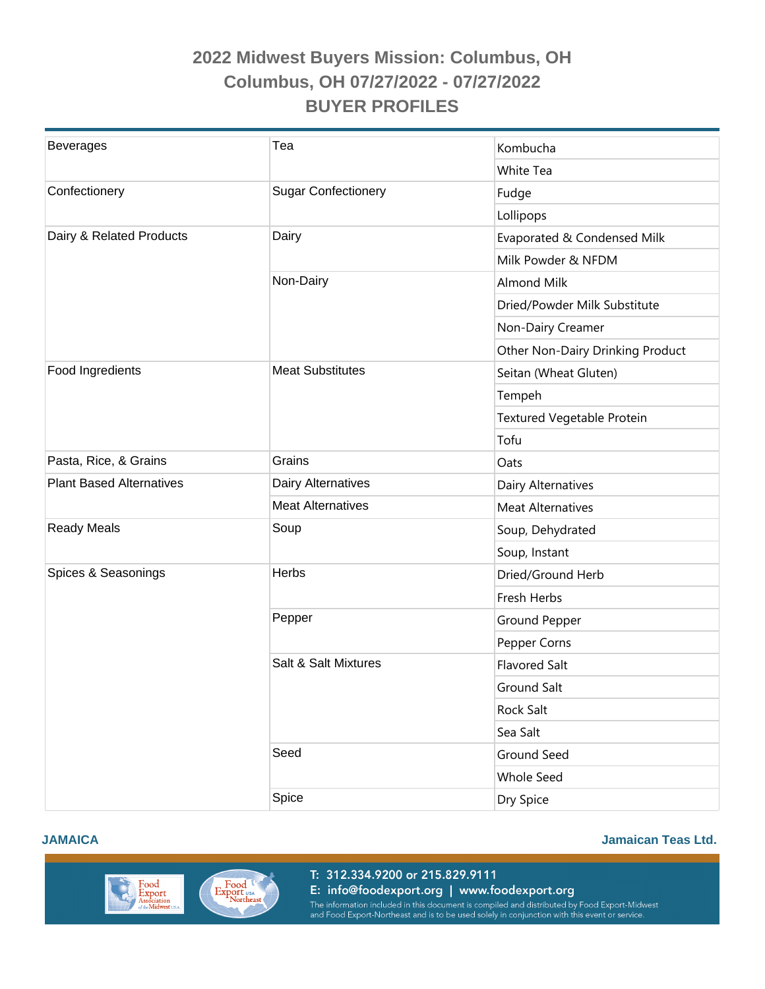| <b>Beverages</b>                | Tea                        | Kombucha                         |  |  |
|---------------------------------|----------------------------|----------------------------------|--|--|
|                                 |                            | White Tea                        |  |  |
| Confectionery                   | <b>Sugar Confectionery</b> | Fudge                            |  |  |
|                                 |                            | Lollipops                        |  |  |
| Dairy & Related Products        | Dairy                      | Evaporated & Condensed Milk      |  |  |
|                                 |                            | Milk Powder & NFDM               |  |  |
|                                 | Non-Dairy                  | <b>Almond Milk</b>               |  |  |
|                                 |                            | Dried/Powder Milk Substitute     |  |  |
|                                 |                            | Non-Dairy Creamer                |  |  |
|                                 |                            | Other Non-Dairy Drinking Product |  |  |
| Food Ingredients                | <b>Meat Substitutes</b>    | Seitan (Wheat Gluten)            |  |  |
|                                 |                            | Tempeh                           |  |  |
|                                 |                            | Textured Vegetable Protein       |  |  |
|                                 |                            | Tofu                             |  |  |
| Pasta, Rice, & Grains           | Grains                     | Oats                             |  |  |
| <b>Plant Based Alternatives</b> | Dairy Alternatives         | Dairy Alternatives               |  |  |
|                                 | <b>Meat Alternatives</b>   | <b>Meat Alternatives</b>         |  |  |
| <b>Ready Meals</b>              | Soup                       | Soup, Dehydrated                 |  |  |
|                                 |                            | Soup, Instant                    |  |  |
| Spices & Seasonings             | <b>Herbs</b>               | Dried/Ground Herb                |  |  |
|                                 |                            | Fresh Herbs                      |  |  |
|                                 | Pepper                     | Ground Pepper                    |  |  |
|                                 |                            | Pepper Corns                     |  |  |
|                                 | Salt & Salt Mixtures       | <b>Flavored Salt</b>             |  |  |
|                                 |                            | Ground Salt                      |  |  |
|                                 |                            | Rock Salt                        |  |  |
|                                 |                            | Sea Salt                         |  |  |
|                                 | Seed                       | Ground Seed                      |  |  |
|                                 |                            | Whole Seed                       |  |  |
|                                 | Spice                      | Dry Spice                        |  |  |





T: 312.334.9200 or 215.829.9111 E: info@foodexport.org | www.foodexport.org The information included in this document is compiled and distributed by Food Export-Midwest<br>and Food Export-Northeast and is to be used solely in conjunction with this event or service.

### **JAMAICA Jamaican Teas Ltd.**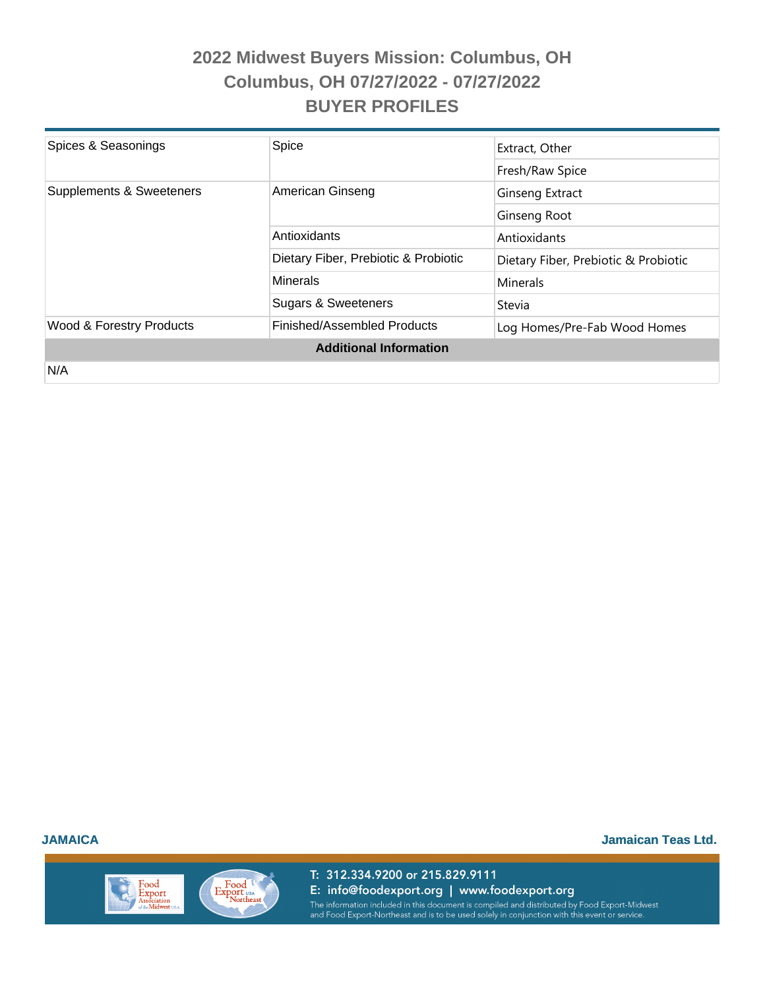| Spices & Seasonings      | Spice                                                       | Extract, Other                       |  |
|--------------------------|-------------------------------------------------------------|--------------------------------------|--|
|                          |                                                             | Fresh/Raw Spice                      |  |
| Supplements & Sweeteners | American Ginseng                                            | Ginseng Extract                      |  |
|                          |                                                             | Ginseng Root                         |  |
|                          | Antioxidants                                                | Antioxidants                         |  |
|                          | Dietary Fiber, Prebiotic & Probiotic                        | Dietary Fiber, Prebiotic & Probiotic |  |
|                          | Minerals                                                    | <b>Minerals</b>                      |  |
|                          | <b>Sugars &amp; Sweeteners</b>                              | Stevia                               |  |
| Wood & Forestry Products | Finished/Assembled Products<br>Log Homes/Pre-Fab Wood Homes |                                      |  |
|                          | <b>Additional Information</b>                               |                                      |  |
| N/A                      |                                                             |                                      |  |

**JAMAICA Jamaican Teas Ltd.**

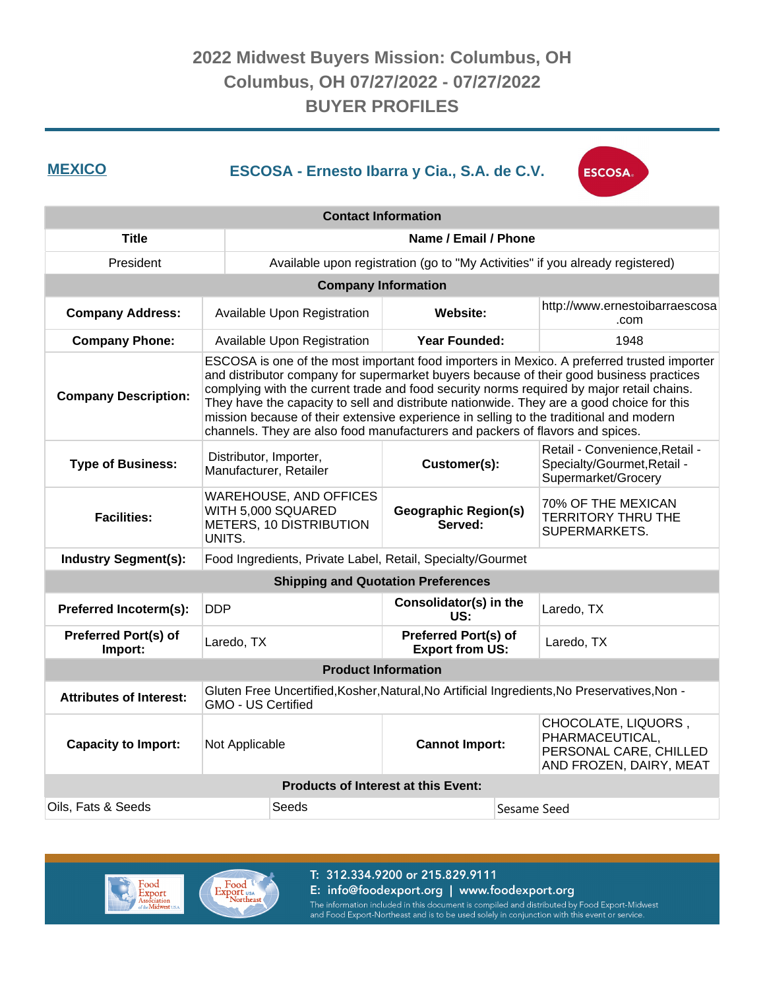### **MEXICO ESCOSA - Ernesto Ibarra y Cia., S.A. de C.V.**



| <b>Contact Information</b>      |                                                                                                                                                                                                                                                                                                                                                                                                                                                                                                                                                            |                                                                                   |                                                       |                                                                                             |                                                                                              |  |
|---------------------------------|------------------------------------------------------------------------------------------------------------------------------------------------------------------------------------------------------------------------------------------------------------------------------------------------------------------------------------------------------------------------------------------------------------------------------------------------------------------------------------------------------------------------------------------------------------|-----------------------------------------------------------------------------------|-------------------------------------------------------|---------------------------------------------------------------------------------------------|----------------------------------------------------------------------------------------------|--|
| <b>Title</b>                    |                                                                                                                                                                                                                                                                                                                                                                                                                                                                                                                                                            | Name / Email / Phone                                                              |                                                       |                                                                                             |                                                                                              |  |
| President                       |                                                                                                                                                                                                                                                                                                                                                                                                                                                                                                                                                            | Available upon registration (go to "My Activities" if you already registered)     |                                                       |                                                                                             |                                                                                              |  |
|                                 |                                                                                                                                                                                                                                                                                                                                                                                                                                                                                                                                                            |                                                                                   | <b>Company Information</b>                            |                                                                                             |                                                                                              |  |
| <b>Company Address:</b>         |                                                                                                                                                                                                                                                                                                                                                                                                                                                                                                                                                            | http://www.ernestoibarraescosa<br>Available Upon Registration<br>Website:<br>.com |                                                       |                                                                                             |                                                                                              |  |
| <b>Company Phone:</b>           |                                                                                                                                                                                                                                                                                                                                                                                                                                                                                                                                                            | Available Upon Registration                                                       | <b>Year Founded:</b>                                  |                                                                                             | 1948                                                                                         |  |
| <b>Company Description:</b>     | ESCOSA is one of the most important food importers in Mexico. A preferred trusted importer<br>and distributor company for supermarket buyers because of their good business practices<br>complying with the current trade and food security norms required by major retail chains.<br>They have the capacity to sell and distribute nationwide. They are a good choice for this<br>mission because of their extensive experience in selling to the traditional and modern<br>channels. They are also food manufacturers and packers of flavors and spices. |                                                                                   |                                                       |                                                                                             |                                                                                              |  |
| <b>Type of Business:</b>        | Distributor, Importer,<br>Manufacturer, Retailer                                                                                                                                                                                                                                                                                                                                                                                                                                                                                                           |                                                                                   | Customer(s):                                          |                                                                                             | Retail - Convenience, Retail -<br>Specialty/Gourmet, Retail -<br>Supermarket/Grocery         |  |
| <b>Facilities:</b>              | UNITS.                                                                                                                                                                                                                                                                                                                                                                                                                                                                                                                                                     | <b>WAREHOUSE, AND OFFICES</b><br>WITH 5,000 SQUARED<br>METERS, 10 DISTRIBUTION    | <b>Geographic Region(s)</b><br>Served:                |                                                                                             | 70% OF THE MEXICAN<br><b>TERRITORY THRU THE</b><br>SUPERMARKETS.                             |  |
| <b>Industry Segment(s):</b>     |                                                                                                                                                                                                                                                                                                                                                                                                                                                                                                                                                            | Food Ingredients, Private Label, Retail, Specialty/Gourmet                        |                                                       |                                                                                             |                                                                                              |  |
|                                 |                                                                                                                                                                                                                                                                                                                                                                                                                                                                                                                                                            |                                                                                   | <b>Shipping and Quotation Preferences</b>             |                                                                                             |                                                                                              |  |
| Preferred Incoterm(s):          | <b>DDP</b>                                                                                                                                                                                                                                                                                                                                                                                                                                                                                                                                                 |                                                                                   | Consolidator(s) in the<br>US:                         |                                                                                             | Laredo, TX                                                                                   |  |
| Preferred Port(s) of<br>Import: | Laredo, TX                                                                                                                                                                                                                                                                                                                                                                                                                                                                                                                                                 |                                                                                   | <b>Preferred Port(s) of</b><br><b>Export from US:</b> |                                                                                             | Laredo, TX                                                                                   |  |
|                                 |                                                                                                                                                                                                                                                                                                                                                                                                                                                                                                                                                            |                                                                                   | <b>Product Information</b>                            |                                                                                             |                                                                                              |  |
| <b>Attributes of Interest:</b>  | <b>GMO - US Certified</b>                                                                                                                                                                                                                                                                                                                                                                                                                                                                                                                                  |                                                                                   |                                                       |                                                                                             | Gluten Free Uncertified, Kosher, Natural, No Artificial Ingredients, No Preservatives, Non - |  |
| <b>Capacity to Import:</b>      |                                                                                                                                                                                                                                                                                                                                                                                                                                                                                                                                                            | <b>Cannot Import:</b><br>Not Applicable                                           |                                                       | CHOCOLATE, LIQUORS,<br>PHARMACEUTICAL,<br>PERSONAL CARE, CHILLED<br>AND FROZEN, DAIRY, MEAT |                                                                                              |  |
|                                 |                                                                                                                                                                                                                                                                                                                                                                                                                                                                                                                                                            |                                                                                   | <b>Products of Interest at this Event:</b>            |                                                                                             |                                                                                              |  |
| Oils, Fats & Seeds              |                                                                                                                                                                                                                                                                                                                                                                                                                                                                                                                                                            | Seeds                                                                             |                                                       | Sesame Seed                                                                                 |                                                                                              |  |





### T: 312.334.9200 or 215.829.9111

E: info@foodexport.org | www.foodexport.org

The information included in this document is compiled and distributed by Food Export-Midwest<br>and Food Export-Northeast and is to be used solely in conjunction with this event or service.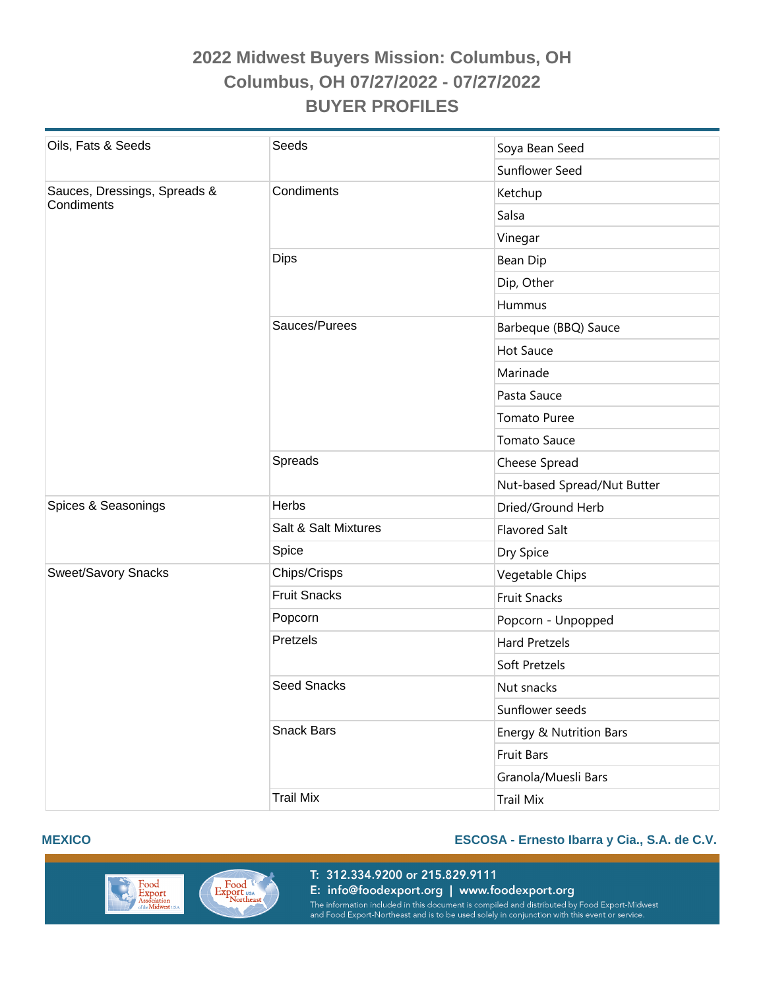| Oils, Fats & Seeds           | Seeds                | Soya Bean Seed              |  |
|------------------------------|----------------------|-----------------------------|--|
|                              |                      | <b>Sunflower Seed</b>       |  |
| Sauces, Dressings, Spreads & | Condiments           | Ketchup                     |  |
| Condiments                   |                      | Salsa                       |  |
|                              |                      | Vinegar                     |  |
|                              | <b>Dips</b>          | Bean Dip                    |  |
|                              |                      | Dip, Other                  |  |
|                              |                      | Hummus                      |  |
|                              | Sauces/Purees        | Barbeque (BBQ) Sauce        |  |
|                              |                      | <b>Hot Sauce</b>            |  |
|                              |                      | Marinade                    |  |
|                              |                      | Pasta Sauce                 |  |
|                              |                      | <b>Tomato Puree</b>         |  |
|                              |                      | <b>Tomato Sauce</b>         |  |
|                              | Spreads              | Cheese Spread               |  |
|                              |                      | Nut-based Spread/Nut Butter |  |
| Spices & Seasonings          | Herbs                | Dried/Ground Herb           |  |
|                              | Salt & Salt Mixtures | <b>Flavored Salt</b>        |  |
|                              | Spice                | Dry Spice                   |  |
| Sweet/Savory Snacks          | Chips/Crisps         | Vegetable Chips             |  |
|                              | <b>Fruit Snacks</b>  | <b>Fruit Snacks</b>         |  |
|                              | Popcorn              | Popcorn - Unpopped          |  |
|                              | Pretzels             | <b>Hard Pretzels</b>        |  |
|                              |                      | Soft Pretzels               |  |
|                              | Seed Snacks          | Nut snacks                  |  |
|                              |                      | Sunflower seeds             |  |
|                              | Snack Bars           | Energy & Nutrition Bars     |  |
|                              |                      | <b>Fruit Bars</b>           |  |
|                              |                      | Granola/Muesli Bars         |  |
|                              | <b>Trail Mix</b>     | <b>Trail Mix</b>            |  |

### **MEXICO ESCOSA - Ernesto Ibarra y Cia., S.A. de C.V.**



Export USA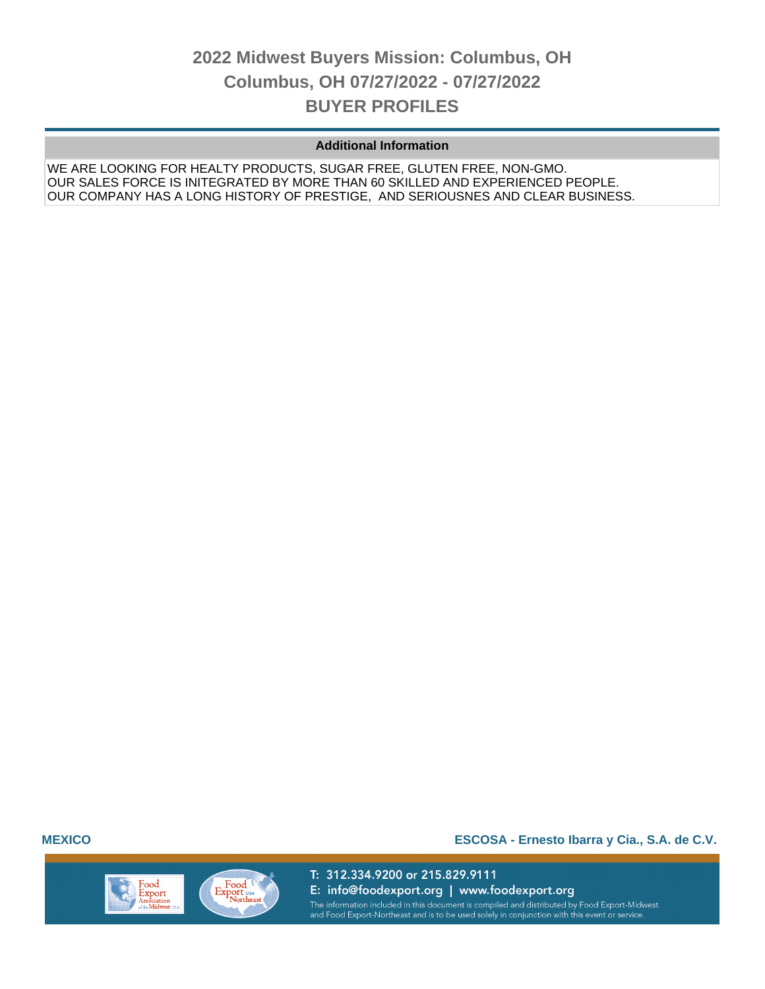### **Additional Information**

WE ARE LOOKING FOR HEALTY PRODUCTS, SUGAR FREE, GLUTEN FREE, NON-GMO. OUR SALES FORCE IS INITEGRATED BY MORE THAN 60 SKILLED AND EXPERIENCED PEOPLE. OUR COMPANY HAS A LONG HISTORY OF PRESTIGE, AND SERIOUSNES AND CLEAR BUSINESS.



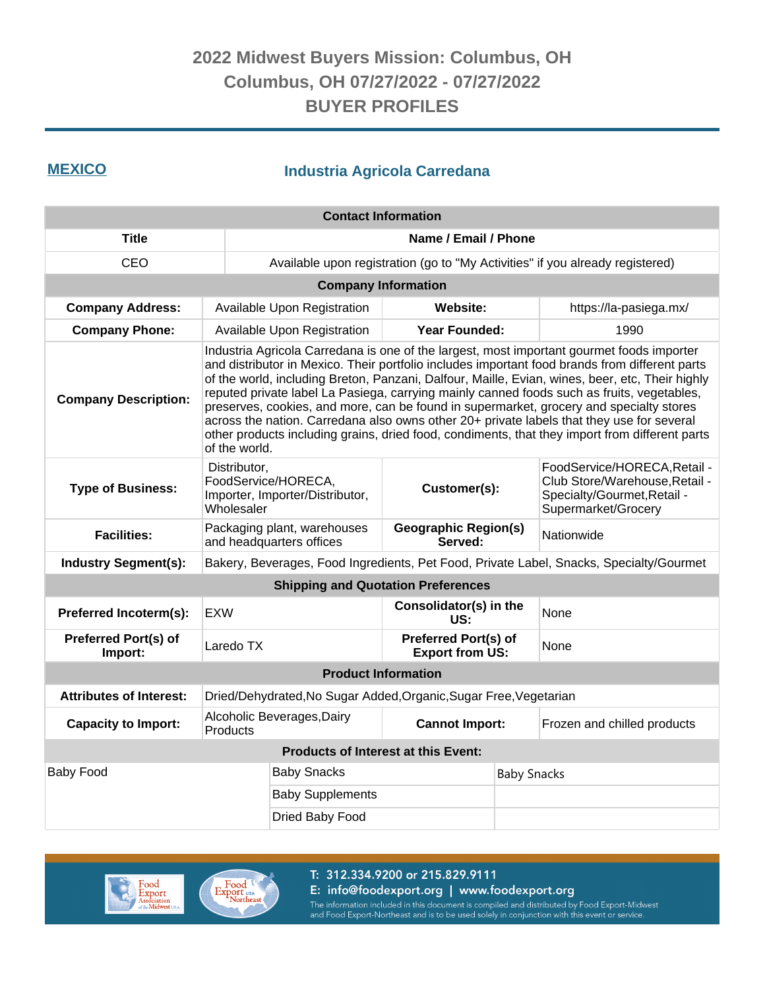### **MEXICO Industria Agricola Carredana**

| <b>Contact Information</b>             |                                                                                                                                                                                                                                                                                                                                                                                                                                                                                                                                                                                                                                                                                                         |                                                                                         |                                                       |                                                                                                                      |                             |
|----------------------------------------|---------------------------------------------------------------------------------------------------------------------------------------------------------------------------------------------------------------------------------------------------------------------------------------------------------------------------------------------------------------------------------------------------------------------------------------------------------------------------------------------------------------------------------------------------------------------------------------------------------------------------------------------------------------------------------------------------------|-----------------------------------------------------------------------------------------|-------------------------------------------------------|----------------------------------------------------------------------------------------------------------------------|-----------------------------|
| <b>Title</b>                           | Name / Email / Phone                                                                                                                                                                                                                                                                                                                                                                                                                                                                                                                                                                                                                                                                                    |                                                                                         |                                                       |                                                                                                                      |                             |
| <b>CEO</b>                             |                                                                                                                                                                                                                                                                                                                                                                                                                                                                                                                                                                                                                                                                                                         | Available upon registration (go to "My Activities" if you already registered)           |                                                       |                                                                                                                      |                             |
|                                        |                                                                                                                                                                                                                                                                                                                                                                                                                                                                                                                                                                                                                                                                                                         |                                                                                         | <b>Company Information</b>                            |                                                                                                                      |                             |
| <b>Company Address:</b>                |                                                                                                                                                                                                                                                                                                                                                                                                                                                                                                                                                                                                                                                                                                         | Available Upon Registration                                                             | Website:                                              |                                                                                                                      | https://la-pasiega.mx/      |
| <b>Company Phone:</b>                  |                                                                                                                                                                                                                                                                                                                                                                                                                                                                                                                                                                                                                                                                                                         | Available Upon Registration                                                             | <b>Year Founded:</b>                                  |                                                                                                                      | 1990                        |
| <b>Company Description:</b>            | Industria Agricola Carredana is one of the largest, most important gourmet foods importer<br>and distributor in Mexico. Their portfolio includes important food brands from different parts<br>of the world, including Breton, Panzani, Dalfour, Maille, Evian, wines, beer, etc, Their highly<br>reputed private label La Pasiega, carrying mainly canned foods such as fruits, vegetables,<br>preserves, cookies, and more, can be found in supermarket, grocery and specialty stores<br>across the nation. Carredana also owns other 20+ private labels that they use for several<br>other products including grains, dried food, condiments, that they import from different parts<br>of the world. |                                                                                         |                                                       |                                                                                                                      |                             |
| <b>Type of Business:</b>               | Distributor,<br>FoodService/HORECA,<br>Wholesaler                                                                                                                                                                                                                                                                                                                                                                                                                                                                                                                                                                                                                                                       | Customer(s):<br>Importer, Importer/Distributor,                                         |                                                       | FoodService/HORECA, Retail -<br>Club Store/Warehouse, Retail -<br>Specialty/Gourmet, Retail -<br>Supermarket/Grocery |                             |
| <b>Facilities:</b>                     |                                                                                                                                                                                                                                                                                                                                                                                                                                                                                                                                                                                                                                                                                                         | Packaging plant, warehouses<br>and headquarters offices                                 | <b>Geographic Region(s)</b><br>Served:                |                                                                                                                      | Nationwide                  |
| <b>Industry Segment(s):</b>            |                                                                                                                                                                                                                                                                                                                                                                                                                                                                                                                                                                                                                                                                                                         | Bakery, Beverages, Food Ingredients, Pet Food, Private Label, Snacks, Specialty/Gourmet |                                                       |                                                                                                                      |                             |
|                                        |                                                                                                                                                                                                                                                                                                                                                                                                                                                                                                                                                                                                                                                                                                         | <b>Shipping and Quotation Preferences</b>                                               |                                                       |                                                                                                                      |                             |
| Preferred Incoterm(s):                 | EXW                                                                                                                                                                                                                                                                                                                                                                                                                                                                                                                                                                                                                                                                                                     |                                                                                         | Consolidator(s) in the<br>US:                         |                                                                                                                      | None                        |
| <b>Preferred Port(s) of</b><br>Import: | Laredo TX                                                                                                                                                                                                                                                                                                                                                                                                                                                                                                                                                                                                                                                                                               |                                                                                         | <b>Preferred Port(s) of</b><br><b>Export from US:</b> |                                                                                                                      | None                        |
|                                        |                                                                                                                                                                                                                                                                                                                                                                                                                                                                                                                                                                                                                                                                                                         | <b>Product Information</b>                                                              |                                                       |                                                                                                                      |                             |
| <b>Attributes of Interest:</b>         |                                                                                                                                                                                                                                                                                                                                                                                                                                                                                                                                                                                                                                                                                                         | Dried/Dehydrated, No Sugar Added, Organic, Sugar Free, Vegetarian                       |                                                       |                                                                                                                      |                             |
| <b>Capacity to Import:</b>             | Products                                                                                                                                                                                                                                                                                                                                                                                                                                                                                                                                                                                                                                                                                                | Alcoholic Beverages, Dairy<br><b>Cannot Import:</b>                                     |                                                       |                                                                                                                      | Frozen and chilled products |
|                                        |                                                                                                                                                                                                                                                                                                                                                                                                                                                                                                                                                                                                                                                                                                         | <b>Products of Interest at this Event:</b>                                              |                                                       |                                                                                                                      |                             |
| <b>Baby Food</b>                       |                                                                                                                                                                                                                                                                                                                                                                                                                                                                                                                                                                                                                                                                                                         | <b>Baby Snacks</b>                                                                      |                                                       | <b>Baby Snacks</b>                                                                                                   |                             |
|                                        |                                                                                                                                                                                                                                                                                                                                                                                                                                                                                                                                                                                                                                                                                                         | <b>Baby Supplements</b>                                                                 |                                                       |                                                                                                                      |                             |
|                                        |                                                                                                                                                                                                                                                                                                                                                                                                                                                                                                                                                                                                                                                                                                         | Dried Baby Food                                                                         |                                                       |                                                                                                                      |                             |



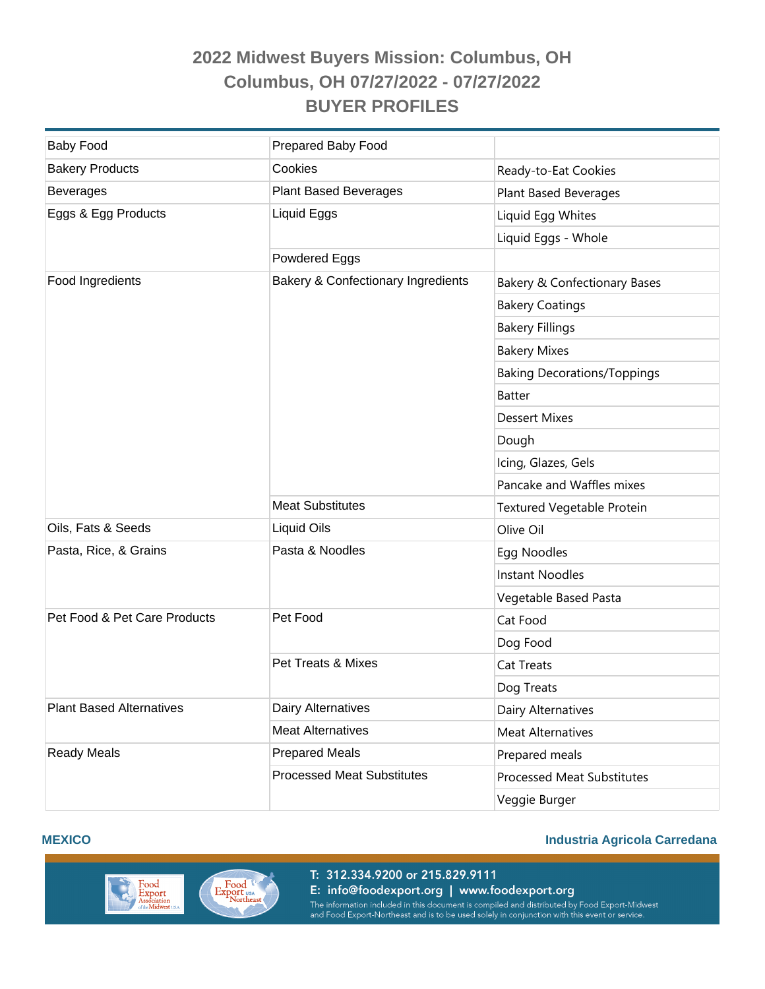| <b>Baby Food</b>                | Prepared Baby Food                            |                                    |  |
|---------------------------------|-----------------------------------------------|------------------------------------|--|
| <b>Bakery Products</b>          | Cookies                                       | Ready-to-Eat Cookies               |  |
| <b>Beverages</b>                | <b>Plant Based Beverages</b>                  | Plant Based Beverages              |  |
| Eggs & Egg Products             | Liquid Eggs                                   | Liquid Egg Whites                  |  |
|                                 |                                               | Liquid Eggs - Whole                |  |
|                                 | Powdered Eggs                                 |                                    |  |
| Food Ingredients                | <b>Bakery &amp; Confectionary Ingredients</b> | Bakery & Confectionary Bases       |  |
|                                 |                                               | <b>Bakery Coatings</b>             |  |
|                                 |                                               | <b>Bakery Fillings</b>             |  |
|                                 |                                               | <b>Bakery Mixes</b>                |  |
|                                 |                                               | <b>Baking Decorations/Toppings</b> |  |
|                                 |                                               | <b>Batter</b>                      |  |
|                                 |                                               | <b>Dessert Mixes</b>               |  |
|                                 |                                               | Dough                              |  |
|                                 |                                               | Icing, Glazes, Gels                |  |
|                                 |                                               | Pancake and Waffles mixes          |  |
|                                 | <b>Meat Substitutes</b>                       | Textured Vegetable Protein         |  |
| Oils, Fats & Seeds              | <b>Liquid Oils</b>                            | Olive Oil                          |  |
| Pasta, Rice, & Grains           | Pasta & Noodles                               | Egg Noodles                        |  |
|                                 |                                               | <b>Instant Noodles</b>             |  |
|                                 |                                               | Vegetable Based Pasta              |  |
| Pet Food & Pet Care Products    | Pet Food                                      | Cat Food                           |  |
|                                 |                                               | Dog Food                           |  |
|                                 | Pet Treats & Mixes                            | <b>Cat Treats</b>                  |  |
|                                 |                                               | Dog Treats                         |  |
| <b>Plant Based Alternatives</b> | <b>Dairy Alternatives</b>                     | Dairy Alternatives                 |  |
|                                 | <b>Meat Alternatives</b>                      | <b>Meat Alternatives</b>           |  |
| <b>Ready Meals</b>              | <b>Prepared Meals</b>                         | Prepared meals                     |  |
|                                 | <b>Processed Meat Substitutes</b>             | <b>Processed Meat Substitutes</b>  |  |
|                                 |                                               | Veggie Burger                      |  |



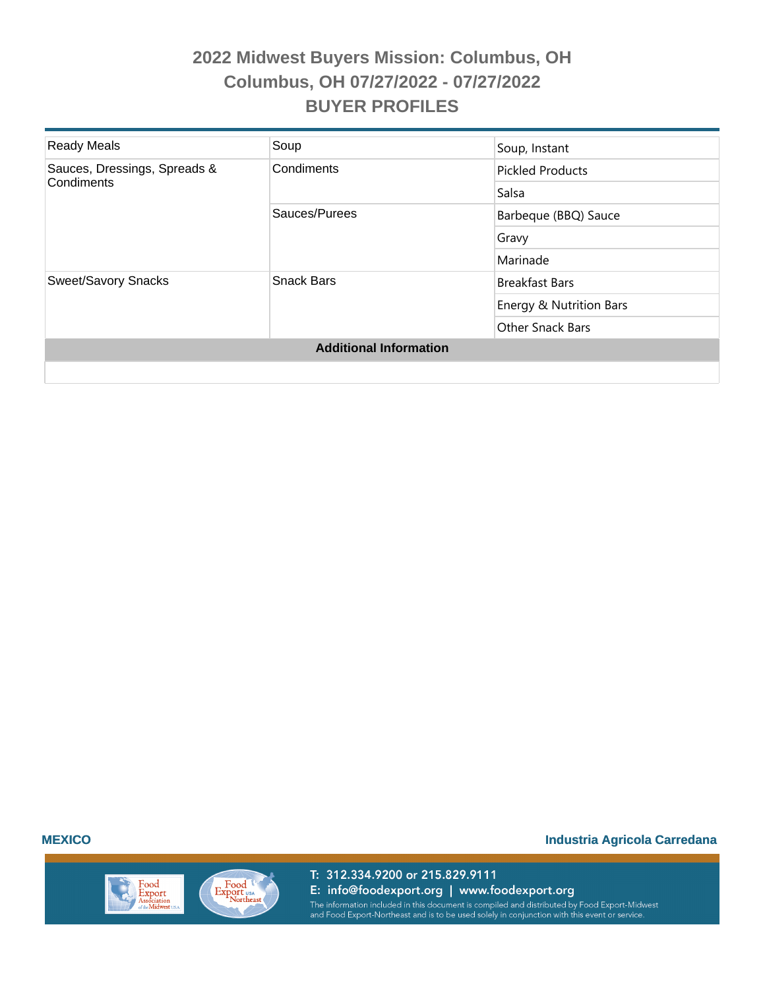| <b>Ready Meals</b>            | Soup              | Soup, Instant           |  |  |
|-------------------------------|-------------------|-------------------------|--|--|
| Sauces, Dressings, Spreads &  | Condiments        | <b>Pickled Products</b> |  |  |
| Condiments                    |                   | Salsa                   |  |  |
|                               | Sauces/Purees     | Barbeque (BBQ) Sauce    |  |  |
|                               |                   | Gravy                   |  |  |
|                               |                   | Marinade                |  |  |
| <b>Sweet/Savory Snacks</b>    | <b>Snack Bars</b> | <b>Breakfast Bars</b>   |  |  |
|                               |                   | Energy & Nutrition Bars |  |  |
|                               |                   | <b>Other Snack Bars</b> |  |  |
| <b>Additional Information</b> |                   |                         |  |  |
|                               |                   |                         |  |  |



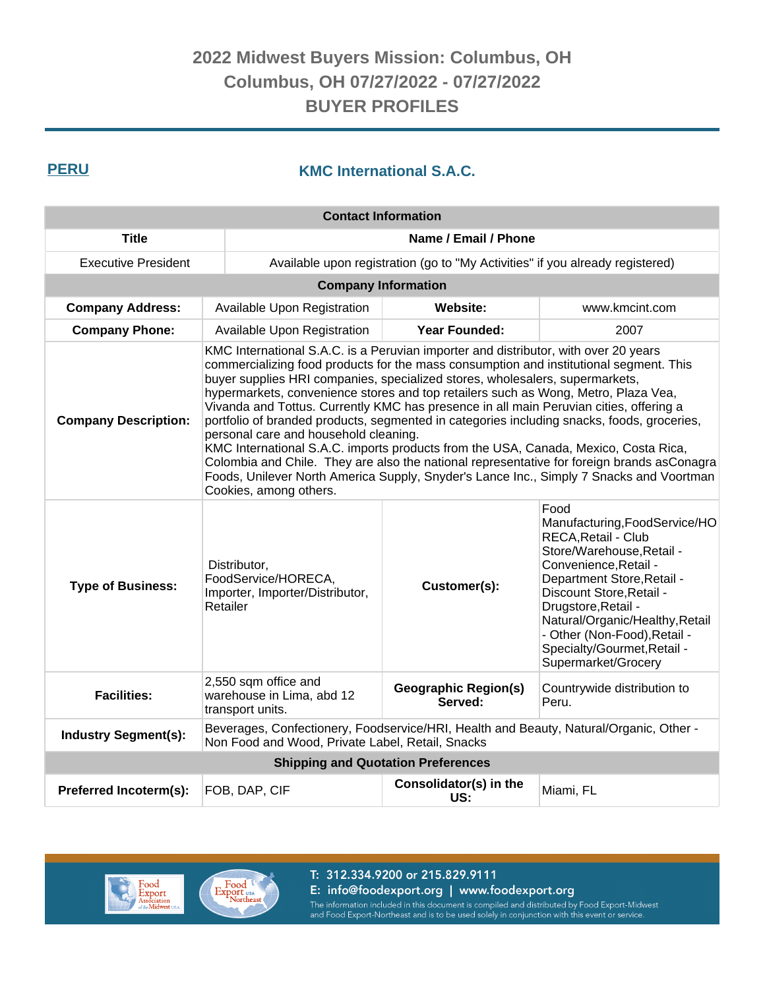### **PERU EXAMC International S.A.C.**

| <b>Contact Information</b>  |                                                                                                                                                                                                                                                                                                                                                                                                                                                                                                                                                                                                                                                                                                                                                                                                                                                                                                |                                                                               |                                                                                                                                                                                                                                                                                                                              |  |  |
|-----------------------------|------------------------------------------------------------------------------------------------------------------------------------------------------------------------------------------------------------------------------------------------------------------------------------------------------------------------------------------------------------------------------------------------------------------------------------------------------------------------------------------------------------------------------------------------------------------------------------------------------------------------------------------------------------------------------------------------------------------------------------------------------------------------------------------------------------------------------------------------------------------------------------------------|-------------------------------------------------------------------------------|------------------------------------------------------------------------------------------------------------------------------------------------------------------------------------------------------------------------------------------------------------------------------------------------------------------------------|--|--|
| <b>Title</b>                |                                                                                                                                                                                                                                                                                                                                                                                                                                                                                                                                                                                                                                                                                                                                                                                                                                                                                                | Name / Email / Phone                                                          |                                                                                                                                                                                                                                                                                                                              |  |  |
| <b>Executive President</b>  |                                                                                                                                                                                                                                                                                                                                                                                                                                                                                                                                                                                                                                                                                                                                                                                                                                                                                                | Available upon registration (go to "My Activities" if you already registered) |                                                                                                                                                                                                                                                                                                                              |  |  |
|                             |                                                                                                                                                                                                                                                                                                                                                                                                                                                                                                                                                                                                                                                                                                                                                                                                                                                                                                | <b>Company Information</b>                                                    |                                                                                                                                                                                                                                                                                                                              |  |  |
| <b>Company Address:</b>     | Available Upon Registration                                                                                                                                                                                                                                                                                                                                                                                                                                                                                                                                                                                                                                                                                                                                                                                                                                                                    | Website:                                                                      | www.kmcint.com                                                                                                                                                                                                                                                                                                               |  |  |
| <b>Company Phone:</b>       | Available Upon Registration                                                                                                                                                                                                                                                                                                                                                                                                                                                                                                                                                                                                                                                                                                                                                                                                                                                                    | <b>Year Founded:</b>                                                          | 2007                                                                                                                                                                                                                                                                                                                         |  |  |
| <b>Company Description:</b> | KMC International S.A.C. is a Peruvian importer and distributor, with over 20 years<br>commercializing food products for the mass consumption and institutional segment. This<br>buyer supplies HRI companies, specialized stores, wholesalers, supermarkets,<br>hypermarkets, convenience stores and top retailers such as Wong, Metro, Plaza Vea,<br>Vivanda and Tottus. Currently KMC has presence in all main Peruvian cities, offering a<br>portfolio of branded products, segmented in categories including snacks, foods, groceries,<br>personal care and household cleaning.<br>KMC International S.A.C. imports products from the USA, Canada, Mexico, Costa Rica,<br>Colombia and Chile. They are also the national representative for foreign brands asConagra<br>Foods, Unilever North America Supply, Snyder's Lance Inc., Simply 7 Snacks and Voortman<br>Cookies, among others. |                                                                               |                                                                                                                                                                                                                                                                                                                              |  |  |
| <b>Type of Business:</b>    | Distributor,<br>FoodService/HORECA,<br>Importer, Importer/Distributor,<br>Retailer                                                                                                                                                                                                                                                                                                                                                                                                                                                                                                                                                                                                                                                                                                                                                                                                             | Customer(s):                                                                  | Food<br>Manufacturing, FoodService/HO<br>RECA, Retail - Club<br>Store/Warehouse, Retail -<br>Convenience, Retail -<br>Department Store, Retail -<br>Discount Store, Retail -<br>Drugstore, Retail -<br>Natural/Organic/Healthy, Retail<br>- Other (Non-Food), Retail -<br>Specialty/Gourmet, Retail -<br>Supermarket/Grocery |  |  |
| <b>Facilities:</b>          | 2,550 sqm office and<br>warehouse in Lima, abd 12<br>transport units.                                                                                                                                                                                                                                                                                                                                                                                                                                                                                                                                                                                                                                                                                                                                                                                                                          | <b>Geographic Region(s)</b><br>Served:                                        | Countrywide distribution to<br>Peru.                                                                                                                                                                                                                                                                                         |  |  |
| <b>Industry Segment(s):</b> | Beverages, Confectionery, Foodservice/HRI, Health and Beauty, Natural/Organic, Other -<br>Non Food and Wood, Private Label, Retail, Snacks                                                                                                                                                                                                                                                                                                                                                                                                                                                                                                                                                                                                                                                                                                                                                     |                                                                               |                                                                                                                                                                                                                                                                                                                              |  |  |
|                             |                                                                                                                                                                                                                                                                                                                                                                                                                                                                                                                                                                                                                                                                                                                                                                                                                                                                                                | <b>Shipping and Quotation Preferences</b>                                     |                                                                                                                                                                                                                                                                                                                              |  |  |
| Preferred Incoterm(s):      | FOB, DAP, CIF                                                                                                                                                                                                                                                                                                                                                                                                                                                                                                                                                                                                                                                                                                                                                                                                                                                                                  | Consolidator(s) in the<br>US:                                                 | Miami, FL                                                                                                                                                                                                                                                                                                                    |  |  |



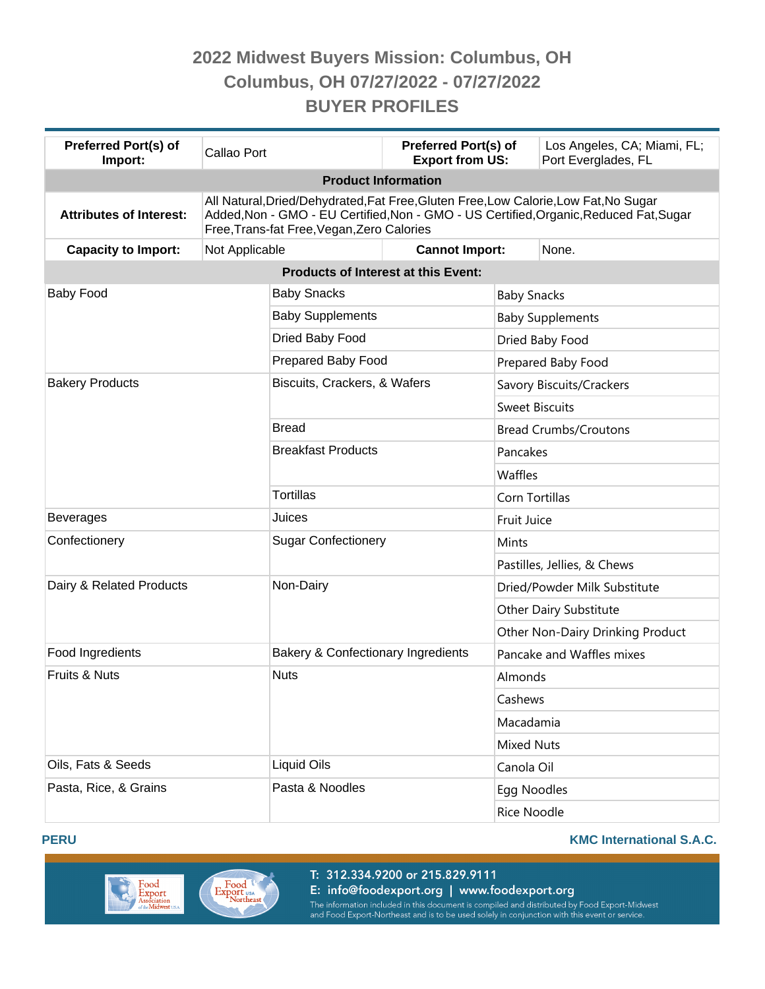| <b>Preferred Port(s) of</b><br>Import: | Callao Port    |                                                                                                                                                                                                                              | <b>Preferred Port(s) of</b><br><b>Export from US:</b> |                                  | Los Angeles, CA; Miami, FL;<br>Port Everglades, FL |  |
|----------------------------------------|----------------|------------------------------------------------------------------------------------------------------------------------------------------------------------------------------------------------------------------------------|-------------------------------------------------------|----------------------------------|----------------------------------------------------|--|
| <b>Product Information</b>             |                |                                                                                                                                                                                                                              |                                                       |                                  |                                                    |  |
| <b>Attributes of Interest:</b>         |                | All Natural, Dried/Dehydrated, Fat Free, Gluten Free, Low Calorie, Low Fat, No Sugar<br>Added, Non - GMO - EU Certified, Non - GMO - US Certified, Organic, Reduced Fat, Sugar<br>Free, Trans-fat Free, Vegan, Zero Calories |                                                       |                                  |                                                    |  |
| <b>Capacity to Import:</b>             | Not Applicable |                                                                                                                                                                                                                              | <b>Cannot Import:</b>                                 |                                  | None.                                              |  |
|                                        |                |                                                                                                                                                                                                                              | <b>Products of Interest at this Event:</b>            |                                  |                                                    |  |
| <b>Baby Food</b>                       |                | <b>Baby Snacks</b>                                                                                                                                                                                                           |                                                       | <b>Baby Snacks</b>               |                                                    |  |
|                                        |                | <b>Baby Supplements</b>                                                                                                                                                                                                      |                                                       |                                  | <b>Baby Supplements</b>                            |  |
|                                        |                | Dried Baby Food                                                                                                                                                                                                              |                                                       |                                  | Dried Baby Food                                    |  |
|                                        |                | Prepared Baby Food                                                                                                                                                                                                           |                                                       |                                  | Prepared Baby Food                                 |  |
| <b>Bakery Products</b>                 |                | Biscuits, Crackers, & Wafers                                                                                                                                                                                                 |                                                       |                                  | Savory Biscuits/Crackers                           |  |
|                                        |                |                                                                                                                                                                                                                              |                                                       | <b>Sweet Biscuits</b>            |                                                    |  |
|                                        |                | <b>Bread</b>                                                                                                                                                                                                                 |                                                       | <b>Bread Crumbs/Croutons</b>     |                                                    |  |
|                                        |                | <b>Breakfast Products</b>                                                                                                                                                                                                    |                                                       | Pancakes                         |                                                    |  |
|                                        |                |                                                                                                                                                                                                                              |                                                       | Waffles                          |                                                    |  |
|                                        |                | <b>Tortillas</b>                                                                                                                                                                                                             |                                                       | Corn Tortillas                   |                                                    |  |
| <b>Beverages</b>                       |                | Juices                                                                                                                                                                                                                       |                                                       | Fruit Juice                      |                                                    |  |
| Confectionery                          |                | <b>Sugar Confectionery</b>                                                                                                                                                                                                   |                                                       | Mints                            |                                                    |  |
|                                        |                |                                                                                                                                                                                                                              |                                                       | Pastilles, Jellies, & Chews      |                                                    |  |
| Non-Dairy<br>Dairy & Related Products  |                |                                                                                                                                                                                                                              |                                                       |                                  | Dried/Powder Milk Substitute                       |  |
|                                        |                |                                                                                                                                                                                                                              |                                                       | <b>Other Dairy Substitute</b>    |                                                    |  |
|                                        |                |                                                                                                                                                                                                                              |                                                       | Other Non-Dairy Drinking Product |                                                    |  |
| Food Ingredients                       |                | <b>Bakery &amp; Confectionary Ingredients</b>                                                                                                                                                                                |                                                       | Pancake and Waffles mixes        |                                                    |  |
| <b>Fruits &amp; Nuts</b>               |                | <b>Nuts</b>                                                                                                                                                                                                                  |                                                       | Almonds                          |                                                    |  |
|                                        |                |                                                                                                                                                                                                                              |                                                       | Cashews                          |                                                    |  |
|                                        |                |                                                                                                                                                                                                                              |                                                       | Macadamia                        |                                                    |  |
|                                        |                |                                                                                                                                                                                                                              | <b>Mixed Nuts</b>                                     |                                  |                                                    |  |
| Oils, Fats & Seeds                     |                | <b>Liquid Oils</b>                                                                                                                                                                                                           |                                                       | Canola Oil                       |                                                    |  |
| Pasta, Rice, & Grains                  |                | Pasta & Noodles                                                                                                                                                                                                              |                                                       | Egg Noodles                      |                                                    |  |
|                                        |                |                                                                                                                                                                                                                              |                                                       | <b>Rice Noodle</b>               |                                                    |  |





T: 312.334.9200 or 215.829.9111 E: info@foodexport.org | www.foodexport.org The information included in this document is compiled and distributed by Food Export-Midwest<br>and Food Export-Northeast and is to be used solely in conjunction with this event or service.

### **PERU KMC International S.A.C.**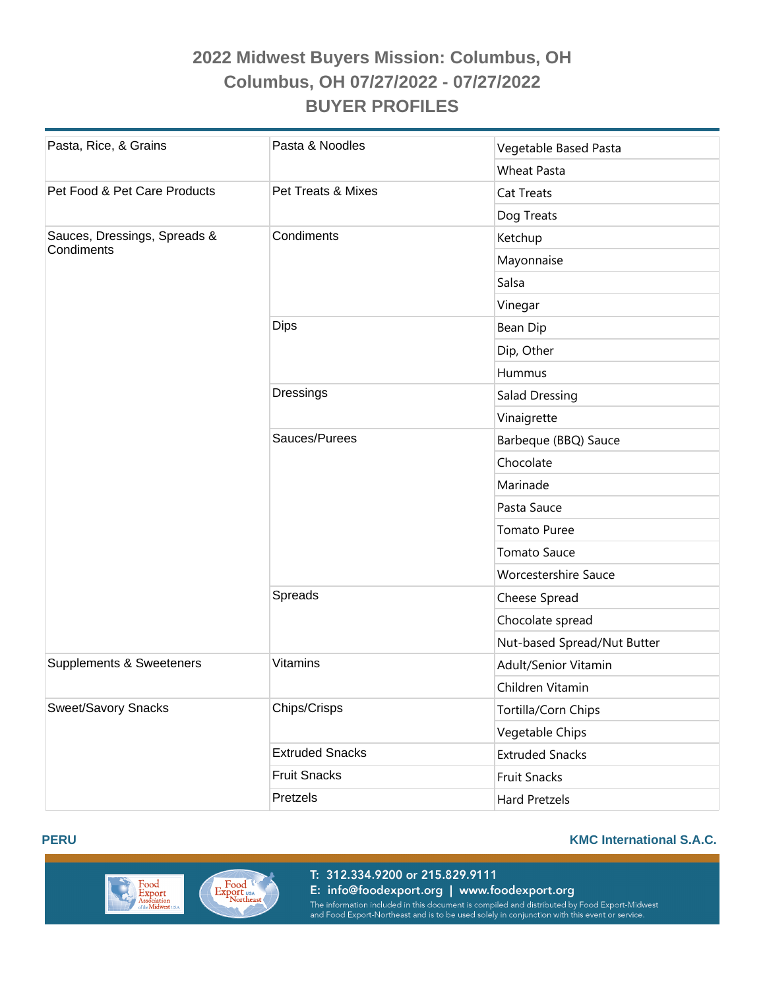| Pasta, Rice, & Grains        | Pasta & Noodles        | Vegetable Based Pasta       |  |
|------------------------------|------------------------|-----------------------------|--|
|                              |                        | <b>Wheat Pasta</b>          |  |
| Pet Food & Pet Care Products | Pet Treats & Mixes     | <b>Cat Treats</b>           |  |
|                              |                        | Dog Treats                  |  |
| Sauces, Dressings, Spreads & | Condiments             | Ketchup                     |  |
| Condiments                   |                        | Mayonnaise                  |  |
|                              |                        | Salsa                       |  |
|                              |                        | Vinegar                     |  |
|                              | <b>Dips</b>            | Bean Dip                    |  |
|                              |                        | Dip, Other                  |  |
|                              |                        | Hummus                      |  |
|                              | Dressings              | Salad Dressing              |  |
|                              |                        | Vinaigrette                 |  |
|                              | Sauces/Purees          | Barbeque (BBQ) Sauce        |  |
|                              |                        | Chocolate                   |  |
|                              |                        | Marinade                    |  |
|                              |                        | Pasta Sauce                 |  |
|                              |                        | Tomato Puree                |  |
|                              |                        | <b>Tomato Sauce</b>         |  |
|                              |                        | <b>Worcestershire Sauce</b> |  |
|                              | Spreads                | Cheese Spread               |  |
|                              |                        | Chocolate spread            |  |
|                              |                        | Nut-based Spread/Nut Butter |  |
| Supplements & Sweeteners     | Vitamins               | Adult/Senior Vitamin        |  |
|                              |                        | Children Vitamin            |  |
| Sweet/Savory Snacks          | Chips/Crisps           | Tortilla/Corn Chips         |  |
|                              |                        | Vegetable Chips             |  |
|                              | <b>Extruded Snacks</b> | <b>Extruded Snacks</b>      |  |
|                              | <b>Fruit Snacks</b>    | <b>Fruit Snacks</b>         |  |
|                              | Pretzels               | <b>Hard Pretzels</b>        |  |





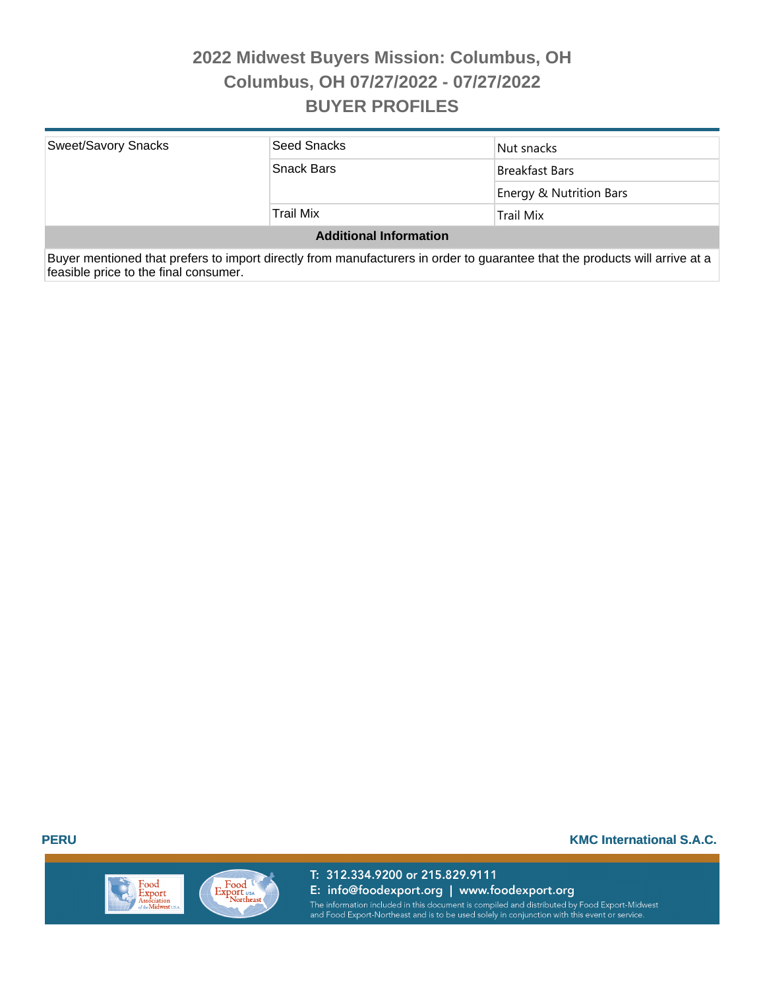| <b>Sweet/Savory Snacks</b>                                                                                                                                           | Seed Snacks       | Nut snacks              |  |  |  |
|----------------------------------------------------------------------------------------------------------------------------------------------------------------------|-------------------|-------------------------|--|--|--|
|                                                                                                                                                                      | <b>Snack Bars</b> | <b>Breakfast Bars</b>   |  |  |  |
|                                                                                                                                                                      |                   | Energy & Nutrition Bars |  |  |  |
|                                                                                                                                                                      | Trail Mix         | Trail Mix               |  |  |  |
| <b>Additional Information</b>                                                                                                                                        |                   |                         |  |  |  |
| Buyer mentioned that prefers to import directly from manufacturers in order to guarantee that the products will arrive at a<br>feasible price to the final consumer. |                   |                         |  |  |  |

**PERU <b>KMC** International S.A.C.

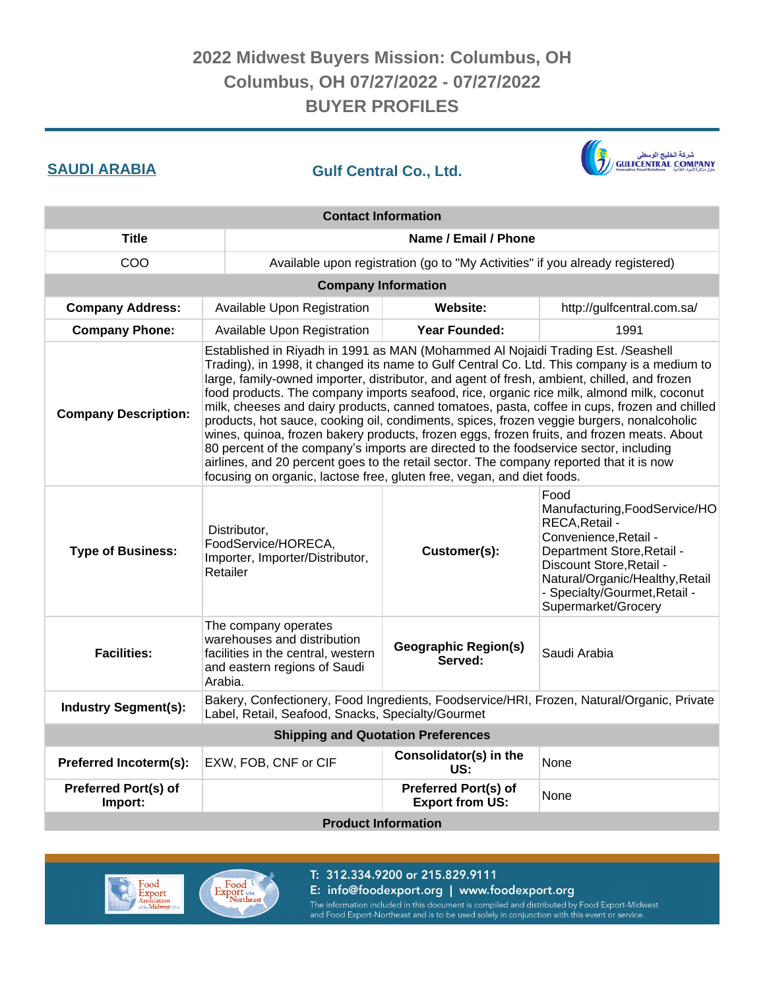### **SAUDI ARABIA Gulf Central Co., Ltd.**



| <b>Contact Information</b>      |                                                                                                                                                                                                                                                                                                                                                                                                                                                                                                                                                                                                                                                                                                                                                                                                                                                                                                                                      |                                                                               |                                                                                                                                                                                                                                       |  |  |
|---------------------------------|--------------------------------------------------------------------------------------------------------------------------------------------------------------------------------------------------------------------------------------------------------------------------------------------------------------------------------------------------------------------------------------------------------------------------------------------------------------------------------------------------------------------------------------------------------------------------------------------------------------------------------------------------------------------------------------------------------------------------------------------------------------------------------------------------------------------------------------------------------------------------------------------------------------------------------------|-------------------------------------------------------------------------------|---------------------------------------------------------------------------------------------------------------------------------------------------------------------------------------------------------------------------------------|--|--|
| <b>Title</b>                    |                                                                                                                                                                                                                                                                                                                                                                                                                                                                                                                                                                                                                                                                                                                                                                                                                                                                                                                                      | Name / Email / Phone                                                          |                                                                                                                                                                                                                                       |  |  |
| COO                             |                                                                                                                                                                                                                                                                                                                                                                                                                                                                                                                                                                                                                                                                                                                                                                                                                                                                                                                                      | Available upon registration (go to "My Activities" if you already registered) |                                                                                                                                                                                                                                       |  |  |
|                                 |                                                                                                                                                                                                                                                                                                                                                                                                                                                                                                                                                                                                                                                                                                                                                                                                                                                                                                                                      | <b>Company Information</b>                                                    |                                                                                                                                                                                                                                       |  |  |
| <b>Company Address:</b>         | Available Upon Registration                                                                                                                                                                                                                                                                                                                                                                                                                                                                                                                                                                                                                                                                                                                                                                                                                                                                                                          | <b>Website:</b>                                                               | http://gulfcentral.com.sa/                                                                                                                                                                                                            |  |  |
| <b>Company Phone:</b>           | Available Upon Registration                                                                                                                                                                                                                                                                                                                                                                                                                                                                                                                                                                                                                                                                                                                                                                                                                                                                                                          | <b>Year Founded:</b>                                                          | 1991                                                                                                                                                                                                                                  |  |  |
| <b>Company Description:</b>     | Established in Riyadh in 1991 as MAN (Mohammed Al Nojaidi Trading Est. /Seashell<br>Trading), in 1998, it changed its name to Gulf Central Co. Ltd. This company is a medium to<br>large, family-owned importer, distributor, and agent of fresh, ambient, chilled, and frozen<br>food products. The company imports seafood, rice, organic rice milk, almond milk, coconut<br>milk, cheeses and dairy products, canned tomatoes, pasta, coffee in cups, frozen and chilled<br>products, hot sauce, cooking oil, condiments, spices, frozen veggie burgers, nonalcoholic<br>wines, quinoa, frozen bakery products, frozen eggs, frozen fruits, and frozen meats. About<br>80 percent of the company's imports are directed to the foodservice sector, including<br>airlines, and 20 percent goes to the retail sector. The company reported that it is now<br>focusing on organic, lactose free, gluten free, vegan, and diet foods. |                                                                               |                                                                                                                                                                                                                                       |  |  |
| <b>Type of Business:</b>        | Distributor,<br>FoodService/HORECA,<br>Importer, Importer/Distributor,<br>Retailer                                                                                                                                                                                                                                                                                                                                                                                                                                                                                                                                                                                                                                                                                                                                                                                                                                                   | Customer(s):                                                                  | Food<br>Manufacturing, FoodService/HO<br>RECA, Retail -<br>Convenience, Retail -<br>Department Store, Retail -<br>Discount Store, Retail -<br>Natural/Organic/Healthy, Retail<br>- Specialty/Gourmet, Retail -<br>Supermarket/Grocery |  |  |
| <b>Facilities:</b>              | The company operates<br>warehouses and distribution<br>facilities in the central, western<br>and eastern regions of Saudi<br>Arabia.                                                                                                                                                                                                                                                                                                                                                                                                                                                                                                                                                                                                                                                                                                                                                                                                 | <b>Geographic Region(s)</b><br>Served:                                        | Saudi Arabia                                                                                                                                                                                                                          |  |  |
| <b>Industry Segment(s):</b>     | Bakery, Confectionery, Food Ingredients, Foodservice/HRI, Frozen, Natural/Organic, Private<br>Label, Retail, Seafood, Snacks, Specialty/Gourmet                                                                                                                                                                                                                                                                                                                                                                                                                                                                                                                                                                                                                                                                                                                                                                                      |                                                                               |                                                                                                                                                                                                                                       |  |  |
|                                 |                                                                                                                                                                                                                                                                                                                                                                                                                                                                                                                                                                                                                                                                                                                                                                                                                                                                                                                                      | <b>Shipping and Quotation Preferences</b>                                     |                                                                                                                                                                                                                                       |  |  |
| Preferred Incoterm(s):          | EXW, FOB, CNF or CIF                                                                                                                                                                                                                                                                                                                                                                                                                                                                                                                                                                                                                                                                                                                                                                                                                                                                                                                 | Consolidator(s) in the<br>US:                                                 | None                                                                                                                                                                                                                                  |  |  |
| Preferred Port(s) of<br>Import: |                                                                                                                                                                                                                                                                                                                                                                                                                                                                                                                                                                                                                                                                                                                                                                                                                                                                                                                                      | <b>Preferred Port(s) of</b><br><b>Export from US:</b>                         | None                                                                                                                                                                                                                                  |  |  |

### **Product Information**



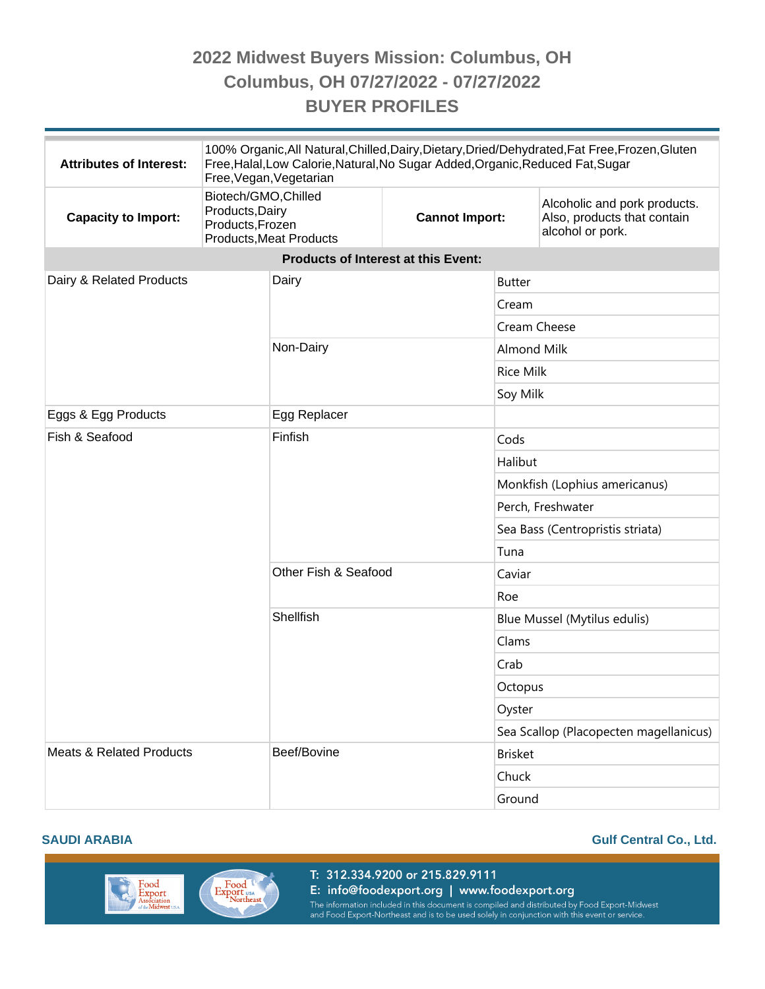| <b>Attributes of Interest:</b>      | 100% Organic, All Natural, Chilled, Dairy, Dietary, Dried/Dehydrated, Fat Free, Frozen, Gluten<br>Free, Halal, Low Calorie, Natural, No Sugar Added, Organic, Reduced Fat, Sugar<br>Free, Vegan, Vegetarian |                                            |                                        |                                                             |  |
|-------------------------------------|-------------------------------------------------------------------------------------------------------------------------------------------------------------------------------------------------------------|--------------------------------------------|----------------------------------------|-------------------------------------------------------------|--|
| <b>Capacity to Import:</b>          | Biotech/GMO, Chilled<br>Products, Dairy<br>Products, Frozen<br><b>Products, Meat Products</b>                                                                                                               | <b>Cannot Import:</b><br>alcohol or pork.  |                                        | Alcoholic and pork products.<br>Also, products that contain |  |
|                                     |                                                                                                                                                                                                             | <b>Products of Interest at this Event:</b> |                                        |                                                             |  |
| Dairy & Related Products            | Dairy                                                                                                                                                                                                       |                                            |                                        | <b>Butter</b>                                               |  |
|                                     |                                                                                                                                                                                                             |                                            | Cream                                  |                                                             |  |
|                                     |                                                                                                                                                                                                             |                                            | Cream Cheese                           |                                                             |  |
|                                     | Non-Dairy                                                                                                                                                                                                   |                                            | <b>Almond Milk</b>                     |                                                             |  |
|                                     |                                                                                                                                                                                                             |                                            | <b>Rice Milk</b>                       |                                                             |  |
|                                     |                                                                                                                                                                                                             |                                            | Soy Milk                               |                                                             |  |
| Eggs & Egg Products                 | Egg Replacer                                                                                                                                                                                                |                                            |                                        |                                                             |  |
| Fish & Seafood                      | Finfish                                                                                                                                                                                                     |                                            |                                        | Cods                                                        |  |
|                                     |                                                                                                                                                                                                             |                                            |                                        | Halibut                                                     |  |
|                                     |                                                                                                                                                                                                             |                                            |                                        | Monkfish (Lophius americanus)                               |  |
|                                     |                                                                                                                                                                                                             |                                            |                                        | Perch, Freshwater                                           |  |
|                                     |                                                                                                                                                                                                             |                                            |                                        | Sea Bass (Centropristis striata)                            |  |
|                                     |                                                                                                                                                                                                             |                                            |                                        | Tuna                                                        |  |
|                                     |                                                                                                                                                                                                             | Other Fish & Seafood                       |                                        | Caviar                                                      |  |
|                                     |                                                                                                                                                                                                             |                                            |                                        | Roe                                                         |  |
|                                     | Shellfish                                                                                                                                                                                                   |                                            | Blue Mussel (Mytilus edulis)           |                                                             |  |
|                                     |                                                                                                                                                                                                             |                                            | Clams                                  |                                                             |  |
|                                     |                                                                                                                                                                                                             |                                            | Crab                                   |                                                             |  |
|                                     |                                                                                                                                                                                                             |                                            | Octopus                                |                                                             |  |
|                                     |                                                                                                                                                                                                             |                                            | Oyster                                 |                                                             |  |
|                                     |                                                                                                                                                                                                             |                                            | Sea Scallop (Placopecten magellanicus) |                                                             |  |
| <b>Meats &amp; Related Products</b> | Beef/Bovine                                                                                                                                                                                                 |                                            | <b>Brisket</b>                         |                                                             |  |
|                                     |                                                                                                                                                                                                             |                                            | Chuck                                  |                                                             |  |
|                                     |                                                                                                                                                                                                             |                                            |                                        | Ground                                                      |  |



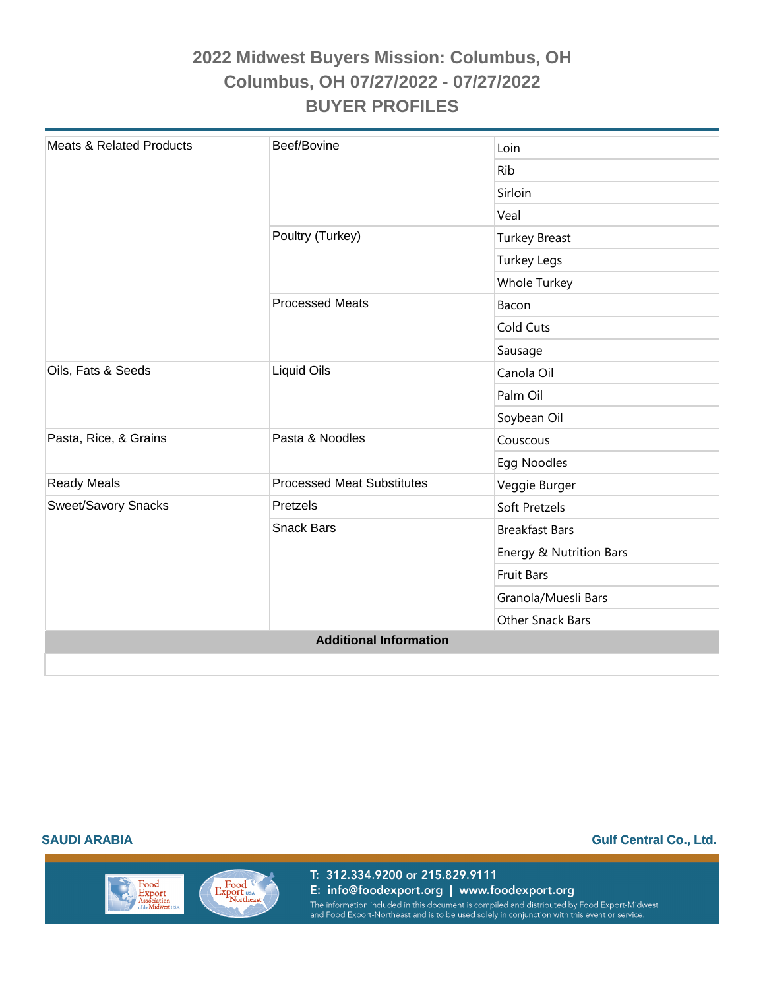| <b>Meats &amp; Related Products</b><br>Beef/Bovine |                                   | Loin                    |  |
|----------------------------------------------------|-----------------------------------|-------------------------|--|
|                                                    |                                   | Rib                     |  |
|                                                    |                                   | Sirloin                 |  |
|                                                    |                                   | Veal                    |  |
|                                                    | Poultry (Turkey)                  | <b>Turkey Breast</b>    |  |
|                                                    |                                   | <b>Turkey Legs</b>      |  |
|                                                    |                                   | Whole Turkey            |  |
|                                                    | <b>Processed Meats</b>            | Bacon                   |  |
|                                                    |                                   | Cold Cuts               |  |
|                                                    |                                   | Sausage                 |  |
| Oils, Fats & Seeds                                 | <b>Liquid Oils</b>                | Canola Oil              |  |
|                                                    |                                   | Palm Oil                |  |
|                                                    |                                   | Soybean Oil             |  |
| Pasta, Rice, & Grains                              | Pasta & Noodles                   | Couscous                |  |
|                                                    |                                   | Egg Noodles             |  |
| <b>Ready Meals</b>                                 | <b>Processed Meat Substitutes</b> | Veggie Burger           |  |
| Sweet/Savory Snacks                                | Pretzels                          | Soft Pretzels           |  |
|                                                    | <b>Snack Bars</b>                 | <b>Breakfast Bars</b>   |  |
|                                                    |                                   | Energy & Nutrition Bars |  |
|                                                    |                                   | <b>Fruit Bars</b>       |  |
|                                                    |                                   | Granola/Muesli Bars     |  |
|                                                    |                                   | <b>Other Snack Bars</b> |  |
| <b>Additional Information</b>                      |                                   |                         |  |
|                                                    |                                   |                         |  |

**SAUDI ARABIA Gulf Central Co., Ltd.**

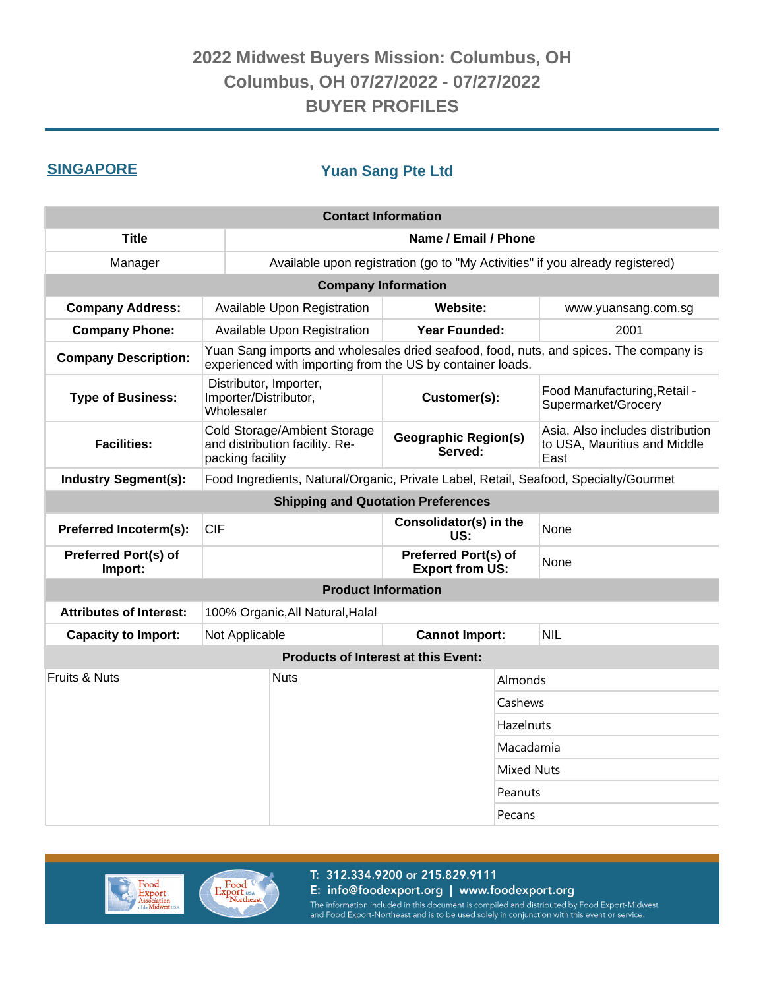### **SINGAPORE Yuan Sang Pte Ltd**

| <b>Contact Information</b>             |                                                                                      |                                                       |                                                                                        |
|----------------------------------------|--------------------------------------------------------------------------------------|-------------------------------------------------------|----------------------------------------------------------------------------------------|
| <b>Title</b>                           | Name / Email / Phone                                                                 |                                                       |                                                                                        |
| Manager                                | Available upon registration (go to "My Activities" if you already registered)        |                                                       |                                                                                        |
|                                        |                                                                                      | <b>Company Information</b>                            |                                                                                        |
| <b>Company Address:</b>                | Available Upon Registration                                                          | <b>Website:</b>                                       | www.yuansang.com.sg                                                                    |
| <b>Company Phone:</b>                  | Available Upon Registration                                                          | Year Founded:                                         | 2001                                                                                   |
| <b>Company Description:</b>            | experienced with importing from the US by container loads.                           |                                                       | Yuan Sang imports and wholesales dried seafood, food, nuts, and spices. The company is |
| <b>Type of Business:</b>               | Distributor, Importer,<br>Importer/Distributor,<br>Wholesaler                        | Customer(s):                                          | Food Manufacturing, Retail -<br>Supermarket/Grocery                                    |
| <b>Facilities:</b>                     | Cold Storage/Ambient Storage<br>and distribution facility. Re-<br>packing facility   | <b>Geographic Region(s)</b><br>Served:                | Asia. Also includes distribution<br>to USA, Mauritius and Middle<br>East               |
| <b>Industry Segment(s):</b>            | Food Ingredients, Natural/Organic, Private Label, Retail, Seafood, Specialty/Gourmet |                                                       |                                                                                        |
|                                        |                                                                                      | <b>Shipping and Quotation Preferences</b>             |                                                                                        |
| <b>Preferred Incoterm(s):</b>          | <b>CIF</b>                                                                           | Consolidator(s) in the<br>US:                         | <b>None</b>                                                                            |
| <b>Preferred Port(s) of</b><br>Import: |                                                                                      | <b>Preferred Port(s) of</b><br><b>Export from US:</b> | None                                                                                   |
|                                        |                                                                                      | <b>Product Information</b>                            |                                                                                        |
| <b>Attributes of Interest:</b>         | 100% Organic, All Natural, Halal                                                     |                                                       |                                                                                        |
| <b>Capacity to Import:</b>             | Not Applicable                                                                       | <b>Cannot Import:</b>                                 | <b>NIL</b>                                                                             |
|                                        |                                                                                      | <b>Products of Interest at this Event:</b>            |                                                                                        |
| Fruits & Nuts                          | <b>Nuts</b>                                                                          |                                                       | Almonds                                                                                |
|                                        |                                                                                      |                                                       | Cashews                                                                                |
|                                        |                                                                                      |                                                       | Hazelnuts                                                                              |
|                                        |                                                                                      |                                                       | Macadamia                                                                              |
|                                        |                                                                                      |                                                       | Mixed Nuts                                                                             |
|                                        |                                                                                      |                                                       | Peanuts                                                                                |
|                                        |                                                                                      |                                                       | Pecans                                                                                 |



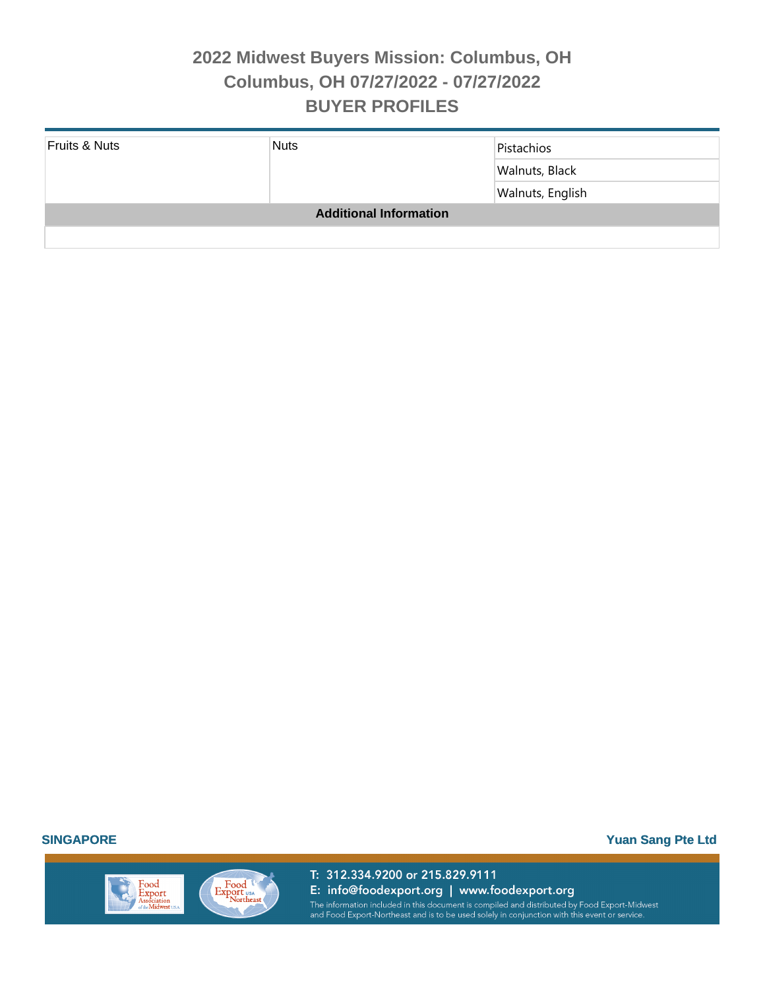| Fruits & Nuts | <b>Nuts</b> | Pistachios              |
|---------------|-------------|-------------------------|
|               |             | Walnuts, Black          |
|               |             | <b>Walnuts, English</b> |
|               |             |                         |
|               |             |                         |





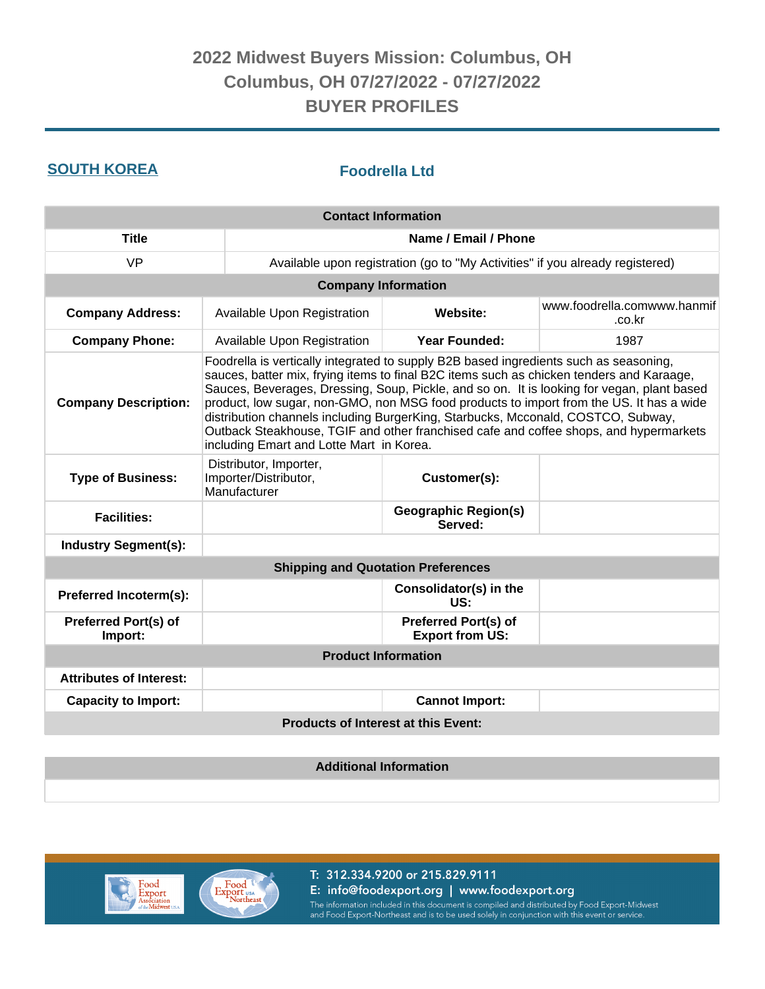### **SOUTH KOREA Foodrella Ltd**

| <b>Contact Information</b>                 |                                                                                                                                                                                                                                                                                                                                                                                                                                                                                                                                                                                                     |                                                                               |                                       |  |
|--------------------------------------------|-----------------------------------------------------------------------------------------------------------------------------------------------------------------------------------------------------------------------------------------------------------------------------------------------------------------------------------------------------------------------------------------------------------------------------------------------------------------------------------------------------------------------------------------------------------------------------------------------------|-------------------------------------------------------------------------------|---------------------------------------|--|
| <b>Title</b>                               |                                                                                                                                                                                                                                                                                                                                                                                                                                                                                                                                                                                                     | Name / Email / Phone                                                          |                                       |  |
| <b>VP</b>                                  |                                                                                                                                                                                                                                                                                                                                                                                                                                                                                                                                                                                                     | Available upon registration (go to "My Activities" if you already registered) |                                       |  |
|                                            |                                                                                                                                                                                                                                                                                                                                                                                                                                                                                                                                                                                                     | <b>Company Information</b>                                                    |                                       |  |
| <b>Company Address:</b>                    | <b>Available Upon Registration</b>                                                                                                                                                                                                                                                                                                                                                                                                                                                                                                                                                                  | Website:                                                                      | www.foodrella.comwww.hanmif<br>.co.kr |  |
| <b>Company Phone:</b>                      | Available Upon Registration                                                                                                                                                                                                                                                                                                                                                                                                                                                                                                                                                                         | <b>Year Founded:</b>                                                          | 1987                                  |  |
| <b>Company Description:</b>                | Foodrella is vertically integrated to supply B2B based ingredients such as seasoning,<br>sauces, batter mix, frying items to final B2C items such as chicken tenders and Karaage,<br>Sauces, Beverages, Dressing, Soup, Pickle, and so on. It is looking for vegan, plant based<br>product, low sugar, non-GMO, non MSG food products to import from the US. It has a wide<br>distribution channels including BurgerKing, Starbucks, Mcconald, COSTCO, Subway,<br>Outback Steakhouse, TGIF and other franchised cafe and coffee shops, and hypermarkets<br>including Emart and Lotte Mart in Korea. |                                                                               |                                       |  |
| <b>Type of Business:</b>                   | Distributor, Importer,<br>Importer/Distributor,<br>Manufacturer                                                                                                                                                                                                                                                                                                                                                                                                                                                                                                                                     | Customer(s):                                                                  |                                       |  |
| <b>Facilities:</b>                         |                                                                                                                                                                                                                                                                                                                                                                                                                                                                                                                                                                                                     | <b>Geographic Region(s)</b><br>Served:                                        |                                       |  |
| <b>Industry Segment(s):</b>                |                                                                                                                                                                                                                                                                                                                                                                                                                                                                                                                                                                                                     |                                                                               |                                       |  |
|                                            |                                                                                                                                                                                                                                                                                                                                                                                                                                                                                                                                                                                                     | <b>Shipping and Quotation Preferences</b>                                     |                                       |  |
| Preferred Incoterm(s):                     |                                                                                                                                                                                                                                                                                                                                                                                                                                                                                                                                                                                                     | Consolidator(s) in the<br>US:                                                 |                                       |  |
| <b>Preferred Port(s) of</b><br>Import:     |                                                                                                                                                                                                                                                                                                                                                                                                                                                                                                                                                                                                     | <b>Preferred Port(s) of</b><br><b>Export from US:</b>                         |                                       |  |
| <b>Product Information</b>                 |                                                                                                                                                                                                                                                                                                                                                                                                                                                                                                                                                                                                     |                                                                               |                                       |  |
| <b>Attributes of Interest:</b>             |                                                                                                                                                                                                                                                                                                                                                                                                                                                                                                                                                                                                     |                                                                               |                                       |  |
| <b>Capacity to Import:</b>                 |                                                                                                                                                                                                                                                                                                                                                                                                                                                                                                                                                                                                     | <b>Cannot Import:</b>                                                         |                                       |  |
| <b>Products of Interest at this Event:</b> |                                                                                                                                                                                                                                                                                                                                                                                                                                                                                                                                                                                                     |                                                                               |                                       |  |

**Additional Information**

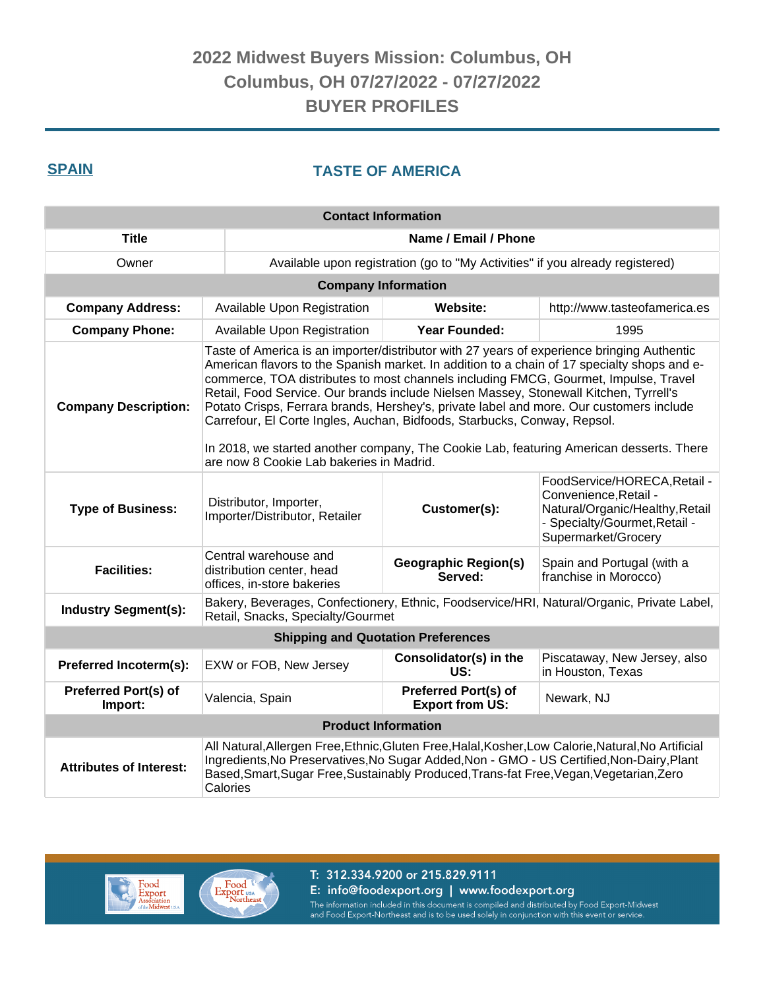### **SPAIN TASTE OF AMERICA**

| <b>Contact Information</b>                                                                                                                                                                                                                                                                                                                |                                                                                                                                                                                                                                                                                                                                                                                                                                                                                                                                                                                                                                                                                         |                                                                               |                                                                                                                                                  |  |
|-------------------------------------------------------------------------------------------------------------------------------------------------------------------------------------------------------------------------------------------------------------------------------------------------------------------------------------------|-----------------------------------------------------------------------------------------------------------------------------------------------------------------------------------------------------------------------------------------------------------------------------------------------------------------------------------------------------------------------------------------------------------------------------------------------------------------------------------------------------------------------------------------------------------------------------------------------------------------------------------------------------------------------------------------|-------------------------------------------------------------------------------|--------------------------------------------------------------------------------------------------------------------------------------------------|--|
| <b>Title</b>                                                                                                                                                                                                                                                                                                                              | Name / Email / Phone                                                                                                                                                                                                                                                                                                                                                                                                                                                                                                                                                                                                                                                                    |                                                                               |                                                                                                                                                  |  |
| Owner                                                                                                                                                                                                                                                                                                                                     |                                                                                                                                                                                                                                                                                                                                                                                                                                                                                                                                                                                                                                                                                         | Available upon registration (go to "My Activities" if you already registered) |                                                                                                                                                  |  |
|                                                                                                                                                                                                                                                                                                                                           |                                                                                                                                                                                                                                                                                                                                                                                                                                                                                                                                                                                                                                                                                         | <b>Company Information</b>                                                    |                                                                                                                                                  |  |
| <b>Company Address:</b>                                                                                                                                                                                                                                                                                                                   | Available Upon Registration                                                                                                                                                                                                                                                                                                                                                                                                                                                                                                                                                                                                                                                             | Website:                                                                      | http://www.tasteofamerica.es                                                                                                                     |  |
| <b>Company Phone:</b>                                                                                                                                                                                                                                                                                                                     | Available Upon Registration                                                                                                                                                                                                                                                                                                                                                                                                                                                                                                                                                                                                                                                             | <b>Year Founded:</b>                                                          | 1995                                                                                                                                             |  |
| <b>Company Description:</b>                                                                                                                                                                                                                                                                                                               | Taste of America is an importer/distributor with 27 years of experience bringing Authentic<br>American flavors to the Spanish market. In addition to a chain of 17 specialty shops and e-<br>commerce, TOA distributes to most channels including FMCG, Gourmet, Impulse, Travel<br>Retail, Food Service. Our brands include Nielsen Massey, Stonewall Kitchen, Tyrrell's<br>Potato Crisps, Ferrara brands, Hershey's, private label and more. Our customers include<br>Carrefour, El Corte Ingles, Auchan, Bidfoods, Starbucks, Conway, Repsol.<br>In 2018, we started another company, The Cookie Lab, featuring American desserts. There<br>are now 8 Cookie Lab bakeries in Madrid. |                                                                               |                                                                                                                                                  |  |
| <b>Type of Business:</b>                                                                                                                                                                                                                                                                                                                  | Distributor, Importer,<br>Importer/Distributor, Retailer                                                                                                                                                                                                                                                                                                                                                                                                                                                                                                                                                                                                                                | Customer(s):                                                                  | FoodService/HORECA, Retail -<br>Convenience, Retail -<br>Natural/Organic/Healthy, Retail<br>- Specialty/Gourmet, Retail -<br>Supermarket/Grocery |  |
| <b>Facilities:</b>                                                                                                                                                                                                                                                                                                                        | Central warehouse and<br>distribution center, head<br>offices, in-store bakeries                                                                                                                                                                                                                                                                                                                                                                                                                                                                                                                                                                                                        | <b>Geographic Region(s)</b><br>Served:                                        | Spain and Portugal (with a<br>franchise in Morocco)                                                                                              |  |
| <b>Industry Segment(s):</b>                                                                                                                                                                                                                                                                                                               | Bakery, Beverages, Confectionery, Ethnic, Foodservice/HRI, Natural/Organic, Private Label,<br>Retail, Snacks, Specialty/Gourmet                                                                                                                                                                                                                                                                                                                                                                                                                                                                                                                                                         |                                                                               |                                                                                                                                                  |  |
|                                                                                                                                                                                                                                                                                                                                           |                                                                                                                                                                                                                                                                                                                                                                                                                                                                                                                                                                                                                                                                                         | <b>Shipping and Quotation Preferences</b>                                     |                                                                                                                                                  |  |
| Preferred Incoterm(s):                                                                                                                                                                                                                                                                                                                    | EXW or FOB, New Jersey                                                                                                                                                                                                                                                                                                                                                                                                                                                                                                                                                                                                                                                                  | Consolidator(s) in the<br>US:                                                 | Piscataway, New Jersey, also<br>in Houston, Texas                                                                                                |  |
| <b>Preferred Port(s) of</b><br>Import:                                                                                                                                                                                                                                                                                                    | Valencia, Spain                                                                                                                                                                                                                                                                                                                                                                                                                                                                                                                                                                                                                                                                         | <b>Preferred Port(s) of</b><br><b>Export from US:</b>                         | Newark, NJ                                                                                                                                       |  |
|                                                                                                                                                                                                                                                                                                                                           |                                                                                                                                                                                                                                                                                                                                                                                                                                                                                                                                                                                                                                                                                         | <b>Product Information</b>                                                    |                                                                                                                                                  |  |
| All Natural, Allergen Free, Ethnic, Gluten Free, Halal, Kosher, Low Calorie, Natural, No Artificial<br>Ingredients, No Preservatives, No Sugar Added, Non - GMO - US Certified, Non-Dairy, Plant<br><b>Attributes of Interest:</b><br>Based, Smart, Sugar Free, Sustainably Produced, Trans-fat Free, Vegan, Vegetarian, Zero<br>Calories |                                                                                                                                                                                                                                                                                                                                                                                                                                                                                                                                                                                                                                                                                         |                                                                               |                                                                                                                                                  |  |



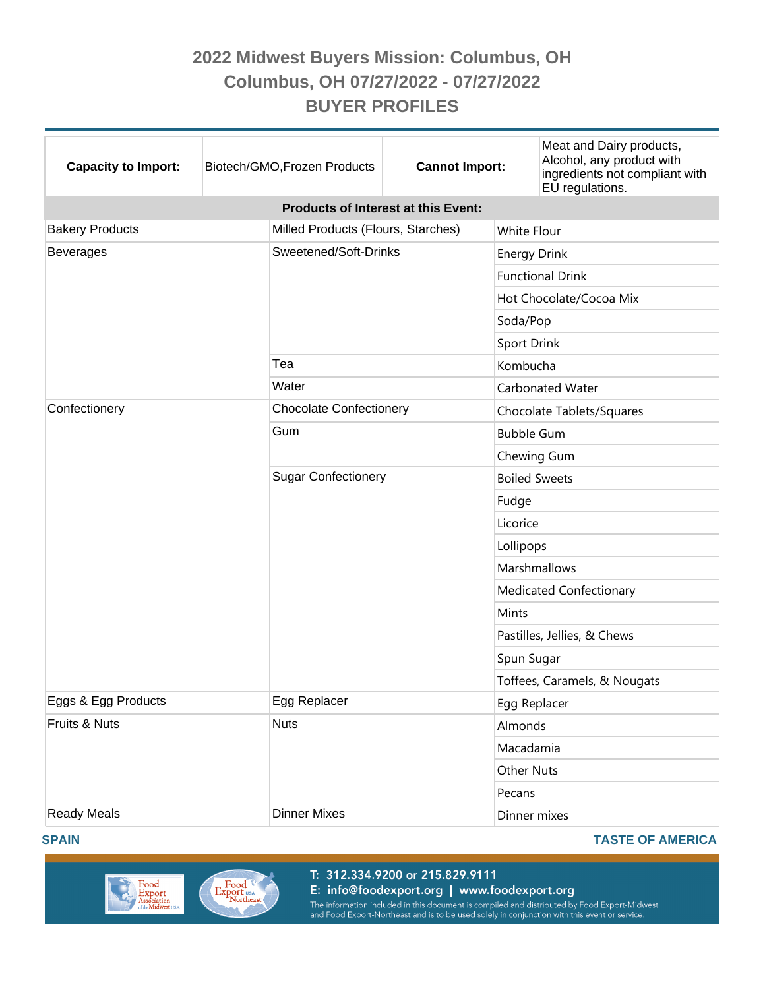| <b>Capacity to Import:</b> | Biotech/GMO, Frozen Products   | <b>Cannot Import:</b>              |                              | Meat and Dairy products,<br>Alcohol, any product with<br>ingredients not compliant with<br>EU regulations. |  |
|----------------------------|--------------------------------|------------------------------------|------------------------------|------------------------------------------------------------------------------------------------------------|--|
|                            |                                |                                    |                              |                                                                                                            |  |
| <b>Bakery Products</b>     |                                | Milled Products (Flours, Starches) |                              | White Flour                                                                                                |  |
| <b>Beverages</b>           |                                | Sweetened/Soft-Drinks              |                              | <b>Energy Drink</b>                                                                                        |  |
|                            |                                |                                    | <b>Functional Drink</b>      |                                                                                                            |  |
|                            |                                |                                    | Hot Chocolate/Cocoa Mix      |                                                                                                            |  |
|                            |                                |                                    | Soda/Pop                     |                                                                                                            |  |
|                            |                                |                                    | Sport Drink                  |                                                                                                            |  |
|                            | Tea                            |                                    | Kombucha                     |                                                                                                            |  |
|                            | Water                          |                                    |                              | Carbonated Water                                                                                           |  |
| Confectionery              | <b>Chocolate Confectionery</b> |                                    |                              | Chocolate Tablets/Squares                                                                                  |  |
|                            | Gum                            |                                    |                              | <b>Bubble Gum</b>                                                                                          |  |
|                            |                                |                                    |                              | Chewing Gum                                                                                                |  |
|                            |                                | <b>Sugar Confectionery</b>         |                              | <b>Boiled Sweets</b>                                                                                       |  |
|                            |                                |                                    |                              |                                                                                                            |  |
|                            |                                |                                    |                              | Licorice                                                                                                   |  |
|                            |                                |                                    |                              | Lollipops                                                                                                  |  |
|                            |                                |                                    |                              | Marshmallows                                                                                               |  |
|                            |                                |                                    |                              | Medicated Confectionary                                                                                    |  |
|                            |                                |                                    |                              | Mints                                                                                                      |  |
|                            |                                |                                    |                              | Pastilles, Jellies, & Chews                                                                                |  |
|                            |                                |                                    | Spun Sugar                   |                                                                                                            |  |
|                            |                                |                                    | Toffees, Caramels, & Nougats |                                                                                                            |  |
| Eggs & Egg Products        | Egg Replacer                   |                                    | Egg Replacer                 |                                                                                                            |  |
| Fruits & Nuts              | <b>Nuts</b>                    |                                    | Almonds                      |                                                                                                            |  |
|                            |                                |                                    | Macadamia                    |                                                                                                            |  |
|                            |                                |                                    | <b>Other Nuts</b>            |                                                                                                            |  |
|                            |                                |                                    | Pecans                       |                                                                                                            |  |
| <b>Ready Meals</b>         | <b>Dinner Mixes</b>            |                                    | Dinner mixes                 |                                                                                                            |  |

### **SPAIN TASTE OF AMERICA**



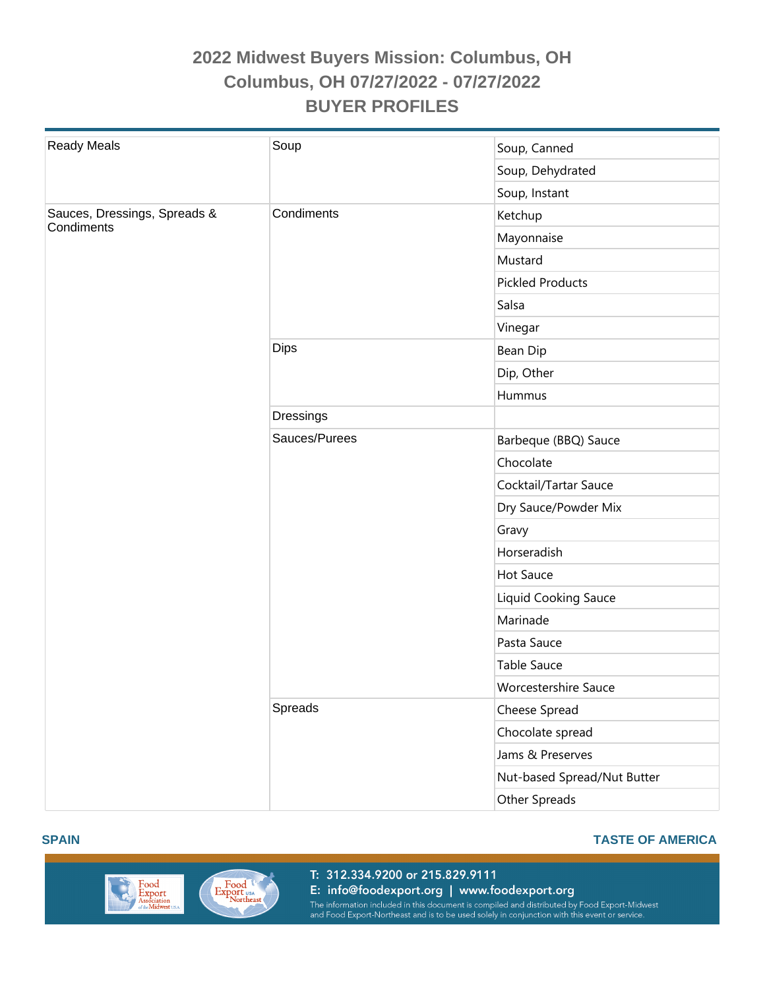| <b>Ready Meals</b>           | Soup          | Soup, Canned                |
|------------------------------|---------------|-----------------------------|
|                              |               | Soup, Dehydrated            |
|                              |               | Soup, Instant               |
| Sauces, Dressings, Spreads & | Condiments    | Ketchup                     |
| Condiments                   |               | Mayonnaise                  |
|                              |               | Mustard                     |
|                              |               | <b>Pickled Products</b>     |
|                              |               | Salsa                       |
|                              |               | Vinegar                     |
|                              | <b>Dips</b>   | Bean Dip                    |
|                              |               | Dip, Other                  |
|                              |               | Hummus                      |
|                              | Dressings     |                             |
|                              | Sauces/Purees | Barbeque (BBQ) Sauce        |
|                              |               | Chocolate                   |
|                              |               | Cocktail/Tartar Sauce       |
|                              |               | Dry Sauce/Powder Mix        |
|                              |               | Gravy                       |
|                              |               | Horseradish                 |
|                              |               | Hot Sauce                   |
|                              |               | Liquid Cooking Sauce        |
|                              |               | Marinade                    |
|                              |               | Pasta Sauce                 |
|                              |               | Table Sauce                 |
|                              |               | <b>Worcestershire Sauce</b> |
|                              | Spreads       | Cheese Spread               |
|                              |               | Chocolate spread            |
|                              |               | Jams & Preserves            |
|                              |               | Nut-based Spread/Nut Butter |
|                              |               | Other Spreads               |

### **SPAIN TASTE OF AMERICA**





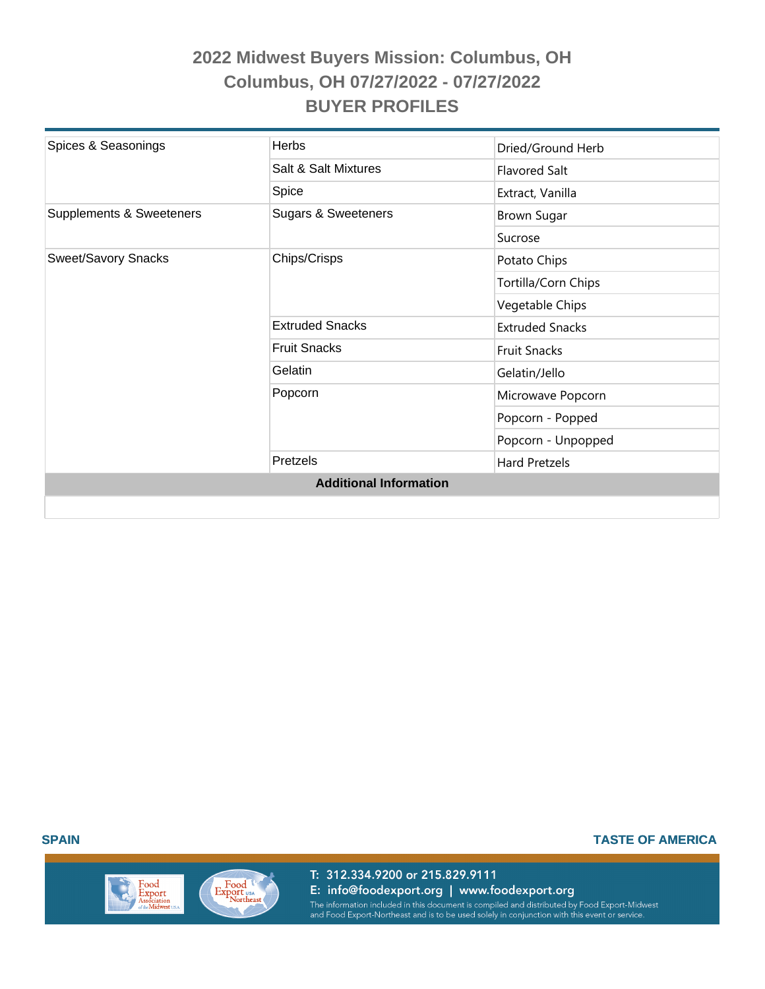| Spices & Seasonings           | <b>Herbs</b>                   | Dried/Ground Herb      |  |  |
|-------------------------------|--------------------------------|------------------------|--|--|
|                               | Salt & Salt Mixtures           | <b>Flavored Salt</b>   |  |  |
|                               | Spice                          | Extract, Vanilla       |  |  |
| Supplements & Sweeteners      | <b>Sugars &amp; Sweeteners</b> | Brown Sugar            |  |  |
|                               |                                | Sucrose                |  |  |
| Sweet/Savory Snacks           | Chips/Crisps                   | Potato Chips           |  |  |
|                               |                                | Tortilla/Corn Chips    |  |  |
|                               |                                | Vegetable Chips        |  |  |
|                               | <b>Extruded Snacks</b>         | <b>Extruded Snacks</b> |  |  |
|                               | <b>Fruit Snacks</b>            | <b>Fruit Snacks</b>    |  |  |
|                               | Gelatin                        | Gelatin/Jello          |  |  |
|                               | Popcorn                        | Microwave Popcorn      |  |  |
|                               |                                | Popcorn - Popped       |  |  |
|                               |                                | Popcorn - Unpopped     |  |  |
|                               | Pretzels                       | <b>Hard Pretzels</b>   |  |  |
| <b>Additional Information</b> |                                |                        |  |  |
|                               |                                |                        |  |  |

**SPAIN TASTE OF AMERICA**

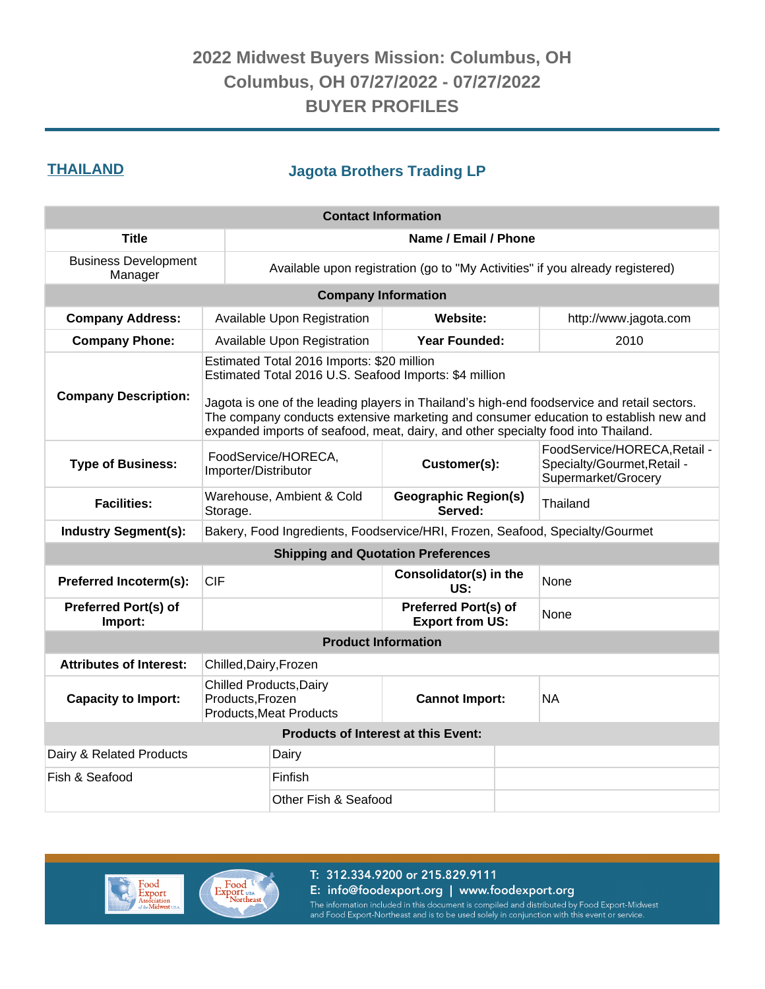### **THAILAND Jagota Brothers Trading LP**

| <b>Contact Information</b>             |                                                                                                                                                                                                                                                                                                                                                                                  |                                                                               |                                           |      |                                                                                    |
|----------------------------------------|----------------------------------------------------------------------------------------------------------------------------------------------------------------------------------------------------------------------------------------------------------------------------------------------------------------------------------------------------------------------------------|-------------------------------------------------------------------------------|-------------------------------------------|------|------------------------------------------------------------------------------------|
| <b>Title</b>                           | Name / Email / Phone                                                                                                                                                                                                                                                                                                                                                             |                                                                               |                                           |      |                                                                                    |
| <b>Business Development</b><br>Manager |                                                                                                                                                                                                                                                                                                                                                                                  | Available upon registration (go to "My Activities" if you already registered) |                                           |      |                                                                                    |
|                                        |                                                                                                                                                                                                                                                                                                                                                                                  |                                                                               | <b>Company Information</b>                |      |                                                                                    |
| <b>Company Address:</b>                |                                                                                                                                                                                                                                                                                                                                                                                  | Available Upon Registration                                                   | Website:                                  |      | http://www.jagota.com                                                              |
| <b>Company Phone:</b>                  |                                                                                                                                                                                                                                                                                                                                                                                  | Available Upon Registration                                                   | <b>Year Founded:</b>                      |      | 2010                                                                               |
| <b>Company Description:</b>            | Estimated Total 2016 Imports: \$20 million<br>Estimated Total 2016 U.S. Seafood Imports: \$4 million<br>Jagota is one of the leading players in Thailand's high-end foodservice and retail sectors.<br>The company conducts extensive marketing and consumer education to establish new and<br>expanded imports of seafood, meat, dairy, and other specialty food into Thailand. |                                                                               |                                           |      |                                                                                    |
| <b>Type of Business:</b>               | Importer/Distributor                                                                                                                                                                                                                                                                                                                                                             | FoodService/HORECA,                                                           | Customer(s):                              |      | FoodService/HORECA, Retail -<br>Specialty/Gourmet, Retail -<br>Supermarket/Grocery |
| <b>Facilities:</b>                     | Storage.                                                                                                                                                                                                                                                                                                                                                                         | Warehouse, Ambient & Cold                                                     | <b>Geographic Region(s)</b><br>Served:    |      | Thailand                                                                           |
| Industry Segment(s):                   |                                                                                                                                                                                                                                                                                                                                                                                  | Bakery, Food Ingredients, Foodservice/HRI, Frozen, Seafood, Specialty/Gourmet |                                           |      |                                                                                    |
|                                        |                                                                                                                                                                                                                                                                                                                                                                                  |                                                                               | <b>Shipping and Quotation Preferences</b> |      |                                                                                    |
| Preferred Incoterm(s):                 | <b>CIF</b>                                                                                                                                                                                                                                                                                                                                                                       |                                                                               | Consolidator(s) in the<br>US:             |      | None                                                                               |
| <b>Preferred Port(s) of</b><br>Import: |                                                                                                                                                                                                                                                                                                                                                                                  | Preferred Port(s) of<br><b>Export from US:</b>                                |                                           | None |                                                                                    |
|                                        |                                                                                                                                                                                                                                                                                                                                                                                  | <b>Product Information</b>                                                    |                                           |      |                                                                                    |
| <b>Attributes of Interest:</b>         | Chilled, Dairy, Frozen                                                                                                                                                                                                                                                                                                                                                           |                                                                               |                                           |      |                                                                                    |
| <b>Capacity to Import:</b>             | <b>Chilled Products, Dairy</b><br>Products, Frozen                                                                                                                                                                                                                                                                                                                               | <b>Products, Meat Products</b>                                                | <b>Cannot Import:</b>                     |      | NА                                                                                 |
|                                        |                                                                                                                                                                                                                                                                                                                                                                                  | <b>Products of Interest at this Event:</b>                                    |                                           |      |                                                                                    |
| Dairy & Related Products               |                                                                                                                                                                                                                                                                                                                                                                                  | Dairy                                                                         |                                           |      |                                                                                    |
| Fish & Seafood                         |                                                                                                                                                                                                                                                                                                                                                                                  | Finfish                                                                       |                                           |      |                                                                                    |
|                                        |                                                                                                                                                                                                                                                                                                                                                                                  | Other Fish & Seafood                                                          |                                           |      |                                                                                    |



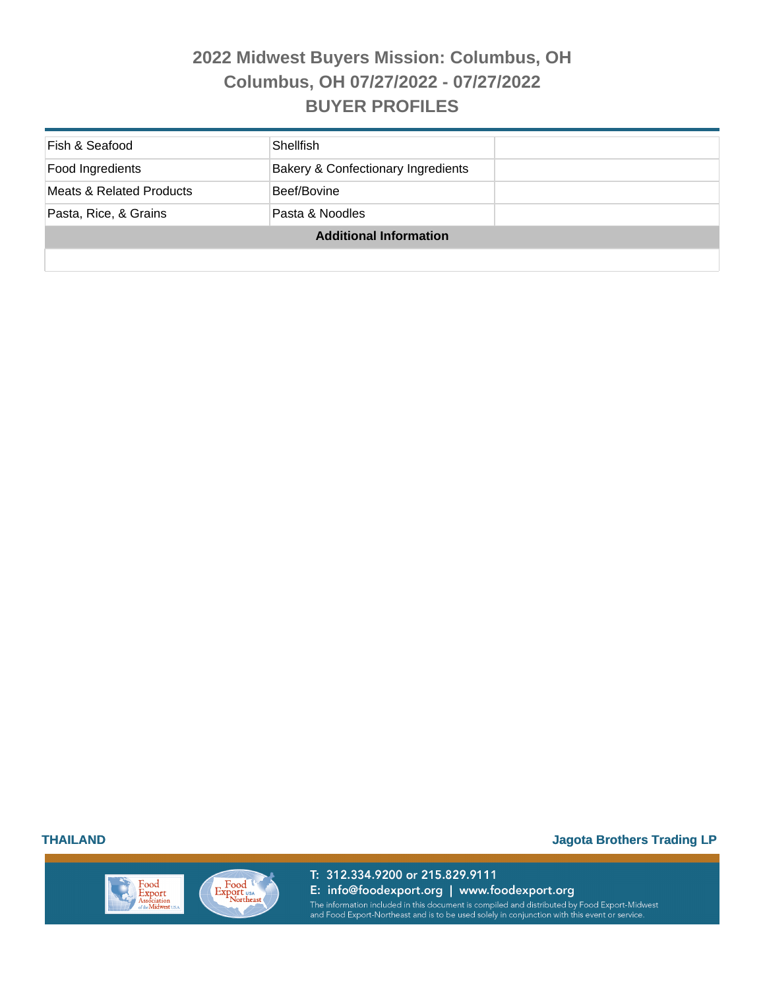| Fish & Seafood                      | Shellfish                                     |  |
|-------------------------------------|-----------------------------------------------|--|
| Food Ingredients                    | <b>Bakery &amp; Confectionary Ingredients</b> |  |
| <b>Meats &amp; Related Products</b> | Beef/Bovine                                   |  |
| Pasta, Rice, & Grains               | Pasta & Noodles                               |  |
|                                     | <b>Additional Information</b>                 |  |
|                                     |                                               |  |



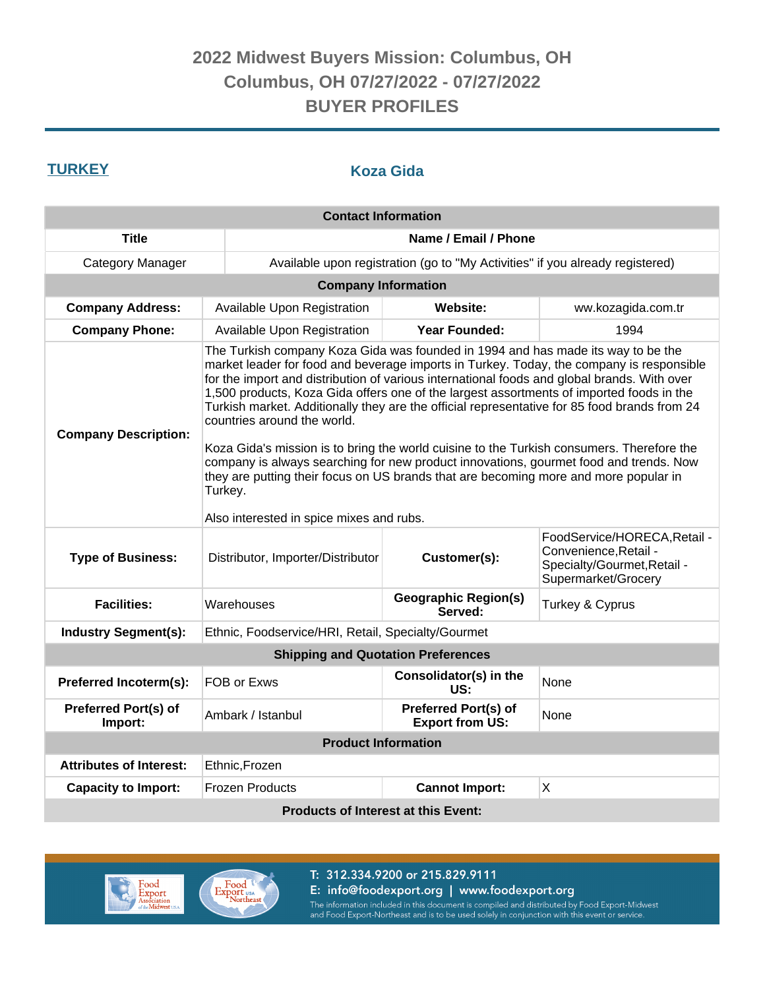**TURKEY Koza Gida**

| <b>Contact Information</b>                 |                                                                                                                                                                                                                                                                                                                                                                                                                                                                                                                                                                                                                                                                                                                                                                                                                                             |                                                                               |                                                                                                             |  |
|--------------------------------------------|---------------------------------------------------------------------------------------------------------------------------------------------------------------------------------------------------------------------------------------------------------------------------------------------------------------------------------------------------------------------------------------------------------------------------------------------------------------------------------------------------------------------------------------------------------------------------------------------------------------------------------------------------------------------------------------------------------------------------------------------------------------------------------------------------------------------------------------------|-------------------------------------------------------------------------------|-------------------------------------------------------------------------------------------------------------|--|
| <b>Title</b>                               | Name / Email / Phone                                                                                                                                                                                                                                                                                                                                                                                                                                                                                                                                                                                                                                                                                                                                                                                                                        |                                                                               |                                                                                                             |  |
| <b>Category Manager</b>                    |                                                                                                                                                                                                                                                                                                                                                                                                                                                                                                                                                                                                                                                                                                                                                                                                                                             | Available upon registration (go to "My Activities" if you already registered) |                                                                                                             |  |
|                                            | <b>Company Information</b>                                                                                                                                                                                                                                                                                                                                                                                                                                                                                                                                                                                                                                                                                                                                                                                                                  |                                                                               |                                                                                                             |  |
| <b>Company Address:</b>                    | Available Upon Registration                                                                                                                                                                                                                                                                                                                                                                                                                                                                                                                                                                                                                                                                                                                                                                                                                 | Website:                                                                      | ww.kozagida.com.tr                                                                                          |  |
| <b>Company Phone:</b>                      | Available Upon Registration                                                                                                                                                                                                                                                                                                                                                                                                                                                                                                                                                                                                                                                                                                                                                                                                                 | <b>Year Founded:</b>                                                          | 1994                                                                                                        |  |
| <b>Company Description:</b>                | The Turkish company Koza Gida was founded in 1994 and has made its way to be the<br>market leader for food and beverage imports in Turkey. Today, the company is responsible<br>for the import and distribution of various international foods and global brands. With over<br>1,500 products, Koza Gida offers one of the largest assortments of imported foods in the<br>Turkish market. Additionally they are the official representative for 85 food brands from 24<br>countries around the world.<br>Koza Gida's mission is to bring the world cuisine to the Turkish consumers. Therefore the<br>company is always searching for new product innovations, gourmet food and trends. Now<br>they are putting their focus on US brands that are becoming more and more popular in<br>Turkey.<br>Also interested in spice mixes and rubs. |                                                                               |                                                                                                             |  |
| <b>Type of Business:</b>                   | Distributor, Importer/Distributor                                                                                                                                                                                                                                                                                                                                                                                                                                                                                                                                                                                                                                                                                                                                                                                                           | Customer(s):                                                                  | FoodService/HORECA, Retail -<br>Convenience, Retail -<br>Specialty/Gourmet, Retail -<br>Supermarket/Grocery |  |
| <b>Facilities:</b>                         | Warehouses                                                                                                                                                                                                                                                                                                                                                                                                                                                                                                                                                                                                                                                                                                                                                                                                                                  | <b>Geographic Region(s)</b><br>Served:                                        | Turkey & Cyprus                                                                                             |  |
| <b>Industry Segment(s):</b>                | Ethnic, Foodservice/HRI, Retail, Specialty/Gourmet                                                                                                                                                                                                                                                                                                                                                                                                                                                                                                                                                                                                                                                                                                                                                                                          |                                                                               |                                                                                                             |  |
|                                            | <b>Shipping and Quotation Preferences</b>                                                                                                                                                                                                                                                                                                                                                                                                                                                                                                                                                                                                                                                                                                                                                                                                   |                                                                               |                                                                                                             |  |
| Preferred Incoterm(s):                     | FOB or Exws                                                                                                                                                                                                                                                                                                                                                                                                                                                                                                                                                                                                                                                                                                                                                                                                                                 | Consolidator(s) in the<br>US:                                                 | None                                                                                                        |  |
| <b>Preferred Port(s) of</b><br>Import:     | Ambark / Istanbul                                                                                                                                                                                                                                                                                                                                                                                                                                                                                                                                                                                                                                                                                                                                                                                                                           | <b>Preferred Port(s) of</b><br><b>Export from US:</b>                         | None                                                                                                        |  |
|                                            | <b>Product Information</b>                                                                                                                                                                                                                                                                                                                                                                                                                                                                                                                                                                                                                                                                                                                                                                                                                  |                                                                               |                                                                                                             |  |
| <b>Attributes of Interest:</b>             | Ethnic, Frozen                                                                                                                                                                                                                                                                                                                                                                                                                                                                                                                                                                                                                                                                                                                                                                                                                              |                                                                               |                                                                                                             |  |
| <b>Capacity to Import:</b>                 | <b>Frozen Products</b>                                                                                                                                                                                                                                                                                                                                                                                                                                                                                                                                                                                                                                                                                                                                                                                                                      | <b>Cannot Import:</b>                                                         | X                                                                                                           |  |
| <b>Products of Interest at this Event:</b> |                                                                                                                                                                                                                                                                                                                                                                                                                                                                                                                                                                                                                                                                                                                                                                                                                                             |                                                                               |                                                                                                             |  |





T: 312.334.9200 or 215.829.9111

E: info@foodexport.org | www.foodexport.org

The information included in this document is compiled and distributed by Food Export-Midwest<br>and Food Export-Northeast and is to be used solely in conjunction with this event or service.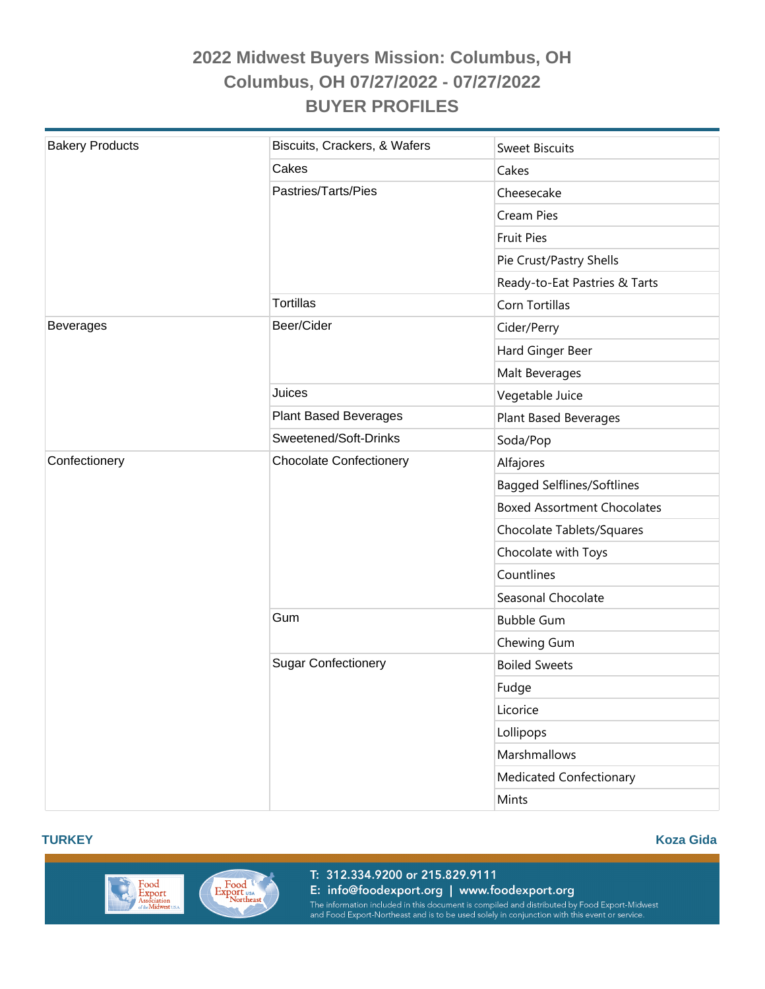| <b>Bakery Products</b> | Biscuits, Crackers, & Wafers   | <b>Sweet Biscuits</b>              |
|------------------------|--------------------------------|------------------------------------|
|                        | Cakes                          | Cakes                              |
|                        | Pastries/Tarts/Pies            | Cheesecake                         |
|                        |                                | <b>Cream Pies</b>                  |
|                        |                                | <b>Fruit Pies</b>                  |
|                        |                                | Pie Crust/Pastry Shells            |
|                        |                                | Ready-to-Eat Pastries & Tarts      |
|                        | Tortillas                      | Corn Tortillas                     |
| <b>Beverages</b>       | Beer/Cider                     | Cider/Perry                        |
|                        |                                | Hard Ginger Beer                   |
|                        |                                | Malt Beverages                     |
|                        | Juices                         | Vegetable Juice                    |
|                        | <b>Plant Based Beverages</b>   | Plant Based Beverages              |
|                        | Sweetened/Soft-Drinks          | Soda/Pop                           |
| Confectionery          | <b>Chocolate Confectionery</b> | Alfajores                          |
|                        |                                | <b>Bagged Selflines/Softlines</b>  |
|                        |                                | <b>Boxed Assortment Chocolates</b> |
|                        |                                | Chocolate Tablets/Squares          |
|                        |                                | Chocolate with Toys                |
|                        |                                | Countlines                         |
|                        |                                | Seasonal Chocolate                 |
|                        | Gum                            | <b>Bubble Gum</b>                  |
|                        |                                | Chewing Gum                        |
|                        | <b>Sugar Confectionery</b>     | <b>Boiled Sweets</b>               |
|                        |                                | Fudge                              |
|                        |                                | Licorice                           |
|                        |                                | Lollipops                          |
|                        |                                | Marshmallows                       |
|                        |                                | Medicated Confectionary            |
|                        |                                | Mints                              |





T: 312.334.9200 or 215.829.9111 E: info@foodexport.org | www.foodexport.org The information included in this document is compiled and distributed by Food Export-Midwest<br>and Food Export-Northeast and is to be used solely in conjunction with this event or service.

### **TURKEY Koza Gida**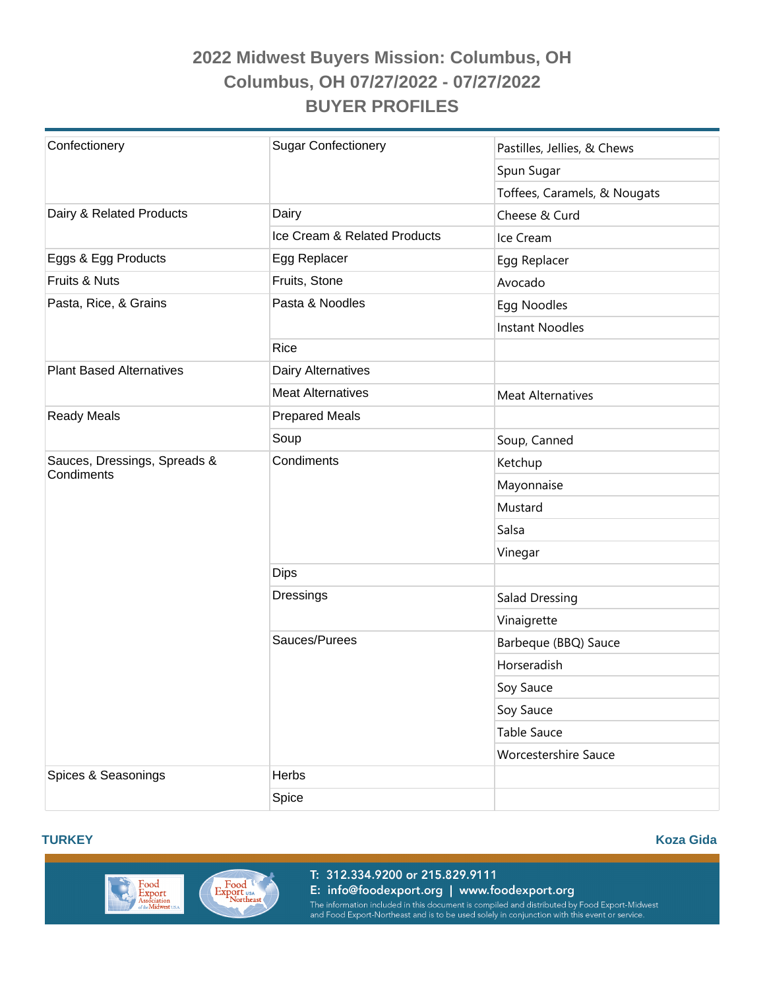| Confectionery                   | <b>Sugar Confectionery</b>   | Pastilles, Jellies, & Chews  |
|---------------------------------|------------------------------|------------------------------|
|                                 |                              | Spun Sugar                   |
|                                 |                              | Toffees, Caramels, & Nougats |
| Dairy & Related Products        | Dairy                        | Cheese & Curd                |
|                                 | Ice Cream & Related Products |                              |
|                                 |                              | Ice Cream                    |
| Eggs & Egg Products             | Egg Replacer                 | Egg Replacer                 |
| Fruits & Nuts                   | Fruits, Stone                | Avocado                      |
| Pasta, Rice, & Grains           | Pasta & Noodles              | Egg Noodles                  |
|                                 |                              | <b>Instant Noodles</b>       |
|                                 | Rice                         |                              |
| <b>Plant Based Alternatives</b> | Dairy Alternatives           |                              |
|                                 | <b>Meat Alternatives</b>     | <b>Meat Alternatives</b>     |
| <b>Ready Meals</b>              | <b>Prepared Meals</b>        |                              |
|                                 | Soup                         | Soup, Canned                 |
| Sauces, Dressings, Spreads &    | Condiments                   | Ketchup                      |
| Condiments                      |                              | Mayonnaise                   |
|                                 |                              | Mustard                      |
|                                 |                              | Salsa                        |
|                                 |                              | Vinegar                      |
|                                 | <b>Dips</b>                  |                              |
|                                 | Dressings                    | Salad Dressing               |
|                                 |                              | Vinaigrette                  |
|                                 | Sauces/Purees                | Barbeque (BBQ) Sauce         |
|                                 |                              | Horseradish                  |
|                                 |                              | Soy Sauce                    |
|                                 |                              | Soy Sauce                    |
|                                 |                              | <b>Table Sauce</b>           |
|                                 |                              | Worcestershire Sauce         |
| Spices & Seasonings             | Herbs                        |                              |
|                                 | Spice                        |                              |

**TURKEY Koza Gida**

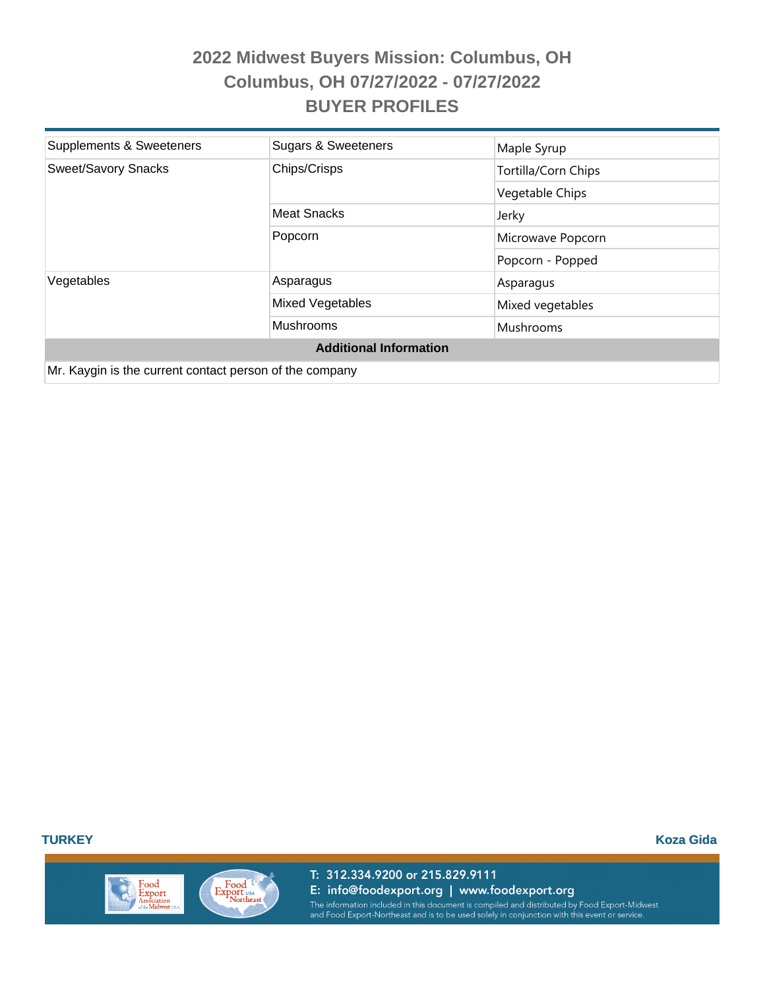| Supplements & Sweeteners                                | <b>Sugars &amp; Sweeteners</b> | Maple Syrup         |  |
|---------------------------------------------------------|--------------------------------|---------------------|--|
| <b>Sweet/Savory Snacks</b>                              | Chips/Crisps                   | Tortilla/Corn Chips |  |
|                                                         |                                | Vegetable Chips     |  |
|                                                         | <b>Meat Snacks</b>             | Jerky               |  |
|                                                         | Popcorn                        | Microwave Popcorn   |  |
|                                                         |                                | Popcorn - Popped    |  |
| Vegetables                                              | Asparagus                      | Asparagus           |  |
|                                                         | <b>Mixed Vegetables</b>        | Mixed vegetables    |  |
|                                                         | Mushrooms                      | Mushrooms           |  |
| <b>Additional Information</b>                           |                                |                     |  |
| Mr. Kaygin is the current contact person of the company |                                |                     |  |



T: 312.334.9200 or 215.829.9111 E: info@foodexport.org | www.foodexport.org The information included in this document is compiled and distributed by Food Export-Midwest<br>and Food Export-Northeast and is to be used solely in conjunction with this event or service.

**TURKEY Koza Gida**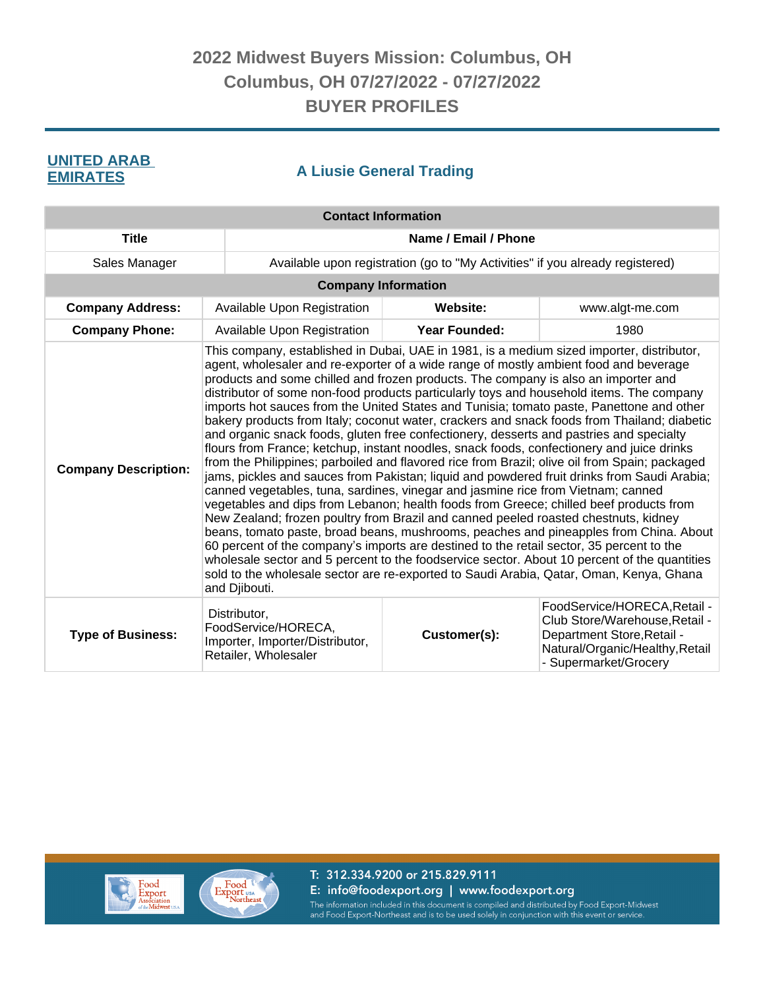# **EMIRATES**

# **A Liusie General Trading CALL AND A TEST ALL ARABLE AT A Liusie General Trading**

| <b>Contact Information</b>  |                                                                                                                                                                                                                                                                                                                                                                                                                                                                                                                                                                                                                                                                                                                                                                                                                                                                                                                                                                                                                                                                                                                                                                                                                                                                                                                                                                                                                                                                                                                                                                                                                               |                                                                               |                                                                                                                                                          |  |
|-----------------------------|-------------------------------------------------------------------------------------------------------------------------------------------------------------------------------------------------------------------------------------------------------------------------------------------------------------------------------------------------------------------------------------------------------------------------------------------------------------------------------------------------------------------------------------------------------------------------------------------------------------------------------------------------------------------------------------------------------------------------------------------------------------------------------------------------------------------------------------------------------------------------------------------------------------------------------------------------------------------------------------------------------------------------------------------------------------------------------------------------------------------------------------------------------------------------------------------------------------------------------------------------------------------------------------------------------------------------------------------------------------------------------------------------------------------------------------------------------------------------------------------------------------------------------------------------------------------------------------------------------------------------------|-------------------------------------------------------------------------------|----------------------------------------------------------------------------------------------------------------------------------------------------------|--|
| <b>Title</b>                |                                                                                                                                                                                                                                                                                                                                                                                                                                                                                                                                                                                                                                                                                                                                                                                                                                                                                                                                                                                                                                                                                                                                                                                                                                                                                                                                                                                                                                                                                                                                                                                                                               | Name / Email / Phone                                                          |                                                                                                                                                          |  |
| Sales Manager               |                                                                                                                                                                                                                                                                                                                                                                                                                                                                                                                                                                                                                                                                                                                                                                                                                                                                                                                                                                                                                                                                                                                                                                                                                                                                                                                                                                                                                                                                                                                                                                                                                               | Available upon registration (go to "My Activities" if you already registered) |                                                                                                                                                          |  |
|                             |                                                                                                                                                                                                                                                                                                                                                                                                                                                                                                                                                                                                                                                                                                                                                                                                                                                                                                                                                                                                                                                                                                                                                                                                                                                                                                                                                                                                                                                                                                                                                                                                                               | <b>Company Information</b>                                                    |                                                                                                                                                          |  |
| <b>Company Address:</b>     | Available Upon Registration                                                                                                                                                                                                                                                                                                                                                                                                                                                                                                                                                                                                                                                                                                                                                                                                                                                                                                                                                                                                                                                                                                                                                                                                                                                                                                                                                                                                                                                                                                                                                                                                   | Website:                                                                      | www.algt-me.com                                                                                                                                          |  |
| <b>Company Phone:</b>       | Available Upon Registration                                                                                                                                                                                                                                                                                                                                                                                                                                                                                                                                                                                                                                                                                                                                                                                                                                                                                                                                                                                                                                                                                                                                                                                                                                                                                                                                                                                                                                                                                                                                                                                                   | <b>Year Founded:</b>                                                          | 1980                                                                                                                                                     |  |
| <b>Company Description:</b> | This company, established in Dubai, UAE in 1981, is a medium sized importer, distributor,<br>agent, wholesaler and re-exporter of a wide range of mostly ambient food and beverage<br>products and some chilled and frozen products. The company is also an importer and<br>distributor of some non-food products particularly toys and household items. The company<br>imports hot sauces from the United States and Tunisia; tomato paste, Panettone and other<br>bakery products from Italy; coconut water, crackers and snack foods from Thailand; diabetic<br>and organic snack foods, gluten free confectionery, desserts and pastries and specialty<br>flours from France; ketchup, instant noodles, snack foods, confectionery and juice drinks<br>from the Philippines; parboiled and flavored rice from Brazil; olive oil from Spain; packaged<br>jams, pickles and sauces from Pakistan; liquid and powdered fruit drinks from Saudi Arabia;<br>canned vegetables, tuna, sardines, vinegar and jasmine rice from Vietnam; canned<br>vegetables and dips from Lebanon; health foods from Greece; chilled beef products from<br>New Zealand; frozen poultry from Brazil and canned peeled roasted chestnuts, kidney<br>beans, tomato paste, broad beans, mushrooms, peaches and pineapples from China. About<br>60 percent of the company's imports are destined to the retail sector, 35 percent to the<br>wholesale sector and 5 percent to the foodservice sector. About 10 percent of the quantities<br>sold to the wholesale sector are re-exported to Saudi Arabia, Qatar, Oman, Kenya, Ghana<br>and Djibouti. |                                                                               |                                                                                                                                                          |  |
| <b>Type of Business:</b>    | Distributor,<br>FoodService/HORECA,<br>Importer, Importer/Distributor,<br>Retailer, Wholesaler                                                                                                                                                                                                                                                                                                                                                                                                                                                                                                                                                                                                                                                                                                                                                                                                                                                                                                                                                                                                                                                                                                                                                                                                                                                                                                                                                                                                                                                                                                                                | Customer(s):                                                                  | FoodService/HORECA, Retail -<br>Club Store/Warehouse, Retail -<br>Department Store, Retail -<br>Natural/Organic/Healthy, Retail<br>- Supermarket/Grocery |  |



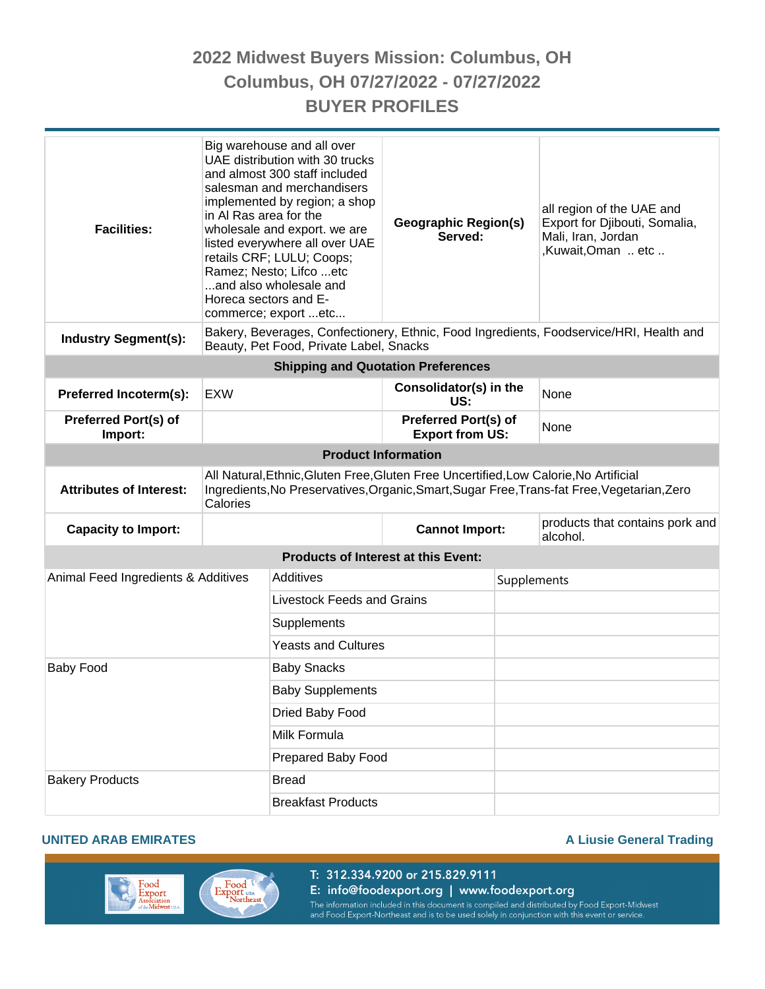| <b>Facilities:</b>                     | in Al Ras area for the                                                                                                                                                                           | Big warehouse and all over<br>UAE distribution with 30 trucks<br>and almost 300 staff included<br>salesman and merchandisers<br>implemented by region; a shop<br>wholesale and export. we are<br>listed everywhere all over UAE<br>retails CRF; LULU; Coops;<br>Ramez; Nesto; Lifco etc<br>and also wholesale and<br>Horeca sectors and E-<br>commerce; export etc | <b>Geographic Region(s)</b><br>Served:                |             | all region of the UAE and<br>Export for Djibouti, Somalia,<br>Mali, Iran, Jordan<br>,Kuwait,Oman  etc |
|----------------------------------------|--------------------------------------------------------------------------------------------------------------------------------------------------------------------------------------------------|--------------------------------------------------------------------------------------------------------------------------------------------------------------------------------------------------------------------------------------------------------------------------------------------------------------------------------------------------------------------|-------------------------------------------------------|-------------|-------------------------------------------------------------------------------------------------------|
| <b>Industry Segment(s):</b>            |                                                                                                                                                                                                  | Beauty, Pet Food, Private Label, Snacks                                                                                                                                                                                                                                                                                                                            |                                                       |             | Bakery, Beverages, Confectionery, Ethnic, Food Ingredients, Foodservice/HRI, Health and               |
|                                        |                                                                                                                                                                                                  |                                                                                                                                                                                                                                                                                                                                                                    | <b>Shipping and Quotation Preferences</b>             |             |                                                                                                       |
| Preferred Incoterm(s):                 | <b>EXW</b>                                                                                                                                                                                       |                                                                                                                                                                                                                                                                                                                                                                    | Consolidator(s) in the<br>US:                         |             | None                                                                                                  |
| <b>Preferred Port(s) of</b><br>Import: |                                                                                                                                                                                                  |                                                                                                                                                                                                                                                                                                                                                                    | <b>Preferred Port(s) of</b><br><b>Export from US:</b> |             | None                                                                                                  |
| <b>Product Information</b>             |                                                                                                                                                                                                  |                                                                                                                                                                                                                                                                                                                                                                    |                                                       |             |                                                                                                       |
| <b>Attributes of Interest:</b>         | All Natural, Ethnic, Gluten Free, Gluten Free Uncertified, Low Calorie, No Artificial<br>Ingredients, No Preservatives, Organic, Smart, Sugar Free, Trans-fat Free, Vegetarian, Zero<br>Calories |                                                                                                                                                                                                                                                                                                                                                                    |                                                       |             |                                                                                                       |
| <b>Capacity to Import:</b>             |                                                                                                                                                                                                  |                                                                                                                                                                                                                                                                                                                                                                    | <b>Cannot Import:</b>                                 |             | products that contains pork and<br>alcohol.                                                           |
|                                        |                                                                                                                                                                                                  |                                                                                                                                                                                                                                                                                                                                                                    | <b>Products of Interest at this Event:</b>            |             |                                                                                                       |
| Animal Feed Ingredients & Additives    |                                                                                                                                                                                                  | Additives                                                                                                                                                                                                                                                                                                                                                          |                                                       | Supplements |                                                                                                       |
|                                        |                                                                                                                                                                                                  | <b>Livestock Feeds and Grains</b>                                                                                                                                                                                                                                                                                                                                  |                                                       |             |                                                                                                       |
|                                        |                                                                                                                                                                                                  | Supplements                                                                                                                                                                                                                                                                                                                                                        |                                                       |             |                                                                                                       |
|                                        |                                                                                                                                                                                                  | <b>Yeasts and Cultures</b>                                                                                                                                                                                                                                                                                                                                         |                                                       |             |                                                                                                       |
| <b>Baby Food</b>                       |                                                                                                                                                                                                  | <b>Baby Snacks</b>                                                                                                                                                                                                                                                                                                                                                 |                                                       |             |                                                                                                       |
|                                        |                                                                                                                                                                                                  | <b>Baby Supplements</b>                                                                                                                                                                                                                                                                                                                                            |                                                       |             |                                                                                                       |
|                                        |                                                                                                                                                                                                  | Dried Baby Food                                                                                                                                                                                                                                                                                                                                                    |                                                       |             |                                                                                                       |
|                                        |                                                                                                                                                                                                  | Milk Formula                                                                                                                                                                                                                                                                                                                                                       |                                                       |             |                                                                                                       |
|                                        |                                                                                                                                                                                                  | Prepared Baby Food                                                                                                                                                                                                                                                                                                                                                 |                                                       |             |                                                                                                       |
| <b>Bakery Products</b>                 |                                                                                                                                                                                                  | <b>Bread</b>                                                                                                                                                                                                                                                                                                                                                       |                                                       |             |                                                                                                       |
|                                        |                                                                                                                                                                                                  | <b>Breakfast Products</b>                                                                                                                                                                                                                                                                                                                                          |                                                       |             |                                                                                                       |

### **UNITED ARAB EMIRATES A Liusie General Trading**

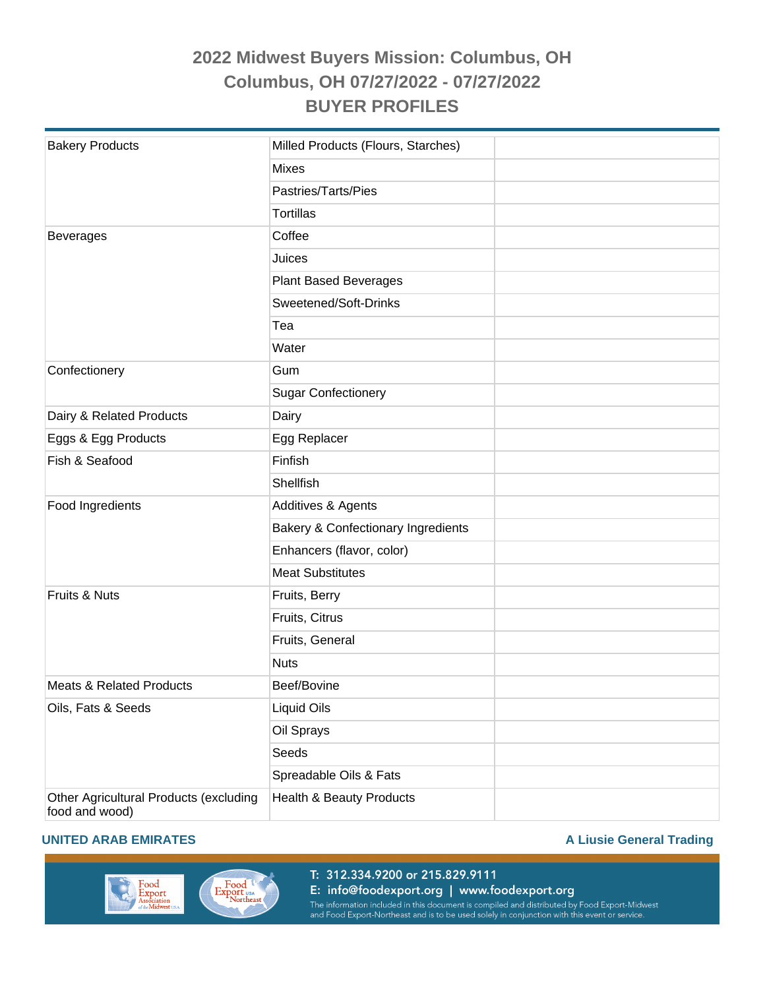| <b>Bakery Products</b>                                   | Milled Products (Flours, Starches) |  |
|----------------------------------------------------------|------------------------------------|--|
|                                                          | <b>Mixes</b>                       |  |
|                                                          | Pastries/Tarts/Pies                |  |
|                                                          | <b>Tortillas</b>                   |  |
| <b>Beverages</b>                                         | Coffee                             |  |
|                                                          | Juices                             |  |
|                                                          | <b>Plant Based Beverages</b>       |  |
|                                                          | Sweetened/Soft-Drinks              |  |
|                                                          | Tea                                |  |
|                                                          | Water                              |  |
| Confectionery                                            | Gum                                |  |
|                                                          | <b>Sugar Confectionery</b>         |  |
| Dairy & Related Products                                 | Dairy                              |  |
| Eggs & Egg Products                                      | Egg Replacer                       |  |
| Fish & Seafood                                           | Finfish                            |  |
|                                                          | Shellfish                          |  |
| Food Ingredients                                         | Additives & Agents                 |  |
|                                                          | Bakery & Confectionary Ingredients |  |
|                                                          | Enhancers (flavor, color)          |  |
|                                                          | <b>Meat Substitutes</b>            |  |
| Fruits & Nuts                                            | Fruits, Berry                      |  |
|                                                          | Fruits, Citrus                     |  |
|                                                          | Fruits, General                    |  |
|                                                          | <b>Nuts</b>                        |  |
| <b>Meats &amp; Related Products</b>                      | Beef/Bovine                        |  |
| Oils, Fats & Seeds                                       | Liquid Oils                        |  |
|                                                          | Oil Sprays                         |  |
|                                                          | Seeds                              |  |
|                                                          | Spreadable Oils & Fats             |  |
| Other Agricultural Products (excluding<br>food and wood) | Health & Beauty Products           |  |





T: 312.334.9200 or 215.829.9111 E: info@foodexport.org | www.foodexport.org The information included in this document is compiled and distributed by Food Export-Midwest<br>and Food Export-Northeast and is to be used solely in conjunction with this event or service.

### **UNITED ARAB EMIRATES A Liusie General Trading**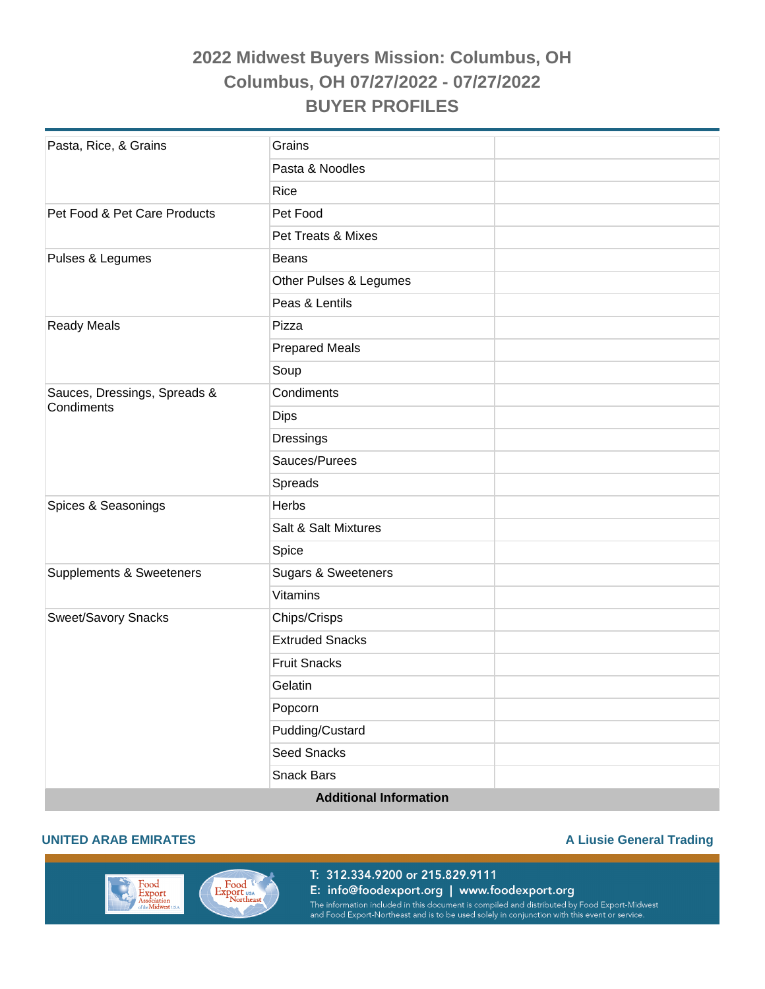| Pasta, Rice, & Grains         | Grains                         |  |  |  |
|-------------------------------|--------------------------------|--|--|--|
|                               | Pasta & Noodles                |  |  |  |
|                               | Rice                           |  |  |  |
| Pet Food & Pet Care Products  | Pet Food                       |  |  |  |
|                               | Pet Treats & Mixes             |  |  |  |
| Pulses & Legumes              | <b>Beans</b>                   |  |  |  |
|                               | Other Pulses & Legumes         |  |  |  |
|                               | Peas & Lentils                 |  |  |  |
| <b>Ready Meals</b>            | Pizza                          |  |  |  |
|                               | <b>Prepared Meals</b>          |  |  |  |
|                               | Soup                           |  |  |  |
| Sauces, Dressings, Spreads &  | Condiments                     |  |  |  |
| Condiments                    | <b>Dips</b>                    |  |  |  |
|                               | Dressings                      |  |  |  |
|                               | Sauces/Purees                  |  |  |  |
|                               | Spreads                        |  |  |  |
| Spices & Seasonings           | Herbs                          |  |  |  |
|                               | Salt & Salt Mixtures           |  |  |  |
|                               | Spice                          |  |  |  |
| Supplements & Sweeteners      | <b>Sugars &amp; Sweeteners</b> |  |  |  |
|                               | <b>Vitamins</b>                |  |  |  |
| Sweet/Savory Snacks           | Chips/Crisps                   |  |  |  |
|                               | <b>Extruded Snacks</b>         |  |  |  |
|                               | <b>Fruit Snacks</b>            |  |  |  |
|                               | Gelatin                        |  |  |  |
|                               | Popcorn                        |  |  |  |
|                               | Pudding/Custard                |  |  |  |
|                               | <b>Seed Snacks</b>             |  |  |  |
|                               | <b>Snack Bars</b>              |  |  |  |
| <b>Additional Information</b> |                                |  |  |  |

### **UNITED ARAB EMIRATES A Liusie General Trading**

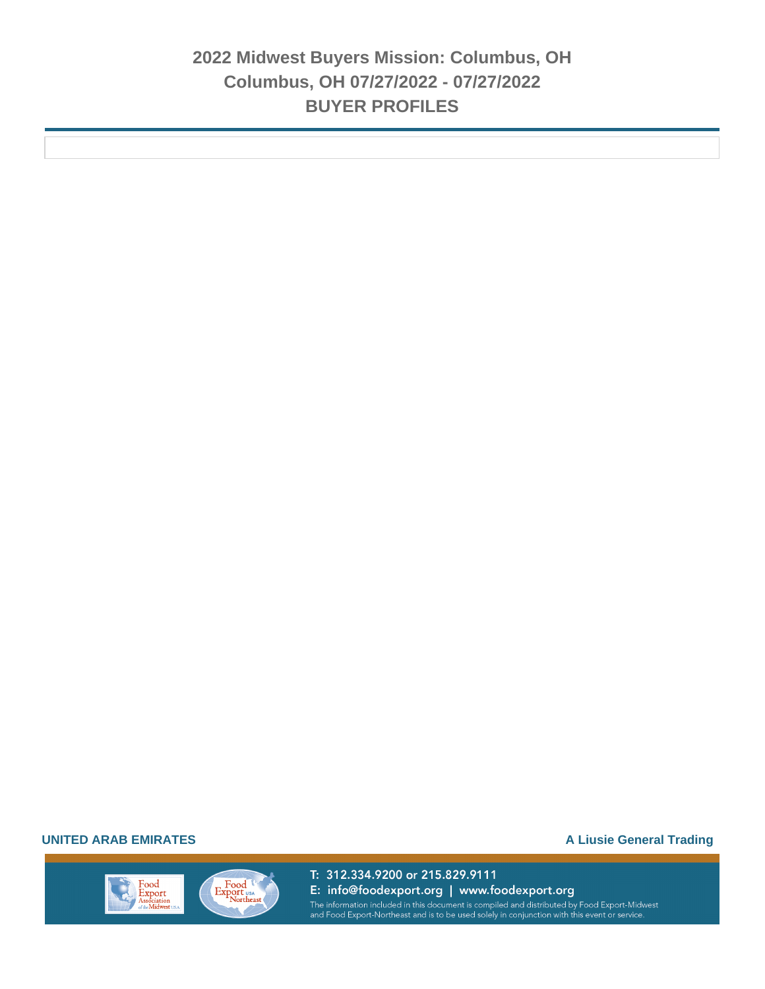### **UNITED ARAB EMIRATES A Liusie General Trading**

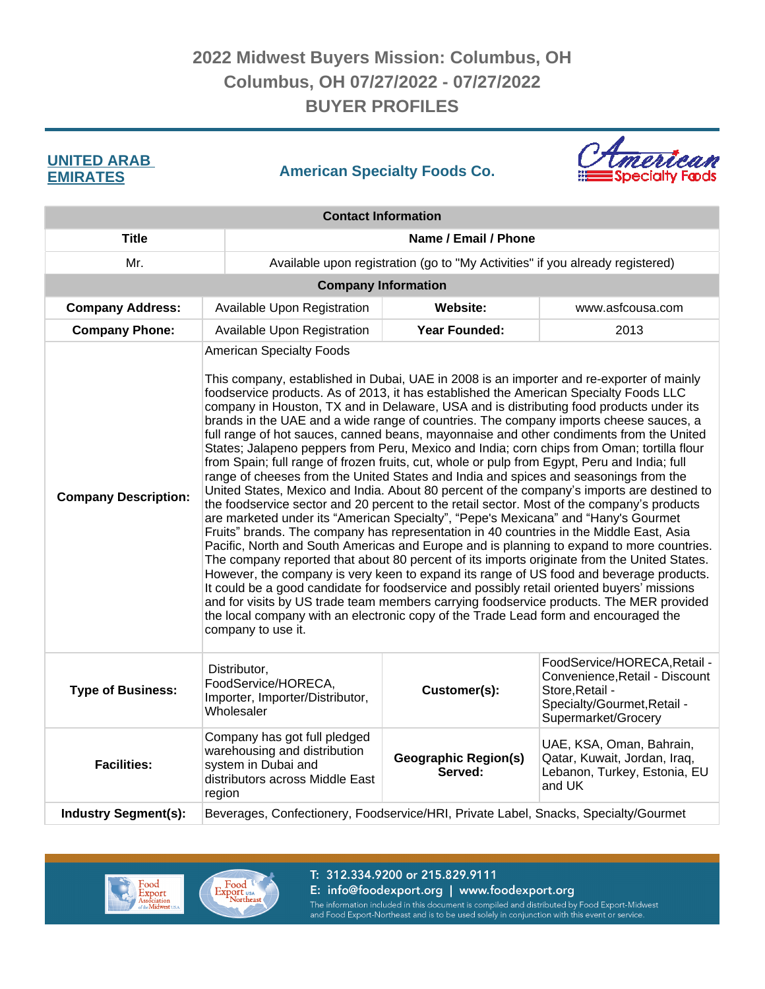# **EMIRATES**

# **American Specialty Foods Co.**<br> **American Specialty Foods Co.**



| <b>Contact Information</b>  |                                                                                                                                                                                                                                                                                                                                                                                                                                                                                                                                                                                                                                                                                                                                                                                                                                                                                                                                                                                                                                                                                                                                                                                                                                                                                                                                                                                                                                                                                                                                                                                                                                                                                                                                                                     |                                                                               |                                                                                                                                         |  |
|-----------------------------|---------------------------------------------------------------------------------------------------------------------------------------------------------------------------------------------------------------------------------------------------------------------------------------------------------------------------------------------------------------------------------------------------------------------------------------------------------------------------------------------------------------------------------------------------------------------------------------------------------------------------------------------------------------------------------------------------------------------------------------------------------------------------------------------------------------------------------------------------------------------------------------------------------------------------------------------------------------------------------------------------------------------------------------------------------------------------------------------------------------------------------------------------------------------------------------------------------------------------------------------------------------------------------------------------------------------------------------------------------------------------------------------------------------------------------------------------------------------------------------------------------------------------------------------------------------------------------------------------------------------------------------------------------------------------------------------------------------------------------------------------------------------|-------------------------------------------------------------------------------|-----------------------------------------------------------------------------------------------------------------------------------------|--|
| <b>Title</b>                |                                                                                                                                                                                                                                                                                                                                                                                                                                                                                                                                                                                                                                                                                                                                                                                                                                                                                                                                                                                                                                                                                                                                                                                                                                                                                                                                                                                                                                                                                                                                                                                                                                                                                                                                                                     | Name / Email / Phone                                                          |                                                                                                                                         |  |
| Mr.                         |                                                                                                                                                                                                                                                                                                                                                                                                                                                                                                                                                                                                                                                                                                                                                                                                                                                                                                                                                                                                                                                                                                                                                                                                                                                                                                                                                                                                                                                                                                                                                                                                                                                                                                                                                                     | Available upon registration (go to "My Activities" if you already registered) |                                                                                                                                         |  |
|                             |                                                                                                                                                                                                                                                                                                                                                                                                                                                                                                                                                                                                                                                                                                                                                                                                                                                                                                                                                                                                                                                                                                                                                                                                                                                                                                                                                                                                                                                                                                                                                                                                                                                                                                                                                                     | <b>Company Information</b>                                                    |                                                                                                                                         |  |
| <b>Company Address:</b>     | Available Upon Registration                                                                                                                                                                                                                                                                                                                                                                                                                                                                                                                                                                                                                                                                                                                                                                                                                                                                                                                                                                                                                                                                                                                                                                                                                                                                                                                                                                                                                                                                                                                                                                                                                                                                                                                                         | Website:                                                                      | www.asfcousa.com                                                                                                                        |  |
| <b>Company Phone:</b>       | Available Upon Registration                                                                                                                                                                                                                                                                                                                                                                                                                                                                                                                                                                                                                                                                                                                                                                                                                                                                                                                                                                                                                                                                                                                                                                                                                                                                                                                                                                                                                                                                                                                                                                                                                                                                                                                                         | <b>Year Founded:</b>                                                          | 2013                                                                                                                                    |  |
| <b>Company Description:</b> | <b>American Specialty Foods</b><br>This company, established in Dubai, UAE in 2008 is an importer and re-exporter of mainly<br>foodservice products. As of 2013, it has established the American Specialty Foods LLC<br>company in Houston, TX and in Delaware, USA and is distributing food products under its<br>brands in the UAE and a wide range of countries. The company imports cheese sauces, a<br>full range of hot sauces, canned beans, mayonnaise and other condiments from the United<br>States; Jalapeno peppers from Peru, Mexico and India; corn chips from Oman; tortilla flour<br>from Spain; full range of frozen fruits, cut, whole or pulp from Egypt, Peru and India; full<br>range of cheeses from the United States and India and spices and seasonings from the<br>United States, Mexico and India. About 80 percent of the company's imports are destined to<br>the foodservice sector and 20 percent to the retail sector. Most of the company's products<br>are marketed under its "American Specialty", "Pepe's Mexicana" and "Hany's Gourmet<br>Fruits" brands. The company has representation in 40 countries in the Middle East, Asia<br>Pacific, North and South Americas and Europe and is planning to expand to more countries.<br>The company reported that about 80 percent of its imports originate from the United States.<br>However, the company is very keen to expand its range of US food and beverage products.<br>It could be a good candidate for foodservice and possibly retail oriented buyers' missions<br>and for visits by US trade team members carrying foodservice products. The MER provided<br>the local company with an electronic copy of the Trade Lead form and encouraged the<br>company to use it. |                                                                               |                                                                                                                                         |  |
| <b>Type of Business:</b>    | Distributor,<br>FoodService/HORECA,<br>Importer, Importer/Distributor,<br>Wholesaler                                                                                                                                                                                                                                                                                                                                                                                                                                                                                                                                                                                                                                                                                                                                                                                                                                                                                                                                                                                                                                                                                                                                                                                                                                                                                                                                                                                                                                                                                                                                                                                                                                                                                | Customer(s):                                                                  | FoodService/HORECA, Retail -<br>Convenience, Retail - Discount<br>Store, Retail -<br>Specialty/Gourmet, Retail -<br>Supermarket/Grocery |  |
| <b>Facilities:</b>          | Company has got full pledged<br>warehousing and distribution<br>system in Dubai and<br>distributors across Middle East<br>region                                                                                                                                                                                                                                                                                                                                                                                                                                                                                                                                                                                                                                                                                                                                                                                                                                                                                                                                                                                                                                                                                                                                                                                                                                                                                                                                                                                                                                                                                                                                                                                                                                    | <b>Geographic Region(s)</b><br>Served:                                        | UAE, KSA, Oman, Bahrain,<br>Qatar, Kuwait, Jordan, Iraq,<br>Lebanon, Turkey, Estonia, EU<br>and UK                                      |  |
| <b>Industry Segment(s):</b> | Beverages, Confectionery, Foodservice/HRI, Private Label, Snacks, Specialty/Gourmet                                                                                                                                                                                                                                                                                                                                                                                                                                                                                                                                                                                                                                                                                                                                                                                                                                                                                                                                                                                                                                                                                                                                                                                                                                                                                                                                                                                                                                                                                                                                                                                                                                                                                 |                                                                               |                                                                                                                                         |  |





### T: 312.334.9200 or 215.829.9111 E: info@foodexport.org | www.foodexport.org

The information included in this document is compiled and distributed by Food Export-Midwest<br>and Food Export-Northeast and is to be used solely in conjunction with this event or service.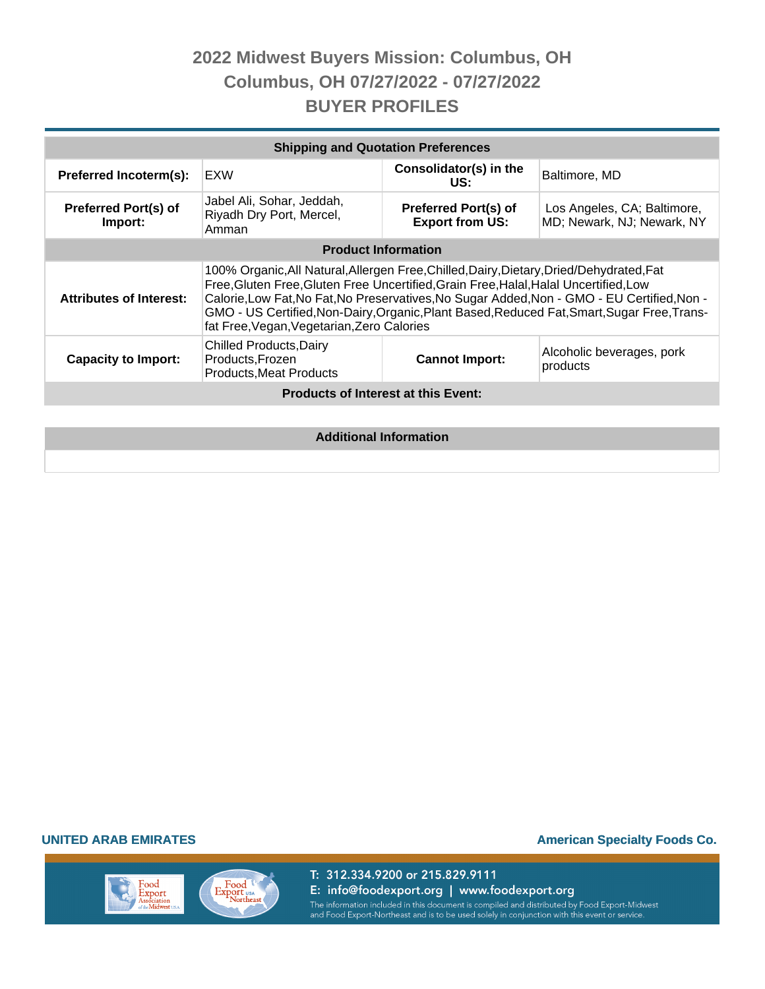| <b>Shipping and Quotation Preferences</b>                                                                                                                                                                                                                                                                                                                                                                                                                       |                                                                                                                                                        |                                                       |                                                           |  |
|-----------------------------------------------------------------------------------------------------------------------------------------------------------------------------------------------------------------------------------------------------------------------------------------------------------------------------------------------------------------------------------------------------------------------------------------------------------------|--------------------------------------------------------------------------------------------------------------------------------------------------------|-------------------------------------------------------|-----------------------------------------------------------|--|
| Preferred Incoterm(s):                                                                                                                                                                                                                                                                                                                                                                                                                                          | EXW                                                                                                                                                    | Consolidator(s) in the<br>US:                         | Baltimore, MD                                             |  |
| <b>Preferred Port(s) of</b><br>Import:                                                                                                                                                                                                                                                                                                                                                                                                                          | Jabel Ali, Sohar, Jeddah,<br>Riyadh Dry Port, Mercel,<br>Amman                                                                                         | <b>Preferred Port(s) of</b><br><b>Export from US:</b> | Los Angeles, CA; Baltimore,<br>MD; Newark, NJ; Newark, NY |  |
| <b>Product Information</b>                                                                                                                                                                                                                                                                                                                                                                                                                                      |                                                                                                                                                        |                                                       |                                                           |  |
| 100% Organic, All Natural, Allergen Free, Chilled, Dairy, Dietary, Dried/Dehydrated, Fat<br>Free, Gluten Free, Gluten Free Uncertified, Grain Free, Halal, Halal Uncertified, Low<br>Calorie, Low Fat, No Fat, No Preservatives, No Sugar Added, Non - GMO - EU Certified, Non -<br><b>Attributes of Interest:</b><br>GMO - US Certified, Non-Dairy, Organic, Plant Based, Reduced Fat, Smart, Sugar Free, Trans-<br>fat Free, Vegan, Vegetarian, Zero Calories |                                                                                                                                                        |                                                       |                                                           |  |
| <b>Capacity to Import:</b>                                                                                                                                                                                                                                                                                                                                                                                                                                      | <b>Chilled Products, Dairy</b><br>Alcoholic beverages, pork<br>Products, Frozen<br><b>Cannot Import:</b><br>products<br><b>Products, Meat Products</b> |                                                       |                                                           |  |
| <b>Products of Interest at this Event:</b>                                                                                                                                                                                                                                                                                                                                                                                                                      |                                                                                                                                                        |                                                       |                                                           |  |

**Additional Information**



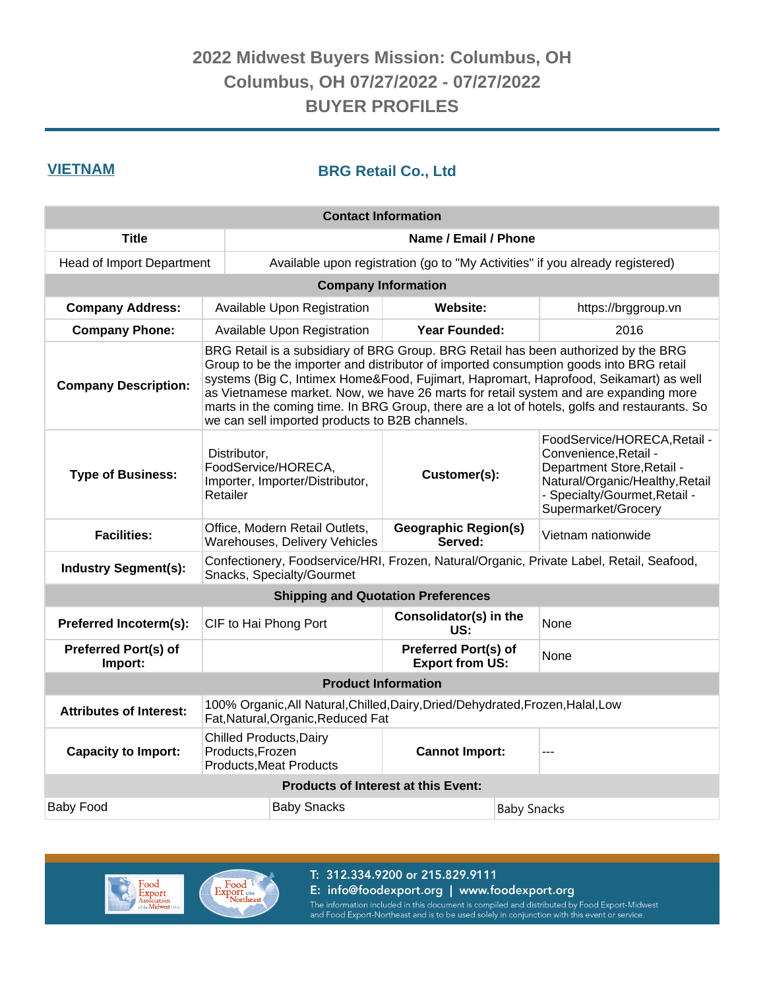### **VIETNAM BRG Retail Co., Ltd**

| <b>Contact Information</b>             |                                                    |                                                                                                                                                                                                                                                                                                                                                                                                                                                                                                                 |                                                       |                    |                                                                                                                                                                                |
|----------------------------------------|----------------------------------------------------|-----------------------------------------------------------------------------------------------------------------------------------------------------------------------------------------------------------------------------------------------------------------------------------------------------------------------------------------------------------------------------------------------------------------------------------------------------------------------------------------------------------------|-------------------------------------------------------|--------------------|--------------------------------------------------------------------------------------------------------------------------------------------------------------------------------|
| <b>Title</b>                           |                                                    | Name / Email / Phone                                                                                                                                                                                                                                                                                                                                                                                                                                                                                            |                                                       |                    |                                                                                                                                                                                |
| <b>Head of Import Department</b>       |                                                    | Available upon registration (go to "My Activities" if you already registered)                                                                                                                                                                                                                                                                                                                                                                                                                                   |                                                       |                    |                                                                                                                                                                                |
|                                        |                                                    |                                                                                                                                                                                                                                                                                                                                                                                                                                                                                                                 | <b>Company Information</b>                            |                    |                                                                                                                                                                                |
| <b>Company Address:</b>                |                                                    | Available Upon Registration                                                                                                                                                                                                                                                                                                                                                                                                                                                                                     | Website:                                              |                    | https://brggroup.vn                                                                                                                                                            |
| <b>Company Phone:</b>                  |                                                    | Available Upon Registration                                                                                                                                                                                                                                                                                                                                                                                                                                                                                     | <b>Year Founded:</b>                                  |                    | 2016                                                                                                                                                                           |
| <b>Company Description:</b>            |                                                    | BRG Retail is a subsidiary of BRG Group. BRG Retail has been authorized by the BRG<br>Group to be the importer and distributor of imported consumption goods into BRG retail<br>systems (Big C, Intimex Home&Food, Fujimart, Hapromart, Haprofood, Seikamart) as well<br>as Vietnamese market. Now, we have 26 marts for retail system and are expanding more<br>marts in the coming time. In BRG Group, there are a lot of hotels, golfs and restaurants. So<br>we can sell imported products to B2B channels. |                                                       |                    |                                                                                                                                                                                |
| <b>Type of Business:</b>               | Distributor.<br>Retailer                           | FoodService/HORECA,<br>Importer, Importer/Distributor,                                                                                                                                                                                                                                                                                                                                                                                                                                                          | Customer(s):                                          |                    | FoodService/HORECA, Retail -<br>Convenience, Retail -<br>Department Store, Retail -<br>Natural/Organic/Healthy, Retail<br>- Specialty/Gourmet, Retail -<br>Supermarket/Grocery |
| <b>Facilities:</b>                     |                                                    | Office, Modern Retail Outlets,<br>Warehouses, Delivery Vehicles                                                                                                                                                                                                                                                                                                                                                                                                                                                 | <b>Geographic Region(s)</b><br>Served:                |                    | Vietnam nationwide                                                                                                                                                             |
| <b>Industry Segment(s):</b>            |                                                    | Confectionery, Foodservice/HRI, Frozen, Natural/Organic, Private Label, Retail, Seafood,<br>Snacks, Specialty/Gourmet                                                                                                                                                                                                                                                                                                                                                                                           |                                                       |                    |                                                                                                                                                                                |
|                                        |                                                    |                                                                                                                                                                                                                                                                                                                                                                                                                                                                                                                 | <b>Shipping and Quotation Preferences</b>             |                    |                                                                                                                                                                                |
| Preferred Incoterm(s):                 | CIF to Hai Phong Port                              |                                                                                                                                                                                                                                                                                                                                                                                                                                                                                                                 | Consolidator(s) in the<br>US:                         |                    | None                                                                                                                                                                           |
| <b>Preferred Port(s) of</b><br>Import: |                                                    |                                                                                                                                                                                                                                                                                                                                                                                                                                                                                                                 | <b>Preferred Port(s) of</b><br><b>Export from US:</b> |                    | None                                                                                                                                                                           |
|                                        |                                                    |                                                                                                                                                                                                                                                                                                                                                                                                                                                                                                                 | <b>Product Information</b>                            |                    |                                                                                                                                                                                |
| <b>Attributes of Interest:</b>         |                                                    | 100% Organic, All Natural, Chilled, Dairy, Dried/Dehydrated, Frozen, Halal, Low<br>Fat, Natural, Organic, Reduced Fat                                                                                                                                                                                                                                                                                                                                                                                           |                                                       |                    |                                                                                                                                                                                |
| <b>Capacity to Import:</b>             | <b>Chilled Products, Dairy</b><br>Products, Frozen | <b>Products, Meat Products</b>                                                                                                                                                                                                                                                                                                                                                                                                                                                                                  | <b>Cannot Import:</b>                                 |                    | ---                                                                                                                                                                            |
|                                        |                                                    |                                                                                                                                                                                                                                                                                                                                                                                                                                                                                                                 | <b>Products of Interest at this Event:</b>            |                    |                                                                                                                                                                                |
| <b>Baby Food</b>                       |                                                    | <b>Baby Snacks</b>                                                                                                                                                                                                                                                                                                                                                                                                                                                                                              |                                                       | <b>Baby Snacks</b> |                                                                                                                                                                                |





### T: 312.334.9200 or 215.829.9111

E: info@foodexport.org | www.foodexport.org

The information included in this document is compiled and distributed by Food Export-Midwest<br>and Food Export-Northeast and is to be used solely in conjunction with this event or service.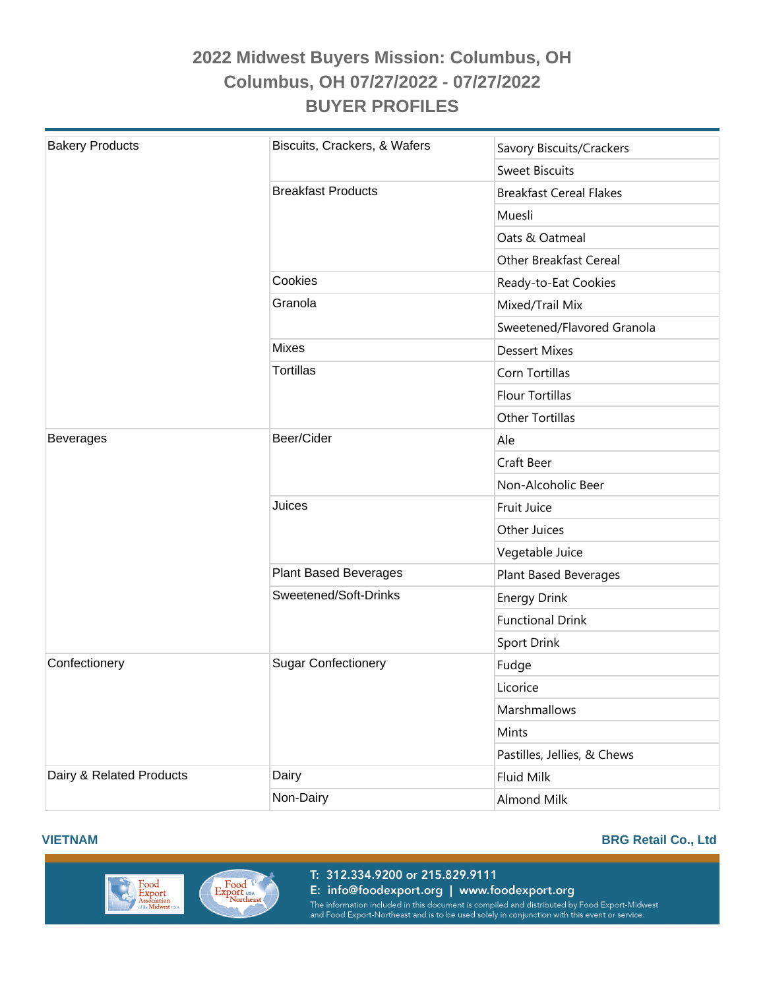| <b>Bakery Products</b>   | Biscuits, Crackers, & Wafers | Savory Biscuits/Crackers       |
|--------------------------|------------------------------|--------------------------------|
|                          |                              | <b>Sweet Biscuits</b>          |
|                          | <b>Breakfast Products</b>    | <b>Breakfast Cereal Flakes</b> |
|                          |                              | Muesli                         |
|                          |                              | Oats & Oatmeal                 |
|                          |                              | <b>Other Breakfast Cereal</b>  |
|                          | Cookies                      | Ready-to-Eat Cookies           |
|                          | Granola                      | Mixed/Trail Mix                |
|                          |                              | Sweetened/Flavored Granola     |
|                          | <b>Mixes</b>                 | <b>Dessert Mixes</b>           |
|                          | <b>Tortillas</b>             | Corn Tortillas                 |
|                          |                              | <b>Flour Tortillas</b>         |
|                          |                              | <b>Other Tortillas</b>         |
| <b>Beverages</b>         | Beer/Cider                   | Ale                            |
|                          |                              | Craft Beer                     |
|                          |                              | Non-Alcoholic Beer             |
|                          | Juices                       | Fruit Juice                    |
|                          |                              | Other Juices                   |
|                          |                              | Vegetable Juice                |
|                          | <b>Plant Based Beverages</b> | Plant Based Beverages          |
|                          | Sweetened/Soft-Drinks        | <b>Energy Drink</b>            |
|                          |                              | <b>Functional Drink</b>        |
|                          |                              | <b>Sport Drink</b>             |
| Confectionery            | <b>Sugar Confectionery</b>   | Fudge                          |
|                          |                              | Licorice                       |
|                          |                              | Marshmallows                   |
|                          |                              | Mints                          |
|                          |                              | Pastilles, Jellies, & Chews    |
| Dairy & Related Products | Dairy                        | <b>Fluid Milk</b>              |
|                          | Non-Dairy                    | <b>Almond Milk</b>             |



T: 312.334.9200 or 215.829.9111 E: info@foodexport.org | www.foodexport.org The information included in this document is compiled and distributed by Food Export-Midwest<br>and Food Export-Northeast and is to be used solely in conjunction with this event or service.

### **VIETNAM BRG Retail Co., Ltd**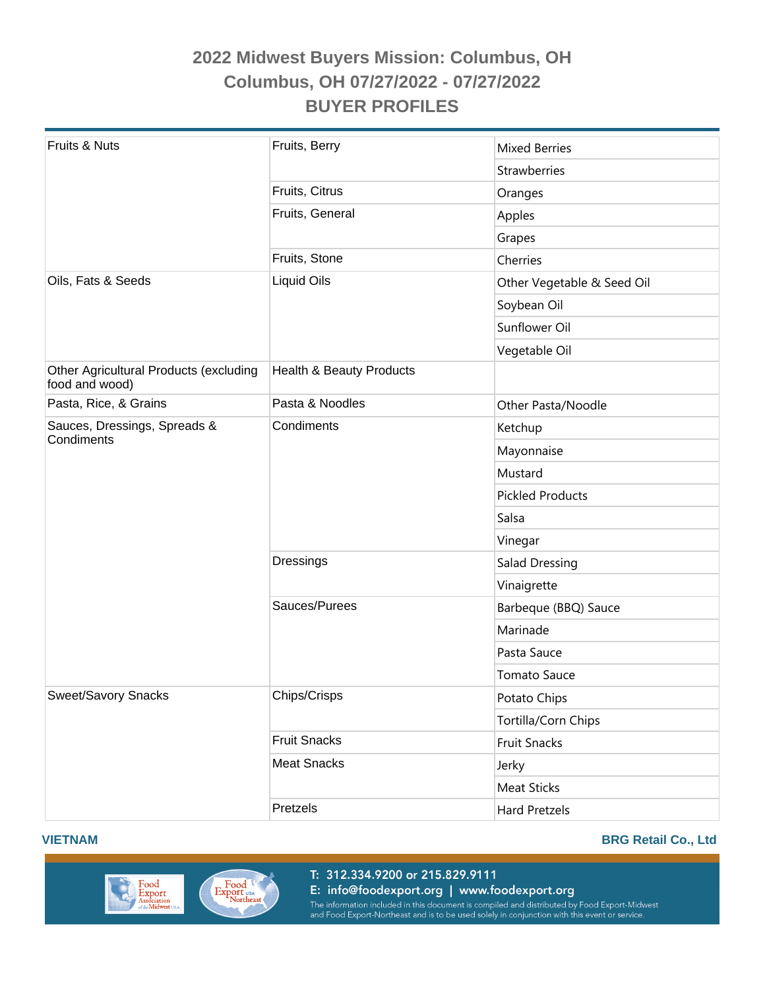| Fruits & Nuts                                            | Fruits, Berry                       | <b>Mixed Berries</b>       |
|----------------------------------------------------------|-------------------------------------|----------------------------|
|                                                          |                                     | Strawberries               |
|                                                          | Fruits, Citrus                      | Oranges                    |
|                                                          | Fruits, General                     | Apples                     |
|                                                          |                                     | Grapes                     |
|                                                          | Fruits, Stone                       | Cherries                   |
| Oils, Fats & Seeds                                       | Liquid Oils                         | Other Vegetable & Seed Oil |
|                                                          |                                     | Soybean Oil                |
|                                                          |                                     | Sunflower Oil              |
|                                                          |                                     | Vegetable Oil              |
| Other Agricultural Products (excluding<br>food and wood) | <b>Health &amp; Beauty Products</b> |                            |
| Pasta, Rice, & Grains                                    | Pasta & Noodles                     | Other Pasta/Noodle         |
| Sauces, Dressings, Spreads &<br>Condiments               | Condiments                          | Ketchup                    |
|                                                          |                                     | Mayonnaise                 |
|                                                          |                                     | Mustard                    |
|                                                          |                                     | <b>Pickled Products</b>    |
|                                                          |                                     | Salsa                      |
|                                                          |                                     | Vinegar                    |
|                                                          | Dressings                           | Salad Dressing             |
|                                                          |                                     | Vinaigrette                |
|                                                          | Sauces/Purees                       | Barbeque (BBQ) Sauce       |
|                                                          |                                     | Marinade                   |
|                                                          |                                     | Pasta Sauce                |
|                                                          |                                     | <b>Tomato Sauce</b>        |
| <b>Sweet/Savory Snacks</b>                               | Chips/Crisps                        | Potato Chips               |
|                                                          |                                     | Tortilla/Corn Chips        |
|                                                          | <b>Fruit Snacks</b>                 | <b>Fruit Snacks</b>        |
|                                                          | <b>Meat Snacks</b>                  | Jerky                      |
|                                                          |                                     | <b>Meat Sticks</b>         |
|                                                          | Pretzels                            | <b>Hard Pretzels</b>       |





T: 312.334.9200 or 215.829.9111 E: info@foodexport.org | www.foodexport.org The information included in this document is compiled and distributed by Food Export-Midwest<br>and Food Export-Northeast and is to be used solely in conjunction with this event or service.

### **VIETNAM BRG Retail Co., Ltd**